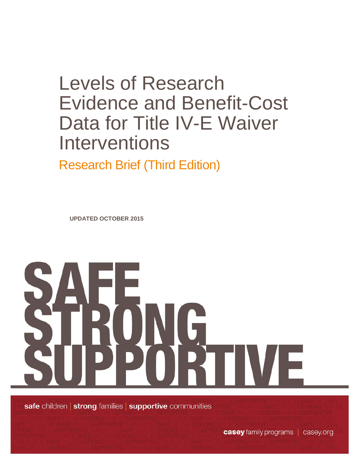# Levels of Research Evidence and Benefit-Cost Data for Title IV-E Waiver Interventions

Research Brief (Third Edition)

**UPDATED OCTOBER 2015**



safe children | strong families | supportive communities

casey family programs | casey.org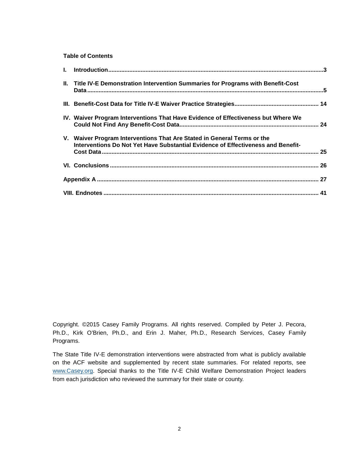#### **Table of Contents**

| II. Title IV-E Demonstration Intervention Summaries for Programs with Benefit-Cost                                                                          |  |
|-------------------------------------------------------------------------------------------------------------------------------------------------------------|--|
|                                                                                                                                                             |  |
| IV. Waiver Program Interventions That Have Evidence of Effectiveness but Where We                                                                           |  |
| V. Waiver Program Interventions That Are Stated in General Terms or the<br>Interventions Do Not Yet Have Substantial Evidence of Effectiveness and Benefit- |  |
|                                                                                                                                                             |  |
|                                                                                                                                                             |  |
|                                                                                                                                                             |  |

Copyright. ©2015 Casey Family Programs. All rights reserved. Compiled by Peter J. Pecora, Ph.D., Kirk O'Brien, Ph.D., and Erin J. Maher, Ph.D., Research Services, Casey Family Programs.

The State Title IV-E demonstration interventions were abstracted from what is publicly available on the ACF website and supplemented by recent state summaries. For related reports, see [www.Casey.org.](http://www.casey.org/) Special thanks to the Title IV-E Child Welfare Demonstration Project leaders from each jurisdiction who reviewed the summary for their state or county.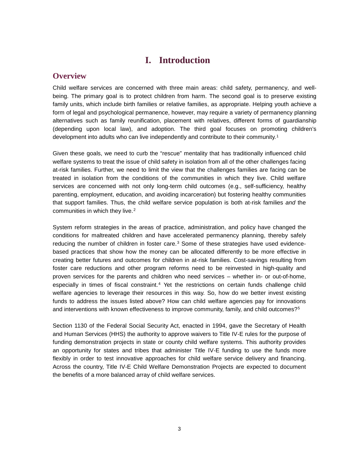# **I. Introduction**

#### <span id="page-2-0"></span>**Overview**

Child welfare services are concerned with three main areas: child safety, permanency, and wellbeing. The primary goal is to protect children from harm. The second goal is to preserve existing family units, which include birth families or relative families, as appropriate. Helping youth achieve a form of legal and psychological permanence, however, may require a variety of permanency planning alternatives such as family reunification, placement with relatives, different forms of guardianship (depending upon local law), and adoption. The third goal focuses on promoting children's development into adults who can live independently and contribute to their community.<sup>[1](#page-41-0)</sup>

Given these goals, we need to curb the "rescue" mentality that has traditionally influenced child welfare systems to treat the issue of child safety in isolation from all of the other challenges facing at-risk families. Further, we need to limit the view that the challenges families are facing can be treated in isolation from the conditions of the communities in which they live. Child welfare services are concerned with not only long-term child outcomes (e.g., self-sufficiency, healthy parenting, employment, education, and avoiding incarceration) but fostering healthy communities that support families. Thus, the child welfare service population is both at-risk families *and* the communities in which they live.<sup>[2](#page-41-1)</sup>

System reform strategies in the areas of practice, administration, and policy have changed the conditions for maltreated children and have accelerated permanency planning, thereby safely reducing the number of children in foster care.<sup>[3](#page-41-2)</sup> Some of these strategies have used evidencebased practices that show how the money can be allocated differently to be more effective in creating better futures and outcomes for children in at-risk families. Cost-savings resulting from foster care reductions and other program reforms need to be reinvested in high-quality and proven services for the parents and children who need services – whether in- or out-of-home, especially in times of fiscal constraint.<sup>[4](#page-41-3)</sup> Yet the restrictions on certain funds challenge child welfare agencies to leverage their resources in this way. So, how do we better invest existing funds to address the issues listed above? How can child welfare agencies pay for innovations and interventions with known effectiveness to improve community, family, and child outcomes?<sup>[5](#page-41-4)</sup>

Section 1130 of the Federal Social Security Act, enacted in 1994, gave the Secretary of Health and Human Services (HHS) the authority to approve waivers to Title IV-E rules for the purpose of funding demonstration projects in state or county child welfare systems. This authority provides an opportunity for states and tribes that administer Title IV-E funding to use the funds more flexibly in order to test innovative approaches for child welfare service delivery and financing. Across the country, Title IV-E Child Welfare Demonstration Projects are expected to document the benefits of a more balanced array of child welfare services.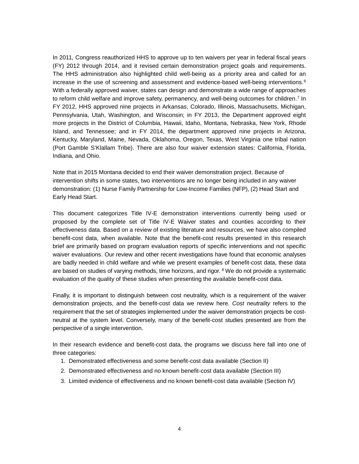In 2011, Congress reauthorized HHS to approve up to ten waivers per year in federal fiscal years (FY) 2012 through 2014, and it revised certain demonstration project goals and requirements. The HHS administration also highlighted child well-being as a priority area and called for an increase in the use of screening and assessment and evidence-based well-being interventions.<sup>[6](#page-41-5)</sup> With a federally approved waiver, states can design and demonstrate a wide range of approaches to reform child welfare and improve safety, permanency, and well-being outcomes for children.<sup>[7](#page-41-6)</sup> In FY 2012, HHS approved nine projects in Arkansas, Colorado, Illinois, Massachusetts, Michigan, Pennsylvania, Utah, Washington, and Wisconsin; in FY 2013, the Department approved eight more projects in the District of Columbia, Hawaii, Idaho, Montana, Nebraska, New York, Rhode Island, and Tennessee; and in FY 2014, the department approved nine projects in Arizona, Kentucky, Maryland, Maine, Nevada, Oklahoma, Oregon, Texas, West Virginia one tribal nation (Port Gamble S'Klallam Tribe). There are also four waiver extension states: California, Florida, Indiana, and Ohio.

Note that in 2015 Montana decided to end their waiver demonstration project. Because of intervention shifts in some states, two interventions are no longer being included in any waiver demonstration: (1) Nurse Family Partnership for Low-Income Families (NFP), (2) Head Start and Early Head Start.

This document categorizes Title IV-E demonstration interventions currently being used or proposed by the complete set of Title IV-E Waiver states and counties according to their effectiveness data. Based on a review of existing literature and resources, we have also compiled benefit-cost data, when available. Note that the benefit-cost results presented in this research brief are primarily based on program evaluation reports of specific interventions and not specific waiver evaluations. Our review and other recent investigations have found that economic analyses are badly needed in child welfare and while we present examples of benefit-cost data, these data are based on studies of varying methods, time horizons, and rigor. <sup>[8](#page-41-7)</sup> We do not provide a systematic evaluation of the quality of these studies when presenting the available benefit-cost data.

Finally, it is important to distinguish between cost neutrality, which is a requirement of the waiver demonstration projects, and the benefit-cost data we review here. *Cost neutrality* refers to the requirement that the set of strategies implemented under the waiver demonstration projects be costneutral at the system level. Conversely, many of the benefit-cost studies presented are from the perspective of a single intervention.

In their research evidence and benefit-cost data, the programs we discuss here fall into one of three categories:

- 1. Demonstrated effectiveness and some benefit-cost data available (Section II)
- 2. Demonstrated effectiveness and no known benefit-cost data available (Section III)
- 3. Limited evidence of effectiveness and no known benefit-cost data available (Section IV)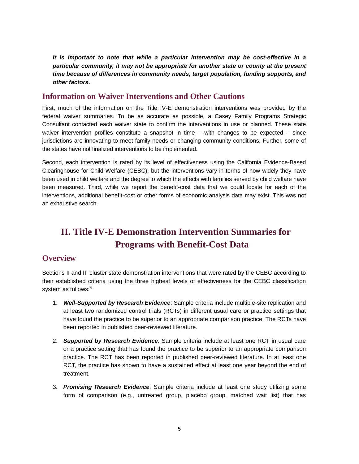*It is important to note that while a particular intervention may be cost-effective in a particular community, it may not be appropriate for another state or county at the present time because of differences in community needs, target population, funding supports, and other factors.*

### **Information on Waiver Interventions and Other Cautions**

First, much of the information on the Title IV-E demonstration interventions was provided by the federal waiver summaries. To be as accurate as possible, a Casey Family Programs Strategic Consultant contacted each waiver state to confirm the interventions in use or planned. These state waiver intervention profiles constitute a snapshot in time – with changes to be expected – since jurisdictions are innovating to meet family needs or changing community conditions. Further, some of the states have not finalized interventions to be implemented.

Second, each intervention is rated by its level of effectiveness using the California Evidence-Based Clearinghouse for Child Welfare (CEBC), but the interventions vary in terms of how widely they have been used in child welfare and the degree to which the effects with families served by child welfare have been measured. Third, while we report the benefit-cost data that we could locate for each of the interventions, additional benefit-cost or other forms of economic analysis data may exist. This was not an exhaustive search.

# <span id="page-4-0"></span>**II. Title IV-E Demonstration Intervention Summaries for Programs with Benefit-Cost Data**

## **Overview**

Sections II and III cluster state demonstration interventions that were rated by the CEBC according to their established criteria using the three highest levels of effectiveness for the CEBC classification system as follows:<sup>[9](#page-41-8)</sup>

- 1. *[Well-Supported by Research Evidence](http://www.cebc4cw.org/scientific-rating/scale#rating1)*: Sample criteria include multiple-site replication and at least two randomized control trials (RCTs) in different usual care or practice settings that have found the practice to be superior to an appropriate comparison practice. The RCTs have been reported in published peer-reviewed literature.
- 2. *[Supported by Research Evidence](http://www.cebc4cw.org/scientific-rating/scale#rating2)*: Sample criteria include at least one RCT in usual care or a practice setting that has found the practice to be superior to an appropriate comparison practice. The RCT has been reported in published peer-reviewed literature. In at least one RCT, the practice has shown to have a sustained effect at least one year beyond the end of treatment.
- 3. *Promising Research Evidence*: Sample criteria include at least one study utilizing some form of comparison (e.g., untreated group, placebo group, matched wait list) that has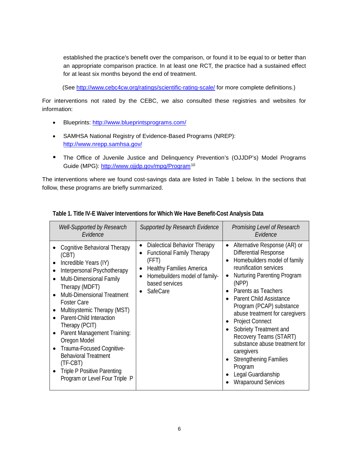established the practice's benefit over the comparison, or found it to be equal to or better than an appropriate comparison practice. In at least one RCT, the practice had a sustained effect for at least six months beyond the end of treatment.

(See<http://www.cebc4cw.org/ratings/scientific-rating-scale/> for more complete definitions.)

For interventions not rated by the CEBC, we also consulted these registries and websites for information:

- Blueprints:<http://www.blueprintsprograms.com/>
- SAMHSA National Registry of Evidence-Based Programs (NREP): <http://www.nrepp.samhsa.gov/>
- The Office of Juvenile Justice and Delinquency Prevention's (OJJDP's) Model Programs Guide (MPG):<http://www.ojjdp.gov/mpg/Program>[10](#page-41-9)

The interventions where we found cost-savings data are listed in Table 1 below. In the sections that follow, these programs are briefly summarized.

| <b>Well-Supported by Research</b><br>Evidence                                                                                                                                                                                                                                                                                                                                                                                                                                                    | <b>Supported by Research Evidence</b>                                                                                                                                                 | Promising Level of Research<br>Fvidence                                                                                                                                                                                                                                                                                                                                                                                                                                                                             |
|--------------------------------------------------------------------------------------------------------------------------------------------------------------------------------------------------------------------------------------------------------------------------------------------------------------------------------------------------------------------------------------------------------------------------------------------------------------------------------------------------|---------------------------------------------------------------------------------------------------------------------------------------------------------------------------------------|---------------------------------------------------------------------------------------------------------------------------------------------------------------------------------------------------------------------------------------------------------------------------------------------------------------------------------------------------------------------------------------------------------------------------------------------------------------------------------------------------------------------|
| Cognitive Behavioral Therapy<br>(CBT)<br>Incredible Years (IY)<br>Interpersonal Psychotherapy<br>Multi-Dimensional Family<br>$\bullet$<br>Therapy (MDFT)<br><b>Multi-Dimensional Treatment</b><br><b>Foster Care</b><br>Multisystemic Therapy (MST)<br>Parent-Child Interaction<br>Therapy (PCIT)<br>Parent Management Training:<br>Oregon Model<br>Trauma-Focused Cognitive-<br><b>Behavioral Treatment</b><br>(TF-CBT)<br><b>Triple P Positive Parenting</b><br>Program or Level Four Triple P | Dialectical Behavior Therapy<br>٠<br><b>Functional Family Therapy</b><br>(FFT)<br><b>Healthy Families America</b><br>٠<br>Homebuilders model of family-<br>based services<br>SafeCare | Alternative Response (AR) or<br>$\bullet$<br>Differential Response<br>Homebuilders model of family<br>reunification services<br><b>Nurturing Parenting Program</b><br>(NPP)<br>Parents as Teachers<br>Parent Child Assistance<br>Program (PCAP) substance<br>abuse treatment for caregivers<br>• Project Connect<br>Sobriety Treatment and<br>Recovery Teams (START)<br>substance abuse treatment for<br>caregivers<br><b>Strengthening Families</b><br>Program<br>Legal Guardianship<br><b>Wraparound Services</b> |

#### **Table 1. Title IV-E Waiver Interventions for Which We Have Benefit-Cost Analysis Data**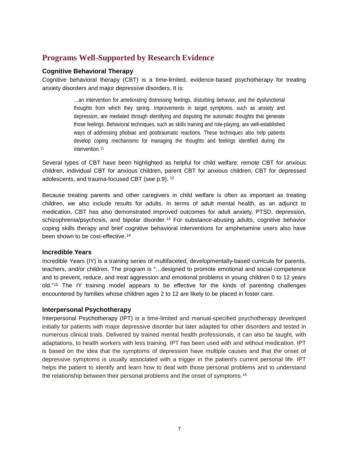# **Programs [Well-Supported by Research Evidence](http://www.cebc4cw.org/scientific-rating/scale#rating1)**

#### **Cognitive Behavioral Therapy**

Cognitive behavioral therapy (CBT) is a time-limited, evidence-based psychotherapy for treating anxiety disorders and major depressive disorders. It is:

> …an intervention for ameliorating distressing feelings, disturbing behavior, and the dysfunctional thoughts from which they spring. Improvements in target symptoms, such as anxiety and depression, are mediated through identifying and disputing the automatic thoughts that generate those feelings. Behavioral techniques, such as skills training and role-playing, are well-established ways of addressing phobias and posttraumatic reactions. These techniques also help patients develop coping mechanisms for managing the thoughts and feelings identified during the intervention.<sup>[11](#page-42-0)</sup>

Several types of CBT have been highlighted as helpful for child welfare: remote CBT for anxious children, individual CBT for anxious children, parent CBT for anxious children, CBT for depressed adolescents, and trauma-focused CBT (see p.9). [12](#page-42-1)

Because treating parents and other caregivers in child welfare is often as important as treating children, we also include results for adults. In terms of adult mental health, as an adjunct to medication, CBT has also demonstrated improved outcomes for adult anxiety, PTSD, depression, schizophrenia/psychosis, and bipolar disorder.<sup>[13](#page-42-2)</sup> For substance-abusing adults, cognitive behavior coping skills therapy and brief cognitive behavioral interventions for amphetamine users also have been shown to be cost-effective.<sup>[14](#page-42-3)</sup>

#### **Incredible Years**

Incredible Years (IY) is a training series of multifaceted, developmentally-based curricula for parents, teachers, and/or children. The program is "…designed to promote emotional and social competence and to prevent, reduce, and treat aggression and emotional problems in young children 0 to 12 years old."[15](#page-42-4) The IY training model appears to be effective for the kinds of parenting challenges encountered by families whose children ages 2 to 12 are likely to be placed in foster care.

#### **Interpersonal Psychotherapy**

Interpersonal Psychotherapy (IPT) is a time-limited and manual-specified psychotherapy developed initially for patients with major depressive disorder but later adapted for other disorders and tested in numerous clinical trials. Delivered by trained mental health professionals, it can also be taught, with adaptations, to health workers with less training. IPT has been used with and without medication. IPT is based on the idea that the symptoms of depression have multiple causes and that the onset of depressive symptoms is usually associated with a trigger in the patient's current personal life. IPT helps the patient to identify and learn how to deal with those personal problems and to understand the relationship between their personal problems and the onset of symptoms.[16](#page-42-5)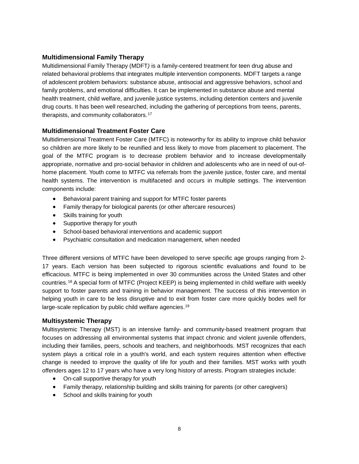#### **Multidimensional Family Therapy**

Multidimensional Family Therapy (MDFT*)* is a family-centered treatment for teen drug abuse and related behavioral problems that integrates multiple intervention components. MDFT targets a range of adolescent problem behaviors: substance abuse, antisocial and aggressive behaviors, school and family problems, and emotional difficulties. It can be implemented in substance abuse and mental health treatment, child welfare, and juvenile justice systems, including detention centers and juvenile drug courts. It has been well researched, including the gathering of perceptions from teens, parents, therapists, and community collaborators.[17](#page-42-6)

#### **Multidimensional Treatment Foster Care**

Multidimensional Treatment Foster Care (MTFC) is noteworthy for its ability to improve child behavior so children are more likely to be reunified and less likely to move from placement to placement. The goal of the MTFC program is to decrease problem behavior and to increase developmentally appropriate, normative and pro-social behavior in children and adolescents who are in need of out-ofhome placement. Youth come to MTFC via referrals from the juvenile justice, foster care, and mental health systems. The intervention is multifaceted and occurs in multiple settings. The intervention components include:

- Behavioral parent training and support for MTFC foster parents
- Family therapy for biological parents (or other aftercare resources)
- Skills training for youth
- Supportive therapy for youth
- School-based behavioral interventions and academic support
- Psychiatric consultation and medication management, when needed

Three different versions of MTFC have been developed to serve specific age groups ranging from 2- 17 years. Each version has been subjected to rigorous scientific evaluations and found to be efficacious. MTFC is being implemented in over 30 communities across the United States and other countries.[18](#page-42-7) A special form of MTFC (Project KEEP) is being implemented in child welfare with weekly support to foster parents and training in behavior management. The success of this intervention in helping youth in care to be less disruptive and to exit from foster care more quickly bodes well for large-scale replication by public child welfare agencies.<sup>[19](#page-42-8)</sup>

#### **Multisystemic Therapy**

Multisystemic Therapy (MST) is an intensive family- and community-based treatment program that focuses on addressing all environmental systems that impact chronic and violent juvenile offenders, including their families, peers, schools and teachers, and neighborhoods. MST recognizes that each system plays a critical role in a youth's world, and each system requires attention when effective change is needed to improve the quality of life for youth and their families. MST works with youth offenders ages 12 to 17 years who have a very long history of arrests. Program strategies include:

- On-call supportive therapy for youth
- Family therapy, relationship building and skills training for parents (or other caregivers)
- School and skills training for youth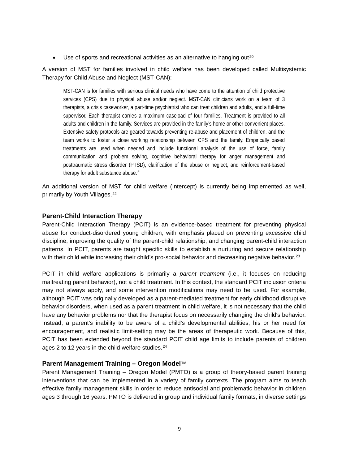• Use of sports and recreational activities as an alternative to hanging out<sup>[20](#page-42-9)</sup>

A version of MST for families involved in child welfare has been developed called Multisystemic Therapy for Child Abuse and Neglect (MST-CAN):

MST-CAN is for families with serious clinical needs who have come to the attention of child protective services (CPS) due to physical abuse and/or neglect. MST-CAN clinicians work on a team of 3 therapists, a crisis caseworker, a part-time psychiatrist who can treat children and adults, and a full-time supervisor. Each therapist carries a maximum caseload of four families. Treatment is provided to all adults and children in the family. Services are provided in the family's home or other convenient places. Extensive safety protocols are geared towards preventing re-abuse and placement of children, and the team works to foster a close working relationship between CPS and the family. Empirically based treatments are used when needed and include functional analysis of the use of force, family communication and problem solving, cognitive behavioral therapy for anger management and posttraumatic stress disorder (PTSD), clarification of the abuse or neglect, and reinforcement-based therapy for adult substance abuse.[21](#page-42-10)

An additional version of MST for child welfare (Intercept) is currently being implemented as well, primarily by Youth Villages.[22](#page-42-11)

#### **Parent-Child Interaction Therapy**

Parent-Child Interaction Therapy (PCIT) is an evidence-based treatment for preventing physical abuse for conduct-disordered young children, with emphasis placed on preventing excessive child discipline, improving the quality of the parent-child relationship, and changing parent-child interaction patterns. In PCIT, parents are taught specific skills to establish a nurturing and secure relationship with their child while increasing their child's pro-social behavior and decreasing negative behavior.<sup>[23](#page-42-12)</sup>

PCIT in child welfare applications is primarily a *parent treatment* (i.e., it focuses on reducing maltreating parent behavior), not a child treatment. In this context, the standard PCIT inclusion criteria may not always apply, and some intervention modifications may need to be used. For example, although PCIT was originally developed as a parent-mediated treatment for early childhood disruptive behavior disorders, when used as a parent treatment in child welfare, it is not necessary that the child have any behavior problems nor that the therapist focus on necessarily changing the child's behavior. Instead, a parent's inability to be aware of a child's developmental abilities, his or her need for encouragement, and realistic limit-setting may be the areas of therapeutic work. Because of this, PCIT has been extended beyond the standard PCIT child age limits to include parents of children ages 2 to 12 years in the child welfare studies.<sup>[24](#page-42-13)</sup>

#### **Parent Management Training – Oregon Model**™

Parent Management Training – Oregon Model (PMTO) is a group of theory-based parent training interventions that can be implemented in a variety of family contexts. The program aims to teach effective family management skills in order to reduce antisocial and problematic behavior in children ages 3 through 16 years. PMTO is delivered in group and individual family formats, in diverse settings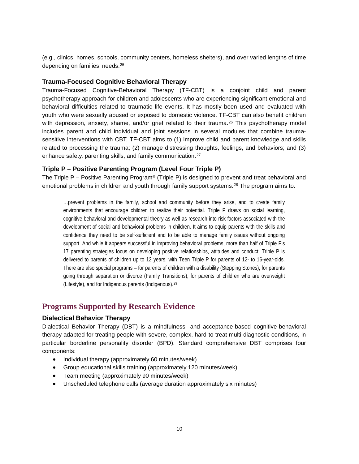(e.g., clinics, homes, schools, community centers, homeless shelters), and over varied lengths of time depending on families' needs.[25](#page-43-0)

#### **Trauma-Focused Cognitive Behavioral Therapy**

Trauma-Focused Cognitive-Behavioral Therapy (TF-CBT) is a conjoint child and parent psychotherapy approach for children and adolescents who are experiencing significant emotional and behavioral difficulties related to traumatic life events. It has mostly been used and evaluated with youth who were sexually abused or exposed to domestic violence. TF-CBT can also benefit children with depression, anxiety, shame, and/or grief related to their trauma.<sup>[26](#page-43-1)</sup> This psychotherapy model includes parent and child individual and joint sessions in several modules that combine traumasensitive interventions with CBT. TF-CBT aims to (1) improve child and parent knowledge and skills related to processing the trauma; (2) manage distressing thoughts, feelings, and behaviors; and (3) enhance safety, parenting skills, and family communication.<sup>[27](#page-43-2)</sup>

#### **Triple P – Positive Parenting Program (Level Four Triple P)**

The Triple P – Positive Parenting Program<sup>®</sup> (Triple P) is designed to prevent and treat behavioral and emotional problems in children and youth through family support systems.[28](#page-43-3) The program aims to:

…prevent problems in the family, school and community before they arise, and to create family environments that encourage children to realize their potential. Triple P draws on social learning, cognitive behavioral and developmental theory as well as research into risk factors associated with the development of social and behavioral problems in children. It aims to equip parents with the skills and confidence they need to be self-sufficient and to be able to manage family issues without ongoing support. And while it appears successful in improving behavioral problems, more than half of Triple P's 17 parenting strategies focus on developing positive relationships, attitudes and conduct. Triple P is delivered to parents of children up to 12 years, with Teen Triple P for parents of 12- to 16-year-olds. There are also special programs – for parents of children with a disability (Stepping Stones), for parents going through separation or divorce (Family Transitions), for parents of children who are overweight (Lifestyle), and for Indigenous parents (Indigenous).[29](#page-43-4)

## **Programs [Supported by Research Evidence](http://www.cebc4cw.org/scientific-rating/scale#rating1)**

#### **Dialectical Behavior Therapy**

Dialectical Behavior Therapy (DBT) is a mindfulness- and acceptance-based cognitive-behavioral therapy adapted for treating people with severe, complex, hard-to-treat multi-diagnostic conditions, in particular borderline personality disorder (BPD). Standard comprehensive DBT comprises four components:

- Individual therapy (approximately 60 minutes/week)
- Group educational skills training (approximately 120 minutes/week)
- Team meeting (approximately 90 minutes/week)
- Unscheduled telephone calls (average duration approximately six minutes)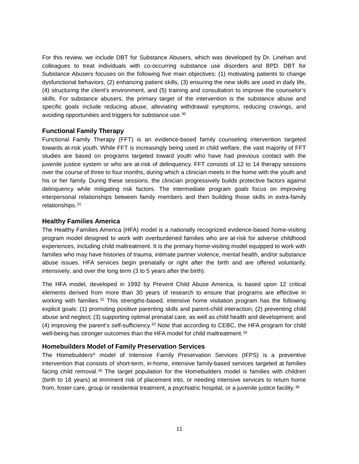For this review, we include DBT for Substance Abusers, which was developed by Dr. Linehan and colleagues to treat individuals with co-occurring substance use disorders and BPD. DBT for Substance Abusers focuses on the following five main objectives: (1) motivating patients to change dysfunctional behaviors, (2) enhancing patient skills, (3) ensuring the new skills are used in daily life, (4) structuring the client's environment, and (5) training and consultation to improve the counselor's skills. For substance abusers, the primary target of the intervention is the substance abuse and specific goals include reducing abuse, alleviating withdrawal symptoms, reducing cravings, and avoiding opportunities and triggers for substance use.[30](#page-43-5)

#### **Functional Family Therapy**

Functional Family Therapy (FFT) is an evidence-based family counseling intervention targeted towards at-risk youth. While FFT is increasingly being used in child welfare, the vast majority of FFT studies are based on programs targeted toward youth who have had previous contact with the juvenile justice system or who are at-risk of delinquency. FFT consists of 12 to 14 therapy sessions over the course of three to four months, during which a clinician meets in the home with the youth and his or her family. During these sessions, the clinician progressively builds protective factors against delinquency while mitigating risk factors. The intermediate program goals focus on improving interpersonal relationships between family members and then building those skills in extra-family relationships.[31](#page-43-6)

#### **Healthy Families America**

The Healthy Families America (HFA) model is a nationally recognized evidence-based home-visiting program model designed to work with overburdened families who are at-risk for adverse childhood experiences, including child maltreatment. It is the primary home-visiting model equipped to work with families who may have histories of trauma, intimate partner violence, mental health, and/or substance abuse issues. HFA services begin prenatally or right after the birth and are offered voluntarily, intensively, and over the long term (3 to 5 years after the birth).

The HFA model, developed in 1992 by Prevent Child Abuse America, is based upon 12 critical elements derived from more than 30 years of research to ensure that programs are effective in working with families.<sup>[32](#page-44-0)</sup> This strengths-based, intensive home visitation program has the following explicit goals: (1) promoting positive parenting skills and parent-child interaction; (2) preventing child abuse and neglect; (3) supporting optimal prenatal care, as well as child health and development; and (4) improving the parent's self-sufficiency.[33](#page-44-1) Note that according to CEBC, the HFA program for child well-being has stronger outcomes than the HFA model for child maltreatment.<sup>[34](#page-44-2)</sup>

#### **Homebuilders Model of Family Preservation Services**

The Homebuilders® model of Intensive Family Preservation Services (IFPS) is a preventive intervention that consists of short-term, in-home, intensive family-based services targeted at families facing child removal.<sup>[35](#page-44-3)</sup> The target population for the Homebuilders model is families with children (birth to 18 years) at imminent risk of placement into, or needing intensive services to return home from, foster care, group or residential treatment, a psychiatric hospital, or a juvenile justice facility.[36](#page-44-4)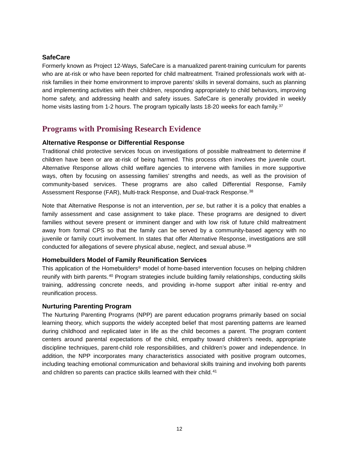#### **SafeCare**

Formerly known as Project 12-Ways, SafeCare is a manualized parent-training curriculum for parents who are at-risk or who have been reported for child maltreatment. Trained professionals work with atrisk families in their home environment to improve parents' skills in several domains, such as planning and implementing activities with their children, responding appropriately to child behaviors, improving home safety, and addressing health and safety issues. SafeCare is generally provided in weekly home visits lasting from 1-2 hours. The program typically lasts 18-20 weeks for each family.<sup>[37](#page-44-5)</sup>

## **Programs with Promising Research Evidence**

#### **Alternative Response or Differential Response**

Traditional child protective services focus on investigations of possible maltreatment to determine if children have been or are at-risk of being harmed. This process often involves the juvenile court. Alternative Response allows child welfare agencies to intervene with families in more supportive ways, often by focusing on assessing families' strengths and needs, as well as the provision of community-based services. These programs are also called Differential Response, Family Assessment Response (FAR), Multi-track Response, and Dual-track Response.[38](#page-44-6)

Note that Alternative Response is not an intervention, *per se*, but rather it is a policy that enables a family assessment and case assignment to take place. These programs are designed to divert families without severe present or imminent danger and with low risk of future child maltreatment away from formal CPS so that the family can be served by a community-based agency with no juvenile or family court involvement. In states that offer Alternative Response, investigations are still conducted for allegations of severe physical abuse, neglect, and sexual abuse.[39](#page-44-7)

#### **Homebuilders Model of Family Reunification Services**

This application of the Homebuilders® model of home-based intervention focuses on helping children reunify with birth parents.[40](#page-44-8) Program strategies include building family relationships, conducting skills training, addressing concrete needs, and providing in-home support after initial re-entry and reunification process.

#### **Nurturing Parenting Program**

The Nurturing Parenting Programs (NPP) are parent education programs primarily based on social learning theory, which supports the widely accepted belief that most parenting patterns are learned during childhood and replicated later in life as the child becomes a parent. The program content centers around parental expectations of the child, empathy toward children's needs, appropriate discipline techniques, parent-child role responsibilities, and children's power and independence. In addition, the NPP incorporates many characteristics associated with positive program outcomes, including teaching emotional communication and behavioral skills training and involving both parents and children so parents can practice skills learned with their child.<sup>[41](#page-44-9)</sup>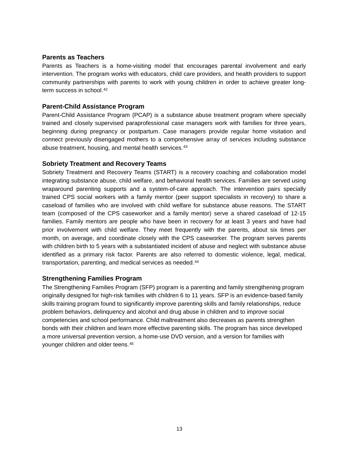#### **Parents as Teachers**

Parents as Teachers is a home-visiting model that encourages parental involvement and early intervention. The program works with educators, child care providers, and health providers to support community partnerships with parents to work with young children in order to achieve greater long-term success in school.<sup>[42](#page-44-10)</sup>

#### **Parent-Child Assistance Program**

Parent-Child Assistance Program (PCAP) is a substance abuse treatment program where specially trained and closely supervised paraprofessional case managers work with families for three years, beginning during pregnancy or postpartum. Case managers provide regular home visitation and connect previously disengaged mothers to a comprehensive array of services including substance abuse treatment, housing, and mental health services.<sup>[43](#page-44-11)</sup>

#### **Sobriety Treatment and Recovery Teams**

Sobriety Treatment and Recovery Teams (START) is a recovery coaching and collaboration model integrating substance abuse, child welfare, and behavioral health services. Families are served using wraparound parenting supports and a system-of-care approach. The intervention pairs specially trained CPS social workers with a family mentor (peer support specialists in recovery) to share a caseload of families who are involved with child welfare for substance abuse reasons. The START team (composed of the CPS caseworker and a family mentor) serve a shared caseload of 12-15 families. Family mentors are people who have been in recovery for at least 3 years and have had prior involvement with child welfare. They meet frequently with the parents, about six times per month, on average, and coordinate closely with the CPS caseworker. The program serves parents with children birth to 5 years with a substantiated incident of abuse and neglect with substance abuse identified as a primary risk factor. Parents are also referred to domestic violence, legal, medical, transportation, parenting, and medical services as needed.<sup>[44](#page-44-12)</sup>

#### **Strengthening Families Program**

The Strengthening Families Program (SFP) program is a parenting and family strengthening program originally designed for high-risk families with children 6 to 11 years. SFP is an evidence-based family skills training program found to significantly improve parenting skills and family relationships, reduce problem behaviors, delinquency and alcohol and drug abuse in children and to improve social competencies and school performance. Child maltreatment also decreases as parents strengthen bonds with their children and learn more effective parenting skills. The program has since developed a more universal prevention version, a home-use DVD version, and a version for families with younger children and older teens.[45](#page-44-13)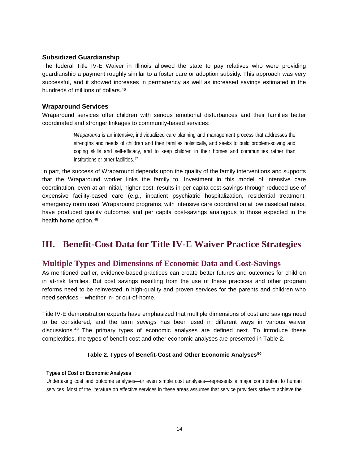#### **Subsidized Guardianship**

The federal Title IV-E Waiver in Illinois allowed the state to pay relatives who were providing guardianship a payment roughly similar to a foster care or adoption subsidy. This approach was very successful, and it showed increases in permanency as well as increased savings estimated in the hundreds of millions of dollars.<sup>[46](#page-45-0)</sup>

#### **Wraparound Services**

Wraparound services offer children with serious emotional disturbances and their families better coordinated and stronger linkages to community-based services:

> *Wraparound* is an intensive, individualized care planning and management process that addresses the strengths and needs of children and their families holistically, and seeks to build problem-solving and coping skills and self-efficacy, and to keep children in their homes and communities rather than institutions or other facilities.[47](#page-45-1)

In part, the success of Wraparound depends upon the quality of the family interventions and supports that the Wraparound worker links the family to. Investment in this model of intensive care coordination, even at an initial, higher cost, results in per capita cost-savings through reduced use of expensive facility-based care (e.g., inpatient psychiatric hospitalization, residential treatment, emergency room use). Wraparound programs, with intensive care coordination at low caseload ratios, have produced quality outcomes and per capita cost-savings analogous to those expected in the health home option.<sup>[48](#page-45-2)</sup>

# <span id="page-13-0"></span>**III. Benefit-Cost Data for Title IV-E Waiver Practice Strategies**

## **Multiple Types and Dimensions of Economic Data and Cost-Savings**

As mentioned earlier, evidence-based practices can create better futures and outcomes for children in at-risk families. But cost savings resulting from the use of these practices and other program reforms need to be reinvested in high-quality and proven services for the parents and children who need services – whether in- or out-of-home.

Title IV-E demonstration experts have emphasized that multiple dimensions of cost and savings need to be considered, and the term *savings* has been used in different ways in various waiver discussions.[49](#page-45-3) The primary types of economic analyses are defined next. To introduce these complexities, the types of benefit-cost and other economic analyses are presented in Table 2.

#### **Table 2. Types of Benefit-Cost and Other Economic Analyses[50](#page-45-4)**

**Types of Cost or Economic Analyses**

Undertaking cost and outcome analyses—or even simple cost analyses—represents a major contribution to human services. Most of the literature on effective services in these areas assumes that service providers strive to achieve the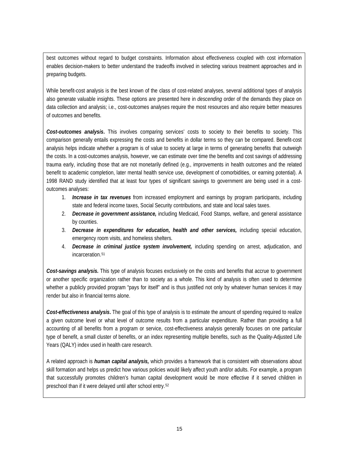best outcomes without regard to budget constraints. Information about effectiveness coupled with cost information enables decision-makers to better understand the tradeoffs involved in selecting various treatment approaches and in preparing budgets.

While benefit-cost analysis is the best known of the class of cost-related analyses, several additional types of analysis also generate valuable insights. These options are presented here in *descending* order of the demands they place on data collection and analysis; i.e., cost-outcomes analyses require the most resources and also require better measures of outcomes and benefits.

*Cost-outcomes analysis***.** This involves comparing services' costs to society to their benefits to society. This comparison generally entails expressing the costs and benefits in dollar terms so they can be compared. Benefit-cost analysis helps indicate whether a program is of value to society at large in terms of generating benefits that outweigh the costs. In a cost-outcomes analysis, however, we can estimate over time the benefits and cost savings of addressing trauma early, including those that are not monetarily defined (e.g., improvements in health outcomes and the related benefit to academic completion, later mental health service use, development of comorbidities, or earning potential). A 1998 RAND study identified that at least four types of significant savings to government are being used in a costoutcomes analyses:

- 1. *Increase in tax revenues* from increased employment and earnings by program participants, including state and federal income taxes, Social Security contributions, and state and local sales taxes.
- 2. *Decrease in government assistance,* including Medicaid, Food Stamps, welfare, and general assistance by counties.
- 3. *Decrease in expenditures for education, health and other services,* including special education, emergency room visits, and homeless shelters.
- 4. *Decrease in criminal justice system involvement,* including spending on arrest, adjudication, and incarceration.[51](#page-45-5)

*Cost-savings analysis.* This type of analysis focuses exclusively on the costs and benefits that accrue to government or another specific organization rather than to society as a whole. This kind of analysis is often used to determine whether a publicly provided program "pays for itself" and is thus justified not only by whatever human services it may render but also in financial terms alone.

*Cost-effectiveness analysis***.** The goal of this type of analysis is to estimate the amount of spending required to realize a given outcome level or what level of outcome results from a particular expenditure. Rather than providing a full accounting of all benefits from a program or service, cost-effectiveness analysis generally focuses on one particular type of benefit, a small cluster of benefits, or an index representing multiple benefits, such as the Quality-Adjusted Life Years (QALY) index used in health care research.

A related approach is *human capital analysis,* which provides a framework that is consistent with observations about skill formation and helps us predict how various policies would likely affect youth and/or adults. For example, a program that successfully promotes children's human capital development would be more effective if it served children in preschool than if it were delayed until after school entry.[52](#page-45-6)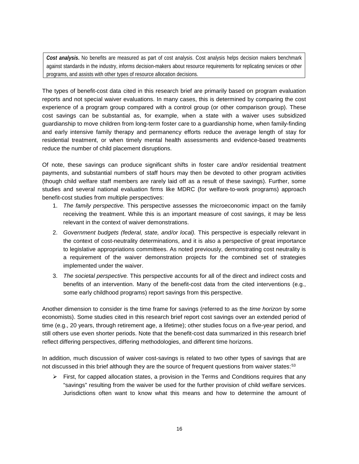*Cost analysis***.** No benefits are measured as part of cost analysis. Cost analysis helps decision makers benchmark against standards in the industry, informs decision-makers about resource requirements for replicating services or other programs, and assists with other types of resource allocation decisions.

The types of benefit-cost data cited in this research brief are primarily based on program evaluation reports and not special waiver evaluations. In many cases, this is determined by comparing the cost experience of a program group compared with a control group (or other comparison group). These cost savings can be substantial as, for example, when a state with a waiver uses subsidized guardianship to move children from long-term foster care to a guardianship home, when family-finding and early intensive family therapy and permanency efforts reduce the average length of stay for residential treatment, or when timely mental health assessments and evidence-based treatments reduce the number of child placement disruptions.

Of note, these savings can produce significant shifts in foster care and/or residential treatment payments, and substantial numbers of staff hours may then be devoted to other program activities (though child welfare staff members are rarely laid off as a result of these savings). Further, some studies and several national evaluation firms like MDRC (for welfare-to-work programs) approach benefit-cost studies from multiple perspectives:

- 1. *The family perspective.* This perspective assesses the microeconomic impact on the family receiving the treatment. While this is an important measure of cost savings, it may be less relevant in the context of waiver demonstrations.
- 2. *Government budgets (federal, state, and/or local).* This perspective is especially relevant in the context of cost-neutrality determinations, and it is also a perspective of great importance to legislative appropriations committees. As noted previously, demonstrating cost neutrality is a requirement of the waiver demonstration projects for the combined set of strategies implemented under the waiver.
- 3. *The societal perspective.* This perspective accounts for all of the direct and indirect costs and benefits of an intervention. Many of the benefit-cost data from the cited interventions (e.g., some early childhood programs) report savings from this perspective.

Another dimension to consider is the time frame for savings (referred to as the *time horizon* by some economists). Some studies cited in this research brief report cost savings over an extended period of time (e.g., 20 years, through retirement age, a lifetime); other studies focus on a five-year period, and still others use even shorter periods. Note that the benefit-cost data summarized in this research brief reflect differing perspectives, differing methodologies, and different time horizons.

In addition, much discussion of waiver cost-savings is related to two other types of savings that are not discussed in this brief although they are the source of frequent questions from waiver states:<sup>[53](#page-45-7)</sup>

 $\triangleright$  First, for capped allocation states, a provision in the Terms and Conditions requires that any "savings" resulting from the waiver be used for the further provision of child welfare services. Jurisdictions often want to know what this means and how to determine the amount of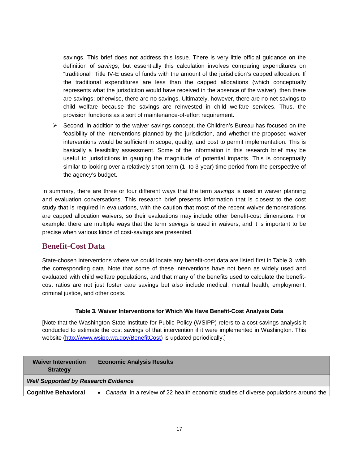savings. This brief does not address this issue. There is very little official guidance on the definition of *savings*, but essentially this calculation involves comparing expenditures on "traditional" Title IV-E uses of funds with the amount of the jurisdiction's capped allocation. If the traditional expenditures are less than the capped allocations (which conceptually represents what the jurisdiction would have received in the absence of the waiver), then there are savings; otherwise, there are no savings. Ultimately, however, there are no net savings to child welfare because the savings are reinvested in child welfare services. Thus, the provision functions as a sort of maintenance-of-effort requirement.

 $\triangleright$  Second, in addition to the waiver savings concept, the Children's Bureau has focused on the feasibility of the interventions planned by the jurisdiction, and whether the proposed waiver interventions would be sufficient in scope, quality, and cost to permit implementation. This is basically a feasibility assessment. Some of the information in this research brief may be useful to jurisdictions in gauging the magnitude of potential impacts. This is conceptually similar to looking over a relatively short-term (1- to 3-year) time period from the perspective of the agency's budget.

In summary, there are three or four different ways that the term *savings* is used in waiver planning and evaluation conversations. This research brief presents information that is closest to the cost study that is required in evaluations, with the caution that most of the recent waiver demonstrations are capped allocation waivers, so their evaluations may include other benefit-cost dimensions. For example, there are multiple ways that the term *savings* is used in waivers, and it is important to be precise when various kinds of cost-savings are presented.

## **Benefit-Cost Data**

State-chosen interventions where we could locate any benefit-cost data are listed first in Table 3, with the corresponding data. Note that some of these interventions have not been as widely used and evaluated with child welfare populations, and that many of the benefits used to calculate the benefitcost ratios are not just foster care savings but also include medical, mental health, employment, criminal justice, and other costs.

#### **Table 3. Waiver Interventions for Which We Have Benefit-Cost Analysis Data**

[Note that the Washington State Institute for Public Policy (WSIPP) refers to a cost-savings analysis it conducted to estimate the cost savings of that intervention if it were implemented in Washington. This website [\(http://www.wsipp.wa.gov/BenefitCost\)](http://www.wsipp.wa.gov/BenefitCost) is updated periodically.]

| <b>Waiver Intervention</b><br><b>Strategy</b> | <b>Economic Analysis Results</b>                                                                 |  |  |
|-----------------------------------------------|--------------------------------------------------------------------------------------------------|--|--|
| <b>Well Supported by Research Evidence</b>    |                                                                                                  |  |  |
| <b>Cognitive Behavioral</b>                   | Canada: In a review of 22 health economic studies of diverse populations around the<br>$\bullet$ |  |  |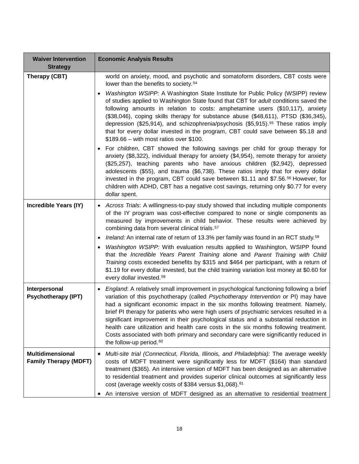| <b>Waiver Intervention</b>                              | <b>Economic Analysis Results</b>                                                                                                                                                                                                                                                                                                                                                                                                                                                                                                                                                                                                                                                       |
|---------------------------------------------------------|----------------------------------------------------------------------------------------------------------------------------------------------------------------------------------------------------------------------------------------------------------------------------------------------------------------------------------------------------------------------------------------------------------------------------------------------------------------------------------------------------------------------------------------------------------------------------------------------------------------------------------------------------------------------------------------|
| <b>Strategy</b>                                         |                                                                                                                                                                                                                                                                                                                                                                                                                                                                                                                                                                                                                                                                                        |
| Therapy (CBT)                                           | world on anxiety, mood, and psychotic and somatoform disorders, CBT costs were<br>lower than the benefits to society. <sup>54</sup>                                                                                                                                                                                                                                                                                                                                                                                                                                                                                                                                                    |
|                                                         | Washington WSIPP: A Washington State Institute for Public Policy (WSIPP) review<br>$\bullet$<br>of studies applied to Washington State found that CBT for adult conditions saved the<br>following amounts in relation to costs: amphetamine users (\$10,117), anxiety<br>(\$38,046), coping skills therapy for substance abuse (\$48,611), PTSD (\$36,345),<br>depression (\$25,914), and schizophrenia/psychosis (\$5,915). <sup>55</sup> These ratios imply<br>that for every dollar invested in the program, CBT could save between \$5.18 and<br>$$189.66 - with most ratios over $100.$                                                                                           |
|                                                         | For children, CBT showed the following savings per child for group therapy for<br>$\bullet$<br>anxiety (\$8,322), individual therapy for anxiety (\$4,954), remote therapy for anxiety<br>(\$25,257), teaching parents who have anxious children (\$2,942), depressed<br>adolescents (\$55), and trauma (\$6,738). These ratios imply that for every dollar<br>invested in the program, CBT could save between \$1.11 and \$7.56. <sup>56</sup> However, for<br>children with ADHD, CBT has a negative cost savings, returning only \$0.77 for every<br>dollar spent.                                                                                                                  |
| Incredible Years (IY)                                   | Across Trials: A willingness-to-pay study showed that including multiple components<br>$\bullet$<br>of the IY program was cost-effective compared to none or single components as<br>measured by improvements in child behavior. These results were achieved by<br>combining data from several clinical trials. <sup>57</sup>                                                                                                                                                                                                                                                                                                                                                          |
|                                                         | Ireland: An internal rate of return of 13.3% per family was found in an RCT study. <sup>58</sup><br>٠                                                                                                                                                                                                                                                                                                                                                                                                                                                                                                                                                                                  |
|                                                         | Washington WSIPP: With evaluation results applied to Washington, WSIPP found<br>$\bullet$<br>that the Incredible Years Parent Training alone and Parent Training with Child<br>Training costs exceeded benefits by \$315 and \$464 per participant, with a return of<br>\$1.19 for every dollar invested, but the child training variation lost money at \$0.60 for<br>every dollar invested. <sup>59</sup>                                                                                                                                                                                                                                                                            |
| Interpersonal<br><b>Psychotherapy (IPT)</b>             | England: A relatively small improvement in psychological functioning following a brief<br>$\bullet$<br>variation of this psychotherapy (called Psychotherapy Intervention or PI) may have<br>had a significant economic impact in the six months following treatment. Namely,<br>brief PI therapy for patients who were high users of psychiatric services resulted in a<br>significant improvement in their psychological status and a substantial reduction in<br>health care utilization and health care costs in the six months following treatment.<br>Costs associated with both primary and secondary care were significantly reduced in<br>the follow-up period. <sup>60</sup> |
| <b>Multidimensional</b><br><b>Family Therapy (MDFT)</b> | Multi-site trial (Connecticut, Florida, Illinois, and Philadelphia): The average weekly<br>٠<br>costs of MDFT treatment were significantly less for MDFT (\$164) than standard<br>treatment (\$365). An intensive version of MDFT has been designed as an alternative<br>to residential treatment and provides superior clinical outcomes at significantly less<br>cost (average weekly costs of \$384 versus \$1,068). <sup>61</sup><br>An intensive version of MDFT designed as an alternative to residential treatment                                                                                                                                                              |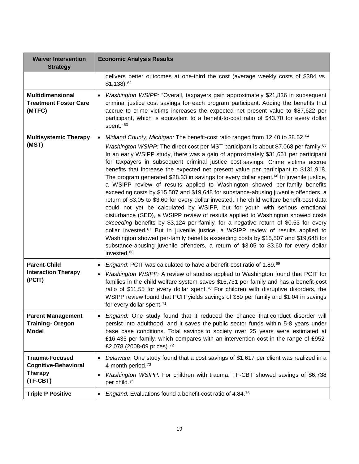| <b>Waiver Intervention</b><br><b>Strategy</b>                                      | <b>Economic Analysis Results</b>                                                                                                                                                                                                                                                                                                                                                                                                                                                                                                                                                                                                                                                                                                                                                                                                                                                                                                                                                                                                                                                                                                                                                                                                                                                                                                                                                                           |
|------------------------------------------------------------------------------------|------------------------------------------------------------------------------------------------------------------------------------------------------------------------------------------------------------------------------------------------------------------------------------------------------------------------------------------------------------------------------------------------------------------------------------------------------------------------------------------------------------------------------------------------------------------------------------------------------------------------------------------------------------------------------------------------------------------------------------------------------------------------------------------------------------------------------------------------------------------------------------------------------------------------------------------------------------------------------------------------------------------------------------------------------------------------------------------------------------------------------------------------------------------------------------------------------------------------------------------------------------------------------------------------------------------------------------------------------------------------------------------------------------|
|                                                                                    | delivers better outcomes at one-third the cost (average weekly costs of \$384 vs.<br>$$1,138$ ). $^{62}$                                                                                                                                                                                                                                                                                                                                                                                                                                                                                                                                                                                                                                                                                                                                                                                                                                                                                                                                                                                                                                                                                                                                                                                                                                                                                                   |
| <b>Multidimensional</b><br><b>Treatment Foster Care</b><br>(MTFC)                  | Washington WSIPP: "Overall, taxpayers gain approximately \$21,836 in subsequent<br>$\bullet$<br>criminal justice cost savings for each program participant. Adding the benefits that<br>accrue to crime victims increases the expected net present value to \$87,622 per<br>participant, which is equivalent to a benefit-to-cost ratio of \$43.70 for every dollar<br>spent."63                                                                                                                                                                                                                                                                                                                                                                                                                                                                                                                                                                                                                                                                                                                                                                                                                                                                                                                                                                                                                           |
| <b>Multisystemic Therapy</b><br>(MST)                                              | Midland County, Michigan: The benefit-cost ratio ranged from 12.40 to 38.52.64<br>$\bullet$<br>Washington WSIPP: The direct cost per MST participant is about \$7.068 per family. <sup>65</sup><br>In an early WSIPP study, there was a gain of approximately \$31,661 per participant<br>for taxpayers in subsequent criminal justice cost-savings. Crime victims accrue<br>benefits that increase the expected net present value per participant to \$131,918.<br>The program generated \$28.33 in savings for every dollar spent. <sup>66</sup> In juvenile justice,<br>a WSIPP review of results applied to Washington showed per-family benefits<br>exceeding costs by \$15,507 and \$19,648 for substance-abusing juvenile offenders, a<br>return of \$3.05 to \$3.60 for every dollar invested. The child welfare benefit-cost data<br>could not yet be calculated by WSIPP, but for youth with serious emotional<br>disturbance (SED), a WSIPP review of results applied to Washington showed costs<br>exceeding benefits by \$3,124 per family, for a negative return of \$0.53 for every<br>dollar invested. <sup>67</sup> But in juvenile justice, a WSIPP review of results applied to<br>Washington showed per-family benefits exceeding costs by \$15,507 and \$19,648 for<br>substance-abusing juvenile offenders, a return of \$3.05 to \$3.60 for every dollar<br>invested. <sup>68</sup> |
| <b>Parent-Child</b><br><b>Interaction Therapy</b><br>(PCIT)                        | England: PCIT was calculated to have a benefit-cost ratio of 1.89.69<br>$\bullet$<br>Washington WSIPP: A review of studies applied to Washington found that PCIT for<br>$\bullet$<br>families in the child welfare system saves \$16,731 per family and has a benefit-cost<br>ratio of \$11.55 for every dollar spent. <sup>70</sup> For children with disruptive disorders, the<br>WSIPP review found that PCIT yields savings of \$50 per family and \$1.04 in savings<br>for every dollar spent. <sup>71</sup>                                                                                                                                                                                                                                                                                                                                                                                                                                                                                                                                                                                                                                                                                                                                                                                                                                                                                          |
| <b>Parent Management</b><br><b>Training-Oregon</b><br><b>Model</b>                 | England: One study found that it reduced the chance that conduct disorder will<br>persist into adulthood, and it saves the public sector funds within 5-8 years under<br>base case conditions. Total savings to society over 25 years were estimated at<br>£16,435 per family, which compares with an intervention cost in the range of £952-<br>£2,078 (2008-09 prices). <sup>72</sup>                                                                                                                                                                                                                                                                                                                                                                                                                                                                                                                                                                                                                                                                                                                                                                                                                                                                                                                                                                                                                    |
| <b>Trauma-Focused</b><br><b>Cognitive-Behavioral</b><br><b>Therapy</b><br>(TF-CBT) | Delaware: One study found that a cost savings of \$1,617 per client was realized in a<br>$\bullet$<br>4-month period. <sup>73</sup><br>Washington WSIPP: For children with trauma, TF-CBT showed savings of \$6,738<br>$\bullet$<br>per child. <sup>74</sup>                                                                                                                                                                                                                                                                                                                                                                                                                                                                                                                                                                                                                                                                                                                                                                                                                                                                                                                                                                                                                                                                                                                                               |
| <b>Triple P Positive</b>                                                           | England: Evaluations found a benefit-cost ratio of 4.84.75<br>$\bullet$                                                                                                                                                                                                                                                                                                                                                                                                                                                                                                                                                                                                                                                                                                                                                                                                                                                                                                                                                                                                                                                                                                                                                                                                                                                                                                                                    |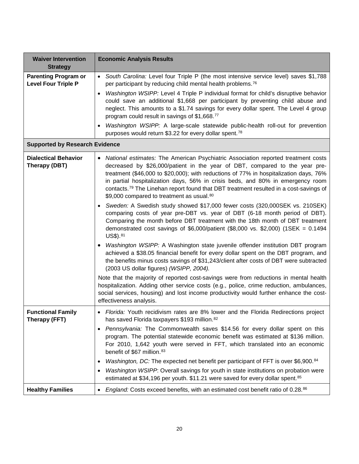| <b>Waiver Intervention</b><br><b>Strategy</b>             | <b>Economic Analysis Results</b>                                                                                                                                                                                                                                                                                                                                                                                                                                                                                                                                                                                                                                                                                                                                                                                                                                                                                                                                                                                                                                                                                                                                                                                                                                                                                                                                                                                                                                              |
|-----------------------------------------------------------|-------------------------------------------------------------------------------------------------------------------------------------------------------------------------------------------------------------------------------------------------------------------------------------------------------------------------------------------------------------------------------------------------------------------------------------------------------------------------------------------------------------------------------------------------------------------------------------------------------------------------------------------------------------------------------------------------------------------------------------------------------------------------------------------------------------------------------------------------------------------------------------------------------------------------------------------------------------------------------------------------------------------------------------------------------------------------------------------------------------------------------------------------------------------------------------------------------------------------------------------------------------------------------------------------------------------------------------------------------------------------------------------------------------------------------------------------------------------------------|
| <b>Parenting Program or</b><br><b>Level Four Triple P</b> | • South Carolina: Level four Triple P (the most intensive service level) saves \$1,788<br>per participant by reducing child mental health problems. <sup>76</sup><br>Washington WSIPP: Level 4 Triple P individual format for child's disruptive behavior<br>$\bullet$<br>could save an additional \$1,668 per participant by preventing child abuse and<br>neglect. This amounts to a \$1.74 savings for every dollar spent. The Level 4 group<br>program could result in savings of \$1,668.77<br>Washington WSIPP: A large-scale statewide public-health roll-out for prevention<br>purposes would return \$3.22 for every dollar spent. <sup>78</sup>                                                                                                                                                                                                                                                                                                                                                                                                                                                                                                                                                                                                                                                                                                                                                                                                                     |
| <b>Supported by Research Evidence</b>                     |                                                                                                                                                                                                                                                                                                                                                                                                                                                                                                                                                                                                                                                                                                                                                                                                                                                                                                                                                                                                                                                                                                                                                                                                                                                                                                                                                                                                                                                                               |
| <b>Dialectical Behavior</b><br>Therapy (DBT)              | • National estimates: The American Psychiatric Association reported treatment costs<br>decreased by \$26,000/patient in the year of DBT, compared to the year pre-<br>treatment (\$46,000 to \$20,000); with reductions of 77% in hospitalization days, 76%<br>in partial hospitalization days, 56% in crisis beds, and 80% in emergency room<br>contacts. <sup>79</sup> The Linehan report found that DBT treatment resulted in a cost-savings of<br>\$9,000 compared to treatment as usual.80<br>Sweden: A Swedish study showed \$17,000 fewer costs (320,000SEK vs. 210SEK)<br>comparing costs of year pre-DBT vs. year of DBT (6-18 month period of DBT).<br>Comparing the month before DBT treatment with the 18th month of DBT treatment<br>demonstrated cost savings of $$6,000/p$ atient (\$8,000 vs. \$2,000) (1SEK = 0.1494<br>$US$$ ). $81$<br>Washington WSIPP: A Washington state juvenile offender institution DBT program<br>achieved a \$38.05 financial benefit for every dollar spent on the DBT program, and<br>the benefits minus costs savings of \$31,243/client after costs of DBT were subtracted<br>(2003 US dollar figures) (WSIPP, 2004).<br>Note that the majority of reported cost-savings were from reductions in mental health<br>hospitalization. Adding other service costs (e.g., police, crime reduction, ambulances,<br>social services, housing) and lost income productivity would further enhance the cost-<br>effectiveness analysis. |
| <b>Functional Family</b><br>Therapy (FFT)                 | • Florida: Youth recidivism rates are 8% lower and the Florida Redirections project<br>has saved Florida taxpayers \$193 million. 82                                                                                                                                                                                                                                                                                                                                                                                                                                                                                                                                                                                                                                                                                                                                                                                                                                                                                                                                                                                                                                                                                                                                                                                                                                                                                                                                          |
|                                                           | Pennsylvania: The Commonwealth saves \$14.56 for every dollar spent on this<br>$\bullet$<br>program. The potential statewide economic benefit was estimated at \$136 million.<br>For 2010, 1,642 youth were served in FFT, which translated into an economic<br>benefit of \$67 million. <sup>83</sup><br>Washington, DC: The expected net benefit per participant of FFT is over \$6,900.84<br>Washington WSIPP: Overall savings for youth in state institutions on probation were<br>estimated at \$34,196 per youth. \$11.21 were saved for every dollar spent. <sup>85</sup>                                                                                                                                                                                                                                                                                                                                                                                                                                                                                                                                                                                                                                                                                                                                                                                                                                                                                              |
| <b>Healthy Families</b>                                   | England: Costs exceed benefits, with an estimated cost benefit ratio of 0.28.86                                                                                                                                                                                                                                                                                                                                                                                                                                                                                                                                                                                                                                                                                                                                                                                                                                                                                                                                                                                                                                                                                                                                                                                                                                                                                                                                                                                               |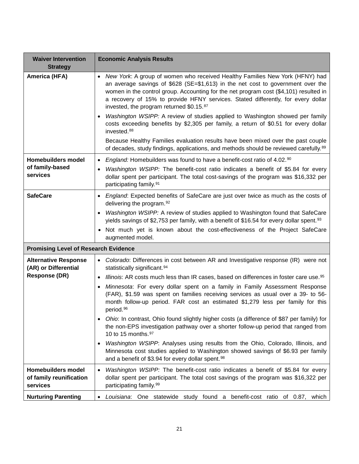| <b>Waiver Intervention</b>                                                  | <b>Economic Analysis Results</b>                                                                                                                                                                                                                                                                                                                                                                                                                                                                                                                                                                                                                                                   |
|-----------------------------------------------------------------------------|------------------------------------------------------------------------------------------------------------------------------------------------------------------------------------------------------------------------------------------------------------------------------------------------------------------------------------------------------------------------------------------------------------------------------------------------------------------------------------------------------------------------------------------------------------------------------------------------------------------------------------------------------------------------------------|
| <b>Strategy</b>                                                             |                                                                                                                                                                                                                                                                                                                                                                                                                                                                                                                                                                                                                                                                                    |
| America (HFA)                                                               | • New York: A group of women who received Healthy Families New York (HFNY) had<br>an average savings of $$628$ (SE=\$1,613) in the net cost to government over the<br>women in the control group. Accounting for the net program cost (\$4,101) resulted in<br>a recovery of 15% to provide HFNY services. Stated differently, for every dollar<br>invested, the program returned \$0.15.87<br>Washington WSIPP: A review of studies applied to Washington showed per family<br>costs exceeding benefits by \$2,305 per family, a return of \$0.51 for every dollar<br>invested. <sup>88</sup><br>Because Healthy Families evaluation results have been mixed over the past couple |
|                                                                             | of decades, study findings, applications, and methods should be reviewed carefully. <sup>89</sup>                                                                                                                                                                                                                                                                                                                                                                                                                                                                                                                                                                                  |
| <b>Homebuilders model</b>                                                   | England: Homebuilders was found to have a benefit-cost ratio of 4.02.90<br>$\bullet$                                                                                                                                                                                                                                                                                                                                                                                                                                                                                                                                                                                               |
| of family-based<br>services                                                 | Washington WSIPP: The benefit-cost ratio indicates a benefit of \$5.84 for every<br>$\bullet$<br>dollar spent per participant. The total cost-savings of the program was \$16,332 per<br>participating family. <sup>91</sup>                                                                                                                                                                                                                                                                                                                                                                                                                                                       |
| <b>SafeCare</b>                                                             | England: Expected benefits of SafeCare are just over twice as much as the costs of<br>$\bullet$<br>delivering the program. <sup>92</sup>                                                                                                                                                                                                                                                                                                                                                                                                                                                                                                                                           |
|                                                                             | Washington WSIPP: A review of studies applied to Washington found that SafeCare<br>$\bullet$<br>yields savings of \$2,753 per family, with a benefit of \$16.54 for every dollar spent. <sup>93</sup>                                                                                                                                                                                                                                                                                                                                                                                                                                                                              |
|                                                                             | Not much yet is known about the cost-effectiveness of the Project SafeCare<br>augmented model.                                                                                                                                                                                                                                                                                                                                                                                                                                                                                                                                                                                     |
| <b>Promising Level of Research Evidence</b>                                 |                                                                                                                                                                                                                                                                                                                                                                                                                                                                                                                                                                                                                                                                                    |
| <b>Alternative Response</b><br>(AR) or Differential<br><b>Response (DR)</b> | • Colorado: Differences in cost between AR and Investigative response (IR) were not<br>statistically significant. <sup>94</sup><br><i>Illinois</i> : AR costs much less than IR cases, based on differences in foster care use. <sup>95</sup><br>$\bullet$                                                                                                                                                                                                                                                                                                                                                                                                                         |
|                                                                             | Minnesota: For every dollar spent on a family in Family Assessment Response<br>$\bullet$<br>(FAR), \$1.59 was spent on families receiving services as usual over a 39- to 56-<br>month follow-up period. FAR cost an estimated \$1,279 less per family for this<br>period. <sup>96</sup>                                                                                                                                                                                                                                                                                                                                                                                           |
|                                                                             | Ohio: In contrast, Ohio found slightly higher costs (a difference of \$87 per family) for<br>the non-EPS investigation pathway over a shorter follow-up period that ranged from<br>10 to 15 months. 97                                                                                                                                                                                                                                                                                                                                                                                                                                                                             |
|                                                                             | Washington WSIPP: Analyses using results from the Ohio, Colorado, Illinois, and<br>$\bullet$<br>Minnesota cost studies applied to Washington showed savings of \$6.93 per family<br>and a benefit of \$3.94 for every dollar spent. <sup>98</sup>                                                                                                                                                                                                                                                                                                                                                                                                                                  |
| <b>Homebuilders model</b><br>of family reunification<br>services            | Washington WSIPP: The benefit-cost ratio indicates a benefit of \$5.84 for every<br>$\bullet$<br>dollar spent per participant. The total cost savings of the program was \$16,322 per<br>participating family. <sup>99</sup>                                                                                                                                                                                                                                                                                                                                                                                                                                                       |
| <b>Nurturing Parenting</b>                                                  | benefit-cost ratio of 0.87,<br>One statewide study found a<br>Louisiana:<br>which                                                                                                                                                                                                                                                                                                                                                                                                                                                                                                                                                                                                  |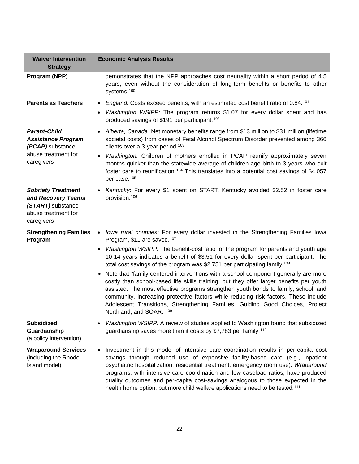| <b>Waiver Intervention</b><br><b>Strategy</b>                                                             | <b>Economic Analysis Results</b>                                                                                                                                                                                                                                                                                                                                                                                                                                                                                                                                                                                                                                                                                                                                                                                                                                                                    |
|-----------------------------------------------------------------------------------------------------------|-----------------------------------------------------------------------------------------------------------------------------------------------------------------------------------------------------------------------------------------------------------------------------------------------------------------------------------------------------------------------------------------------------------------------------------------------------------------------------------------------------------------------------------------------------------------------------------------------------------------------------------------------------------------------------------------------------------------------------------------------------------------------------------------------------------------------------------------------------------------------------------------------------|
| Program (NPP)                                                                                             | demonstrates that the NPP approaches cost neutrality within a short period of 4.5<br>years, even without the consideration of long-term benefits or benefits to other<br>systems. <sup>100</sup>                                                                                                                                                                                                                                                                                                                                                                                                                                                                                                                                                                                                                                                                                                    |
| <b>Parents as Teachers</b>                                                                                | England: Costs exceed benefits, with an estimated cost benefit ratio of 0.84.101<br>$\bullet$<br>Washington WSIPP: The program returns \$1.07 for every dollar spent and has<br>produced savings of \$191 per participant. <sup>102</sup>                                                                                                                                                                                                                                                                                                                                                                                                                                                                                                                                                                                                                                                           |
| <b>Parent-Child</b><br><b>Assistance Program</b><br>(PCAP) substance<br>abuse treatment for<br>caregivers | • Alberta, Canada: Net monetary benefits range from \$13 million to \$31 million (lifetime<br>societal costs) from cases of Fetal Alcohol Spectrum Disorder prevented among 366<br>clients over a 3-year period. <sup>103</sup><br>Washington: Children of mothers enrolled in PCAP reunify approximately seven<br>$\bullet$<br>months quicker than the statewide average of children age birth to 3 years who exit<br>foster care to reunification. <sup>104</sup> This translates into a potential cost savings of \$4,057<br>per case. <sup>105</sup>                                                                                                                                                                                                                                                                                                                                            |
| <b>Sobriety Treatment</b><br>and Recovery Teams<br>(START) substance<br>abuse treatment for<br>caregivers | Kentucky: For every \$1 spent on START, Kentucky avoided \$2.52 in foster care<br>provision. <sup>106</sup>                                                                                                                                                                                                                                                                                                                                                                                                                                                                                                                                                                                                                                                                                                                                                                                         |
| <b>Strengthening Families</b><br>Program                                                                  | • Iowa rural counties: For every dollar invested in the Strengthening Families Iowa<br>Program, \$11 are saved. <sup>107</sup><br>Washington WSIPP: The benefit-cost ratio for the program for parents and youth age<br>$\bullet$<br>10-14 years indicates a benefit of \$3.51 for every dollar spent per participant. The<br>total cost savings of the program was \$2,751 per participating family. <sup>108</sup><br>• Note that 'family-centered interventions with a school component generally are more<br>costly than school-based life skills training, but they offer larger benefits per youth<br>assisted. The most effective programs strengthen youth bonds to family, school, and<br>community, increasing protective factors while reducing risk factors. These include<br>Adolescent Transitions, Strengthening Families, Guiding Good Choices, Project<br>Northland, and SOAR."109 |
| <b>Subsidized</b><br>Guardianship<br>(a policy intervention)                                              | Washington WSIPP: A review of studies applied to Washington found that subsidized<br>guardianship saves more than it costs by \$7,783 per family. <sup>110</sup>                                                                                                                                                                                                                                                                                                                                                                                                                                                                                                                                                                                                                                                                                                                                    |
| <b>Wraparound Services</b><br>(including the Rhode<br>Island model)                                       | Investment in this model of intensive care coordination results in per-capita cost<br>$\bullet$<br>savings through reduced use of expensive facility-based care (e.g., inpatient<br>psychiatric hospitalization, residential treatment, emergency room use). Wraparound<br>programs, with intensive care coordination and low caseload ratios, have produced<br>quality outcomes and per-capita cost-savings analogous to those expected in the<br>health home option, but more child welfare applications need to be tested. <sup>111</sup>                                                                                                                                                                                                                                                                                                                                                        |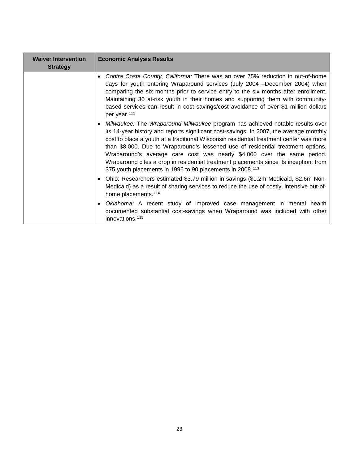| <b>Waiver Intervention</b><br><b>Strategy</b> | <b>Economic Analysis Results</b>                                                                                                                                                                                                                                                                                                                                                                                                                                                                                                                                                                   |
|-----------------------------------------------|----------------------------------------------------------------------------------------------------------------------------------------------------------------------------------------------------------------------------------------------------------------------------------------------------------------------------------------------------------------------------------------------------------------------------------------------------------------------------------------------------------------------------------------------------------------------------------------------------|
|                                               | Contra Costa County, California: There was an over 75% reduction in out-of-home<br>days for youth entering Wraparound services (July 2004 – December 2004) when<br>comparing the six months prior to service entry to the six months after enrollment.<br>Maintaining 30 at-risk youth in their homes and supporting them with community-<br>based services can result in cost savings/cost avoidance of over \$1 million dollars<br>per year. <sup>112</sup>                                                                                                                                      |
|                                               | Milwaukee: The Wraparound Milwaukee program has achieved notable results over<br>its 14-year history and reports significant cost-savings. In 2007, the average monthly<br>cost to place a youth at a traditional Wisconsin residential treatment center was more<br>than \$8,000. Due to Wraparound's lessened use of residential treatment options,<br>Wraparound's average care cost was nearly \$4,000 over the same period.<br>Wraparound cites a drop in residential treatment placements since its inception: from<br>375 youth placements in 1996 to 90 placements in 2008. <sup>113</sup> |
|                                               | Ohio: Researchers estimated \$3.79 million in savings (\$1.2m Medicaid, \$2.6m Non-<br>Medicaid) as a result of sharing services to reduce the use of costly, intensive out-of-<br>home placements. <sup>114</sup>                                                                                                                                                                                                                                                                                                                                                                                 |
|                                               | Oklahoma: A recent study of improved case management in mental health<br>documented substantial cost-savings when Wraparound was included with other<br>innovations. <sup>115</sup>                                                                                                                                                                                                                                                                                                                                                                                                                |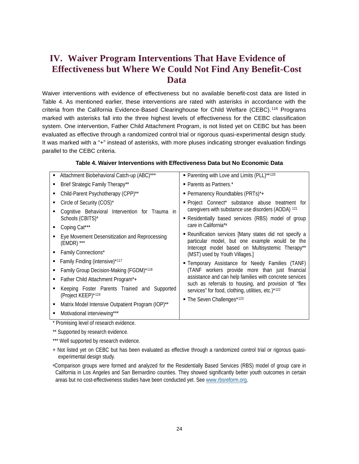# <span id="page-23-0"></span>**IV. Waiver Program Interventions That Have Evidence of Effectiveness but Where We Could Not Find Any Benefit-Cost Data**

Waiver interventions with evidence of effectiveness but no available benefit-cost data are listed in Table 4. As mentioned earlier, these interventions are rated with asterisks in accordance with the criteria from the California Evidence-Based Clearinghouse for Child Welfare (CEBC).[116](#page-49-8) Programs marked with asterisks fall into the three highest levels of effectiveness for the CEBC classification system. One intervention, Father Child Attachment Program, is not listed yet on CEBC but has been evaluated as effective through a randomized control trial or rigorous quasi-experimental design study. It was marked with a "+" instead of asterisks, with more pluses indicating stronger evaluation findings parallel to the CEBC criteria.

| ٠                        | Attachment Biobehavioral Catch-up (ABC)***        | • Parenting with Love and Limits (PLL)**120                                                                                                                   |
|--------------------------|---------------------------------------------------|---------------------------------------------------------------------------------------------------------------------------------------------------------------|
|                          | Brief Strategic Family Therapy**                  | • Parents as Partners.*                                                                                                                                       |
| ٠                        | Child-Parent Psychotherapy (CPP)**                | <b>Permanency Roundtables (PRTs)</b> *+                                                                                                                       |
| ٠                        | Circle of Security (COS)*                         | " Project Connect* substance abuse treatment for                                                                                                              |
|                          | Cognitive Behavioral Intervention for Trauma in   | caregivers with substance use disorders (AODA) 121                                                                                                            |
| Schools (CBITS)*         |                                                   | Residentially based services (RBS) model of group                                                                                                             |
| Coping Cat***            |                                                   | care in California*a                                                                                                                                          |
| ٠<br>$(EMDR)$ ***        | Eye Movement Desensitization and Reprocessing     | • Reunification services [Many states did not specify a<br>particular model, but one example would be the<br>Intercept model based on Multisystemic Therapy** |
| Family Connections*<br>٠ |                                                   | (MST) used by Youth Villages.]                                                                                                                                |
|                          | Family Finding (intensive) <sup>*117</sup>        | <b>Example Temporary Assistance for Needy Families (TANF)</b>                                                                                                 |
|                          | Family Group Decision-Making (FGDM)*118           | (TANF workers provide more than just financial                                                                                                                |
| ٠                        | Father Child Attachment Program <sup>*</sup> +    | assistance and can help families with concrete services<br>such as referrals to housing, and provision of "flex                                               |
| (Project KEEP)*119       | Keeping Foster Parents Trained and Supported      | services" for food, clothing, utilities, etc.)*122                                                                                                            |
| ٠                        | Matrix Model Intensive Outpatient Program (IOP)** | • The Seven Challenges*123                                                                                                                                    |
| ٠                        | Motivational interviewing***                      |                                                                                                                                                               |

#### **Table 4. Waiver Interventions with Effectiveness Data but No Economic Data**

\* Promising level of research evidence.

\*\* [Supported by research evidence.](http://www.cebc4cw.org/scientific-rating/scale#rating2)

\*\*\* Well [supported by research evidence.](http://www.cebc4cw.org/scientific-rating/scale#rating2)

+ Not listed yet on CEBC but has been evaluated as effective through a randomized control trial or rigorous quasiexperimental design study.

aComparison groups were formed and analyzed for the Residentially Based Services (RBS) model of group care in California in Los Angeles and San Bernardino counties. They showed significantly better youth outcomes in certain areas but no cost-effectiveness studies have been conducted yet. Se[e www.rbsreform.org.](http://www.rbsreform.org/)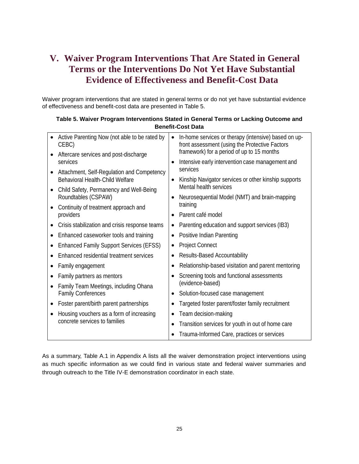# <span id="page-24-0"></span>**V. Waiver Program Interventions That Are Stated in General Terms or the Interventions Do Not Yet Have Substantial Evidence of Effectiveness and Benefit-Cost Data**

Waiver program interventions that are stated in general terms or do not yet have substantial evidence of effectiveness and benefit-cost data are presented in Table 5.

| Table 5. Waiver Program Interventions Stated in General Terms or Lacking Outcome and |
|--------------------------------------------------------------------------------------|
| <b>Benefit-Cost Data</b>                                                             |

|           | Active Parenting Now (not able to be rated by<br>CEBC) | In-home services or therapy (intensive) based on up-<br>front assessment (using the Protective Factors |  |
|-----------|--------------------------------------------------------|--------------------------------------------------------------------------------------------------------|--|
|           | Aftercare services and post-discharge<br>services      | framework) for a period of up to 15 months                                                             |  |
|           | Attachment, Self-Regulation and Competency             | Intensive early intervention case management and<br>services                                           |  |
|           | Behavioral Health-Child Welfare                        | Kinship Navigator services or other kinship supports                                                   |  |
|           | Child Safety, Permanency and Well-Being                | Mental health services                                                                                 |  |
|           | Roundtables (CSPAW)                                    | Neurosequential Model (NMT) and brain-mapping<br>training                                              |  |
|           | Continuity of treatment approach and<br>providers      | Parent café model                                                                                      |  |
|           | Crisis stabilization and crisis response teams         | Parenting education and support services (IB3)<br>٠                                                    |  |
|           | Enhanced caseworker tools and training                 | Positive Indian Parenting<br>$\bullet$                                                                 |  |
| ٠         | <b>Enhanced Family Support Services (EFSS)</b>         | <b>Project Connect</b><br>٠                                                                            |  |
|           | Enhanced residential treatment services                | Results-Based Accountability<br>$\bullet$                                                              |  |
|           | Family engagement                                      | Relationship-based visitation and parent mentoring                                                     |  |
| $\bullet$ | Family partners as mentors                             | Screening tools and functional assessments                                                             |  |
|           | Family Team Meetings, including Ohana                  | (evidence-based)                                                                                       |  |
|           | <b>Family Conferences</b>                              | Solution-focused case management                                                                       |  |
| ٠         | Foster parent/birth parent partnerships                | Targeted foster parent/foster family recruitment                                                       |  |
|           | Housing vouchers as a form of increasing               | Team decision-making                                                                                   |  |
|           | concrete services to families                          | Transition services for youth in out of home care                                                      |  |
|           |                                                        | Trauma-Informed Care, practices or services                                                            |  |

As a summary, Table A.1 in Appendix A lists all the waiver demonstration project interventions using as much specific information as we could find in various state and federal waiver summaries and through outreach to the Title IV-E demonstration coordinator in each state.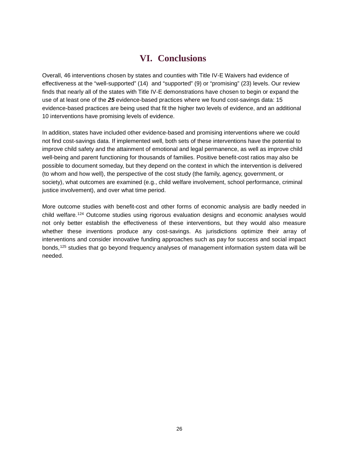# **VI. Conclusions**

<span id="page-25-0"></span>Overall, 46 interventions chosen by states and counties with Title IV-E Waivers had evidence of effectiveness at the "well-supported" (14) and "supported" (9) or "promising" (23) levels. Our review finds that nearly all of the states with Title IV-E demonstrations have chosen to begin or expand the use of at least one of the *25* evidence-based practices where we found cost-savings data: 15 evidence-based practices are being used that fit the higher two levels of evidence, and an additional 10 interventions have promising levels of evidence.

In addition, states have included other evidence-based and promising interventions where we could not find cost-savings data. If implemented well, both sets of these interventions have the potential to improve child safety and the attainment of emotional and legal permanence, as well as improve child well-being and parent functioning for thousands of families. Positive benefit-cost ratios may also be possible to document someday, but they depend on the context in which the intervention is delivered (to whom and how well), the perspective of the cost study (the family, agency, government, or society), what outcomes are examined (e.g., child welfare involvement, school performance, criminal justice involvement), and over what time period.

More outcome studies with benefit-cost and other forms of economic analysis are badly needed in child welfare.[124](#page-50-2) Outcome studies using rigorous evaluation designs and economic analyses would not only better establish the effectiveness of these interventions, but they would also measure whether these inventions produce any cost-savings. As jurisdictions optimize their array of interventions and consider innovative funding approaches such as pay for success and social impact bonds,[125](#page-51-0) studies that go beyond frequency analyses of management information system data will be needed.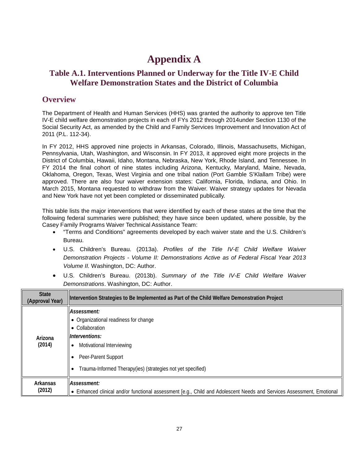# **Appendix A**

# <span id="page-26-0"></span>**Table A.1. Interventions Planned or Underway for the Title IV-E Child Welfare Demonstration States and the District of Columbia**

## **Overview**

The Department of Health and Human Services (HHS) was granted the authority to approve ten Title IV-E child welfare demonstration projects in each of FYs 2012 through 2014under Section 1130 of the Social Security Act, as amended by the Child and Family Services Improvement and Innovation Act of 2011 (P.L. 112-34).

In FY 2012, HHS approved nine projects in Arkansas, Colorado, Illinois, Massachusetts, Michigan, Pennsylvania, Utah, Washington, and Wisconsin. In FY 2013, it approved eight more projects in the District of Columbia, Hawaii, Idaho, Montana, Nebraska, New York, Rhode Island, and Tennessee. In FY 2014 the final cohort of nine states including Arizona, Kentucky, Maryland, Maine, Nevada, Oklahoma, Oregon, Texas, West Virginia and one tribal nation (Port Gamble S'Klallam Tribe) were approved. There are also four waiver extension states: California, Florida, Indiana, and Ohio. In March 2015, Montana requested to withdraw from the Waiver. Waiver strategy updates for Nevada and New York have not yet been completed or disseminated publically.

This table lists the major interventions that were identified by each of these states at the time that the following federal summaries were published; they have since been updated, where possible, by the Casey Family Programs Waiver Technical Assistance Team:

- "Terms and Conditions" agreements developed by each waiver state and the U.S. Children's Bureau.
- U.S. Children's Bureau. (2013a). *Profiles of the Title IV-E Child Welfare Waiver Demonstration Projects - Volume II: Demonstrations Active as of Federal Fiscal Year 2013 Volume II.* Washington, DC: Author.
- U.S. Children's Bureau. (2013b). *Summary of the Title IV-E Child Welfare Waiver Demonstrations*. Washington, DC: Author.

| <b>State</b><br>(Approval Year) | Intervention Strategies to Be Implemented as Part of the Child Welfare Demonstration Project                                                                                                                 |
|---------------------------------|--------------------------------------------------------------------------------------------------------------------------------------------------------------------------------------------------------------|
| Arizona<br>(2014)               | Assessment:<br>• Organizational readiness for change<br>• Collaboration<br>Interventions:<br>Motivational Interviewing<br>Peer-Parent Support<br>Trauma-Informed Therapy(ies) (strategies not yet specified) |
| Arkansas<br>(2012)              | Assessment:<br>• Enhanced clinical and/or functional assessment [e.g., Child and Adolescent Needs and Services Assessment, Emotional                                                                         |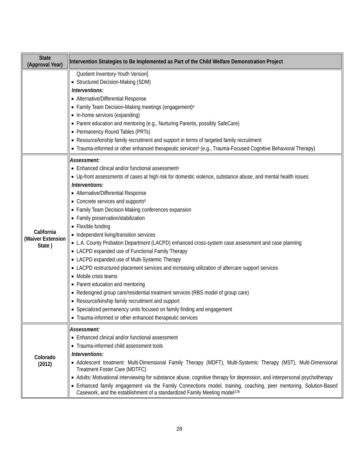| <b>State</b><br>(Approval Year)           | Intervention Strategies to Be Implemented as Part of the Child Welfare Demonstration Project                                                                                                                                                                                                                                                                                                                                                                                                                                                                                                                                                                                                                                                                                                                                                                                                                                                                                                                                                                                                                              |
|-------------------------------------------|---------------------------------------------------------------------------------------------------------------------------------------------------------------------------------------------------------------------------------------------------------------------------------------------------------------------------------------------------------------------------------------------------------------------------------------------------------------------------------------------------------------------------------------------------------------------------------------------------------------------------------------------------------------------------------------------------------------------------------------------------------------------------------------------------------------------------------------------------------------------------------------------------------------------------------------------------------------------------------------------------------------------------------------------------------------------------------------------------------------------------|
|                                           | Quotient Inventory-Youth Version]<br>• Structured Decision-Making (SDM)<br>Interventions:<br>• Alternative/Differential Response<br>• Family Team Decision-Making meetings (engagement) <sup>a</sup><br>• In-home services (expanding)<br>• Parent education and mentoring (e.g., Nurturing Parents, possibly SafeCare)<br>• Permanency Round Tables (PRTs)<br>• Resource/kinship family recruitment and support in terms of targeted family recruitment<br>• Trauma-informed or other enhanced therapeutic services <sup>b</sup> (e.g., Trauma-Focused Cognitive Behavioral Therapy)                                                                                                                                                                                                                                                                                                                                                                                                                                                                                                                                     |
| California<br>(Waiver Extension<br>State) | Assessment:<br>• Enhanced clinical and/or functional assessment <sup>c</sup><br>• Up-front assessments of cases at high risk for domestic violence, substance abuse, and mental health issues<br>Interventions:<br>• Alternative/Differential Response<br>• Concrete services and supportsd<br>• Family Team Decision-Making conferences expansion<br>• Family preservation/stabilization<br>• Flexible funding<br>• Independent living/transition services<br>• L.A. County Probation Department (LACPD) enhanced cross-system case assessment and case planning<br>• LACPD expanded use of Functional Family Therapy<br>• LACPD expanded use of Multi-Systemic Therapy<br>• LACPD restructured placement services and increasing utilization of aftercare support services<br>• Mobile crisis teams<br>• Parent education and mentoring<br>• Redesigned group care/residential treatment services (RBS model of group care)<br>• Resource/kinship family recruitment and support<br>• Specialized permanency units focused on family finding and engagement<br>• Trauma-informed or other enhanced therapeutic services |
| Colorado<br>(2012)                        | Assessment:<br>• Enhanced clinical and/or functional assessment<br>• Trauma-informed child assessment tools<br>Interventions:<br>• Adolescent treatment: Multi-Dimensional Family Therapy (MDFT), Multi-Systemic Therapy (MST), Multi-Dimensional<br>Treatment Foster Care (MDTFC)<br>• Adults: Motivational interviewing for substance abuse, cognitive therapy for depression, and interpersonal psychotherapy<br>• Enhanced family engagement via the Family Connections model, training, coaching, peer mentoring, Solution-Based<br>Casework, and the establishment of a standardized Family Meeting model <sup>126</sup>                                                                                                                                                                                                                                                                                                                                                                                                                                                                                            |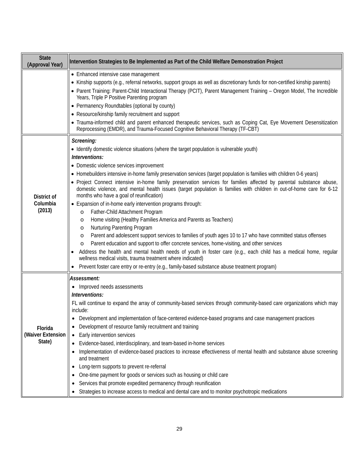| <b>State</b><br>(Approval Year)        | Intervention Strategies to Be Implemented as Part of the Child Welfare Demonstration Project                                                                                                                                                                                                                                                                                                                                                                                                                                                                                                                                                                                                                                                                                                                                                                                                                                                                                                                                                                                                                                                                                                                                                                                                                                                                  |
|----------------------------------------|---------------------------------------------------------------------------------------------------------------------------------------------------------------------------------------------------------------------------------------------------------------------------------------------------------------------------------------------------------------------------------------------------------------------------------------------------------------------------------------------------------------------------------------------------------------------------------------------------------------------------------------------------------------------------------------------------------------------------------------------------------------------------------------------------------------------------------------------------------------------------------------------------------------------------------------------------------------------------------------------------------------------------------------------------------------------------------------------------------------------------------------------------------------------------------------------------------------------------------------------------------------------------------------------------------------------------------------------------------------|
|                                        | • Enhanced intensive case management<br>• Kinship supports (e.g., referral networks, support groups as well as discretionary funds for non-certified kinship parents)<br>• Parent Training: Parent-Child Interactional Therapy (PCIT), Parent Management Training - Oregon Model, The Incredible<br>Years, Triple P Positive Parenting program<br>• Permanency Roundtables (optional by county)<br>• Resource/kinship family recruitment and support<br>• Trauma-informed child and parent enhanced therapeutic services, such as Coping Cat, Eye Movement Desensitization<br>Reprocessing (EMDR), and Trauma-Focused Cognitive Behavioral Therapy (TF-CBT)                                                                                                                                                                                                                                                                                                                                                                                                                                                                                                                                                                                                                                                                                                   |
| District of<br>Columbia<br>(2013)      | Screening:<br>• Identify domestic violence situations (where the target population is vulnerable youth)<br>Interventions:<br>• Domestic violence services improvement<br>• Homebuilders intensive in-home family preservation services (target population is families with children 0-6 years)<br>• Project Connect intensive in-home family preservation services for families affected by parental substance abuse,<br>domestic violence, and mental health issues (target population is families with children in out-of-home care for 6-12<br>months who have a goal of reunification)<br>• Expansion of in-home early intervention programs through:<br>Father-Child Attachment Program<br>$\circ$<br>Home visiting (Healthy Families America and Parents as Teachers)<br>$\circ$<br><b>Nurturing Parenting Program</b><br>$\circ$<br>Parent and adolescent support services to families of youth ages 10 to 17 who have committed status offenses<br>$\circ$<br>Parent education and support to offer concrete services, home-visiting, and other services<br>$\circ$<br>Address the health and mental health needs of youth in foster care (e.g., each child has a medical home, regular<br>wellness medical visits, trauma treatment where indicated)<br>Prevent foster care entry or re-entry (e.g., family-based substance abuse treatment program) |
| Florida<br>(Waiver Extension<br>State) | Assessment:<br>• Improved needs assessments<br>Interventions:<br>FL will continue to expand the array of community-based services through community-based care organizations which may<br>include:<br>Development and implementation of face-centered evidence-based programs and case management practices<br>Development of resource family recruitment and training<br>Early intervention services<br>Evidence-based, interdisciplinary, and team-based in-home services<br>Implementation of evidence-based practices to increase effectiveness of mental health and substance abuse screening<br>and treatment<br>Long-term supports to prevent re-referral<br>$\bullet$<br>One-time payment for goods or services such as housing or child care<br>Services that promote expedited permanency through reunification<br>Strategies to increase access to medical and dental care and to monitor psychotropic medications                                                                                                                                                                                                                                                                                                                                                                                                                                 |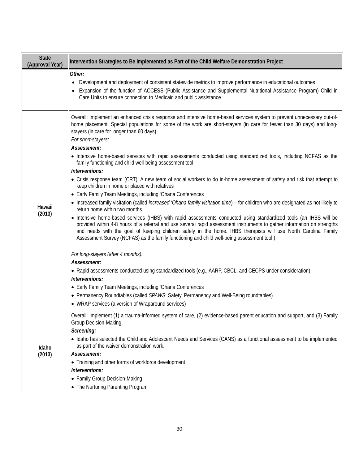| <b>State</b><br>(Approval Year) | Intervention Strategies to Be Implemented as Part of the Child Welfare Demonstration Project                                                                                                                                                                                                                                                                                                                                                                 |
|---------------------------------|--------------------------------------------------------------------------------------------------------------------------------------------------------------------------------------------------------------------------------------------------------------------------------------------------------------------------------------------------------------------------------------------------------------------------------------------------------------|
|                                 | Other:<br>Development and deployment of consistent statewide metrics to improve performance in educational outcomes<br>Expansion of the function of ACCESS (Public Assistance and Supplemental Nutritional Assistance Program) Child in<br>Care Units to ensure connection to Medicaid and public assistance                                                                                                                                                 |
|                                 | Overall: Implement an enhanced crisis response and intensive home-based services system to prevent unnecessary out-of-<br>home placement. Special populations for some of the work are short-stayers (in care for fewer than 30 days) and long-<br>stayers (in care for longer than 60 days).<br>For short-stayers:<br>Assessment:                                                                                                                           |
|                                 | • Intensive home-based services with rapid assessments conducted using standardized tools, including NCFAS as the<br>family functioning and child well-being assessment tool<br>Interventions:                                                                                                                                                                                                                                                               |
|                                 | • Crisis response team (CRT): A new team of social workers to do in-home assessment of safety and risk that attempt to<br>keep children in home or placed with relatives                                                                                                                                                                                                                                                                                     |
|                                 | • Early Family Team Meetings, including 'Ohana Conferences                                                                                                                                                                                                                                                                                                                                                                                                   |
| Hawaii                          | • Increased family visitation (called increased 'Ohana family visitation time) - for children who are designated as not likely to<br>return home within two months                                                                                                                                                                                                                                                                                           |
| (2013)                          | • Intensive home-based services (IHBS) with rapid assessments conducted using standardized tools (an IHBS will be<br>provided within 4-8 hours of a referral and use several rapid assessment instruments to gather information on strengths<br>and needs with the goal of keeping children safely in the home. IHBS therapists will use North Carolina Family<br>Assessment Survey (NCFAS) as the family functioning and child well-being assessment tool.) |
|                                 | For long-stayers (after 4 months):                                                                                                                                                                                                                                                                                                                                                                                                                           |
|                                 | Assessment:                                                                                                                                                                                                                                                                                                                                                                                                                                                  |
|                                 | • Rapid assessments conducted using standardized tools (e.g., AARP, CBCL, and CECPS under consideration)<br>Interventions:                                                                                                                                                                                                                                                                                                                                   |
|                                 | • Early Family Team Meetings, including 'Ohana Conferences                                                                                                                                                                                                                                                                                                                                                                                                   |
|                                 | • Permanency Roundtables (called SPAWS: Safety, Permanency and Well-Being roundtables)                                                                                                                                                                                                                                                                                                                                                                       |
|                                 | • WRAP services (a version of Wraparound services)                                                                                                                                                                                                                                                                                                                                                                                                           |
| Idaho                           | Overall: Implement (1) a trauma-informed system of care, (2) evidence-based parent education and support, and (3) Family<br>Group Decision-Making.                                                                                                                                                                                                                                                                                                           |
|                                 | Screening:<br>• Idaho has selected the Child and Adolescent Needs and Services (CANS) as a functional assessment to be implemented<br>as part of the waiver demonstration work.                                                                                                                                                                                                                                                                              |
| (2013)                          | Assessment:                                                                                                                                                                                                                                                                                                                                                                                                                                                  |
|                                 | • Training and other forms of workforce development                                                                                                                                                                                                                                                                                                                                                                                                          |
|                                 | Interventions:<br>• Family Group Decision-Making                                                                                                                                                                                                                                                                                                                                                                                                             |
|                                 | • The Nurturing Parenting Program                                                                                                                                                                                                                                                                                                                                                                                                                            |
|                                 |                                                                                                                                                                                                                                                                                                                                                                                                                                                              |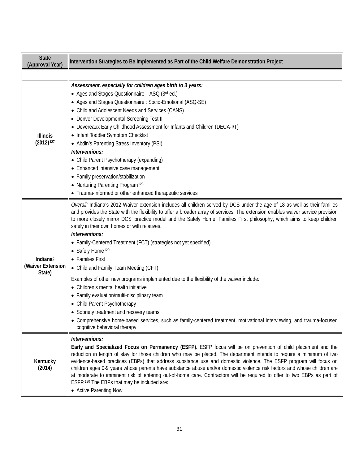| <b>State</b><br>(Approval Year)                     | Intervention Strategies to Be Implemented as Part of the Child Welfare Demonstration Project                                                                                                                                                                                                                                                                                                                                                                                                                                                                                                                                                                                                                                                                                                                                                                                                                                                                                                                                                         |
|-----------------------------------------------------|------------------------------------------------------------------------------------------------------------------------------------------------------------------------------------------------------------------------------------------------------------------------------------------------------------------------------------------------------------------------------------------------------------------------------------------------------------------------------------------------------------------------------------------------------------------------------------------------------------------------------------------------------------------------------------------------------------------------------------------------------------------------------------------------------------------------------------------------------------------------------------------------------------------------------------------------------------------------------------------------------------------------------------------------------|
|                                                     |                                                                                                                                                                                                                                                                                                                                                                                                                                                                                                                                                                                                                                                                                                                                                                                                                                                                                                                                                                                                                                                      |
| <b>Illinois</b><br>$(2012)^{127}$                   | Assessment, especially for children ages birth to 3 years:<br>• Ages and Stages Questionnaire - ASQ (3rd ed.)<br>• Ages and Stages Questionnaire : Socio-Emotional (ASQ-SE)<br>• Child and Adolescent Needs and Services (CANS)<br>• Denver Developmental Screening Test II<br>• Devereaux Early Childhood Assessment for Infants and Children (DECA-I/T)<br>• Infant Toddler Symptom Checklist<br>• Abdin's Parenting Stress Inventory (PSI)<br>Interventions:<br>• Child Parent Psychotherapy (expanding)<br>• Enhanced intensive case management<br>• Family preservation/stabilization<br>• Nurturing Parenting Program <sup>128</sup><br>• Trauma-informed or other enhanced therapeutic services                                                                                                                                                                                                                                                                                                                                               |
| Indiana <sup>9</sup><br>(Waiver Extension<br>State) | Overall: Indiana's 2012 Waiver extension includes all children served by DCS under the age of 18 as well as their families<br>and provides the State with the flexibility to offer a broader array of services. The extension enables waiver service provision<br>to more closely mirror DCS' practice model and the Safely Home, Families First philosophy, which aims to keep children<br>safely in their own homes or with relatives.<br>Interventions:<br>• Family-Centered Treatment (FCT) (strategies not yet specified)<br>• Safely Home <sup>129</sup><br>• Families First<br>• Child and Family Team Meeting (CFT)<br>Examples of other new programs implemented due to the flexibility of the waiver include:<br>• Children's mental health initiative<br>• Family evaluation/multi-disciplinary team<br>• Child Parent Psychotherapy<br>• Sobriety treatment and recovery teams<br>• Comprehensive home-based services, such as family-centered treatment, motivational interviewing, and trauma-focused<br>cognitive behavioral therapy. |
| Kentucky<br>(2014)                                  | Interventions:<br>Early and Specialized Focus on Permanency (ESFP). ESFP focus will be on prevention of child placement and the<br>reduction in length of stay for those children who may be placed. The department intends to require a minimum of two<br>evidence-based practices (EBPs) that address substance use and domestic violence. The ESFP program will focus on<br>children ages 0-9 years whose parents have substance abuse and/or domestic violence risk factors and whose children are<br>at moderate to imminent risk of entering out-of-home care. Contractors will be required to offer to two EBPs as part of<br>ESFP. <sup>130</sup> The EBPs that may be included are:<br>• Active Parenting Now                                                                                                                                                                                                                                                                                                                               |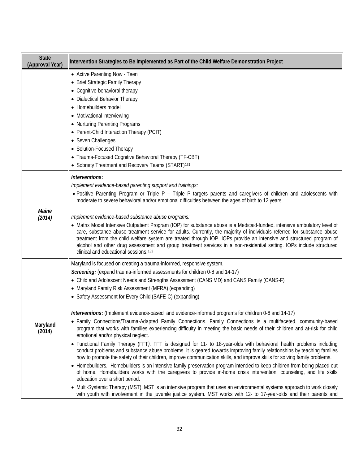| <b>State</b><br>(Approval Year) | Intervention Strategies to Be Implemented as Part of the Child Welfare Demonstration Project                                                                                                                                                                                                                                                                                                                                                                                                                                                                                                                                                                                                                                                                                                                                                                                                                                                                                                                                                                                                                                                                                                                                                                                                                                                                                                                                                                                                                                                                                                                                                                                              |
|---------------------------------|-------------------------------------------------------------------------------------------------------------------------------------------------------------------------------------------------------------------------------------------------------------------------------------------------------------------------------------------------------------------------------------------------------------------------------------------------------------------------------------------------------------------------------------------------------------------------------------------------------------------------------------------------------------------------------------------------------------------------------------------------------------------------------------------------------------------------------------------------------------------------------------------------------------------------------------------------------------------------------------------------------------------------------------------------------------------------------------------------------------------------------------------------------------------------------------------------------------------------------------------------------------------------------------------------------------------------------------------------------------------------------------------------------------------------------------------------------------------------------------------------------------------------------------------------------------------------------------------------------------------------------------------------------------------------------------------|
|                                 | • Active Parenting Now - Teen<br>• Brief Strategic Family Therapy<br>• Cognitive-behavioral therapy<br>• Dialectical Behavior Therapy                                                                                                                                                                                                                                                                                                                                                                                                                                                                                                                                                                                                                                                                                                                                                                                                                                                                                                                                                                                                                                                                                                                                                                                                                                                                                                                                                                                                                                                                                                                                                     |
|                                 | • Homebuilders model<br>• Motivational interviewing<br>• Nurturing Parenting Programs<br>• Parent-Child Interaction Therapy (PCIT)<br>• Seven Challenges<br>• Solution-Focused Therapy<br>• Trauma-Focused Cognitive Behavioral Therapy (TF-CBT)<br>• Sobriety Treatment and Recovery Teams (START) <sup>131</sup>                                                                                                                                                                                                                                                                                                                                                                                                                                                                                                                                                                                                                                                                                                                                                                                                                                                                                                                                                                                                                                                                                                                                                                                                                                                                                                                                                                        |
| Maine<br>(2014)                 | Interventions:<br>Implement evidence-based parenting support and trainings:<br>• Positive Parenting Program or Triple P - Triple P targets parents and caregivers of children and adolescents with<br>moderate to severe behavioral and/or emotional difficulties between the ages of birth to 12 years.<br>Implement evidence-based substance abuse programs:<br>• Matrix Model Intensive Outpatient Program (IOP) for substance abuse is a Medicaid-funded, intensive ambulatory level of<br>care, substance abuse treatment service for adults. Currently, the majority of individuals referred for substance abuse<br>treatment from the child welfare system are treated through IOP. IOPs provide an intensive and structured program of<br>alcohol and other drug assessment and group treatment services in a non-residential setting. IOPs include structured<br>clinical and educational sessions. <sup>132</sup>                                                                                                                                                                                                                                                                                                                                                                                                                                                                                                                                                                                                                                                                                                                                                               |
| Maryland<br>(2014)              | Maryland is focused on creating a trauma-informed, responsive system.<br>Screening: (expand trauma-informed assessments for children 0-8 and 14-17)<br>• Child and Adolescent Needs and Strengths Assessment (CANS MD) and CANS Family (CANS-F)<br>• Maryland Family Risk Assessment (MFRA) (expanding)<br>• Safety Assessment for Every Child (SAFE-C) (expanding)<br>Interventions: (Implement evidence-based and evidence-informed programs for children 0-8 and 14-17)<br>• Family Connections/Trauma-Adapted Family Connections. Family Connections is a multifaceted, community-based<br>program that works with families experiencing difficulty in meeting the basic needs of their children and at-risk for child<br>emotional and/or physical neglect.<br>• Functional Family Therapy (FFT). FFT is designed for 11- to 18-year-olds with behavioral health problems including<br>conduct problems and substance abuse problems. It is geared towards improving family relationships by teaching families<br>how to promote the safety of their children, improve communication skills, and improve skills for solving family problems.<br>• Homebuilders. Homebuilders is an intensive family preservation program intended to keep children from being placed out<br>of home. Homebuilders works with the caregivers to provide in-home crisis intervention, counseling, and life skills<br>education over a short period.<br>• Multi-Systemic Therapy (MST). MST is an intensive program that uses an environmental systems approach to work closely<br>with youth with involvement in the juvenile justice system. MST works with 12- to 17-year-olds and their parents and |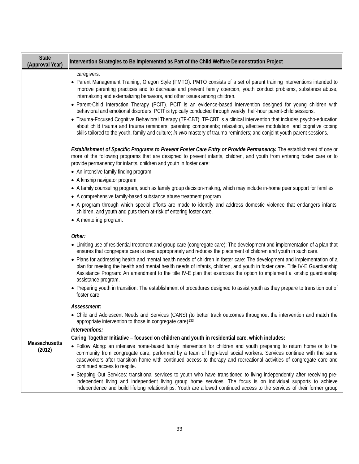| <b>State</b><br>(Approval Year) | Intervention Strategies to Be Implemented as Part of the Child Welfare Demonstration Project                                                                                                                                                                                                                                                                                                                                                                                                                                                                                                                                                                                                                                                                                                                                                                                                                                                                         |
|---------------------------------|----------------------------------------------------------------------------------------------------------------------------------------------------------------------------------------------------------------------------------------------------------------------------------------------------------------------------------------------------------------------------------------------------------------------------------------------------------------------------------------------------------------------------------------------------------------------------------------------------------------------------------------------------------------------------------------------------------------------------------------------------------------------------------------------------------------------------------------------------------------------------------------------------------------------------------------------------------------------|
|                                 | caregivers.<br>• Parent Management Training, Oregon Style (PMTO). PMTO consists of a set of parent training interventions intended to<br>improve parenting practices and to decrease and prevent family coercion, youth conduct problems, substance abuse,<br>internalizing and externalizing behaviors, and other issues among children.<br>• Parent-Child Interaction Therapy (PCIT). PCIT is an evidence-based intervention designed for young children with<br>behavioral and emotional disorders. PCIT is typically conducted through weekly, half-hour parent-child sessions.<br>Trauma-Focused Cognitive Behavioral Therapy (TF-CBT). TF-CBT is a clinical intervention that includes psycho-education<br>about child trauma and trauma reminders; parenting components; relaxation, affective modulation, and cognitive coping<br>skills tailored to the youth, family and culture; in vivo mastery of trauma reminders; and conjoint youth-parent sessions. |
|                                 | Establishment of Specific Programs to Prevent Foster Care Entry or Provide Permanency. The establishment of one or<br>more of the following programs that are designed to prevent infants, children, and youth from entering foster care or to<br>provide permanency for infants, children and youth in foster care:<br>• An intensive family finding program<br>• A kinship navigator program                                                                                                                                                                                                                                                                                                                                                                                                                                                                                                                                                                       |
|                                 | • A family counseling program, such as family group decision-making, which may include in-home peer support for families<br>• A comprehensive family-based substance abuse treatment program                                                                                                                                                                                                                                                                                                                                                                                                                                                                                                                                                                                                                                                                                                                                                                         |
|                                 | • A program through which special efforts are made to identify and address domestic violence that endangers infants,<br>children, and youth and puts them at-risk of entering foster care.<br>• A mentoring program.                                                                                                                                                                                                                                                                                                                                                                                                                                                                                                                                                                                                                                                                                                                                                 |
|                                 | Other:                                                                                                                                                                                                                                                                                                                                                                                                                                                                                                                                                                                                                                                                                                                                                                                                                                                                                                                                                               |
|                                 | • Limiting use of residential treatment and group care (congregate care): The development and implementation of a plan that<br>ensures that congregate care is used appropriately and reduces the placement of children and youth in such care.                                                                                                                                                                                                                                                                                                                                                                                                                                                                                                                                                                                                                                                                                                                      |
|                                 | • Plans for addressing health and mental health needs of children in foster care: The development and implementation of a<br>plan for meeting the health and mental health needs of infants, children, and youth in foster care. Title IV-E Guardianship<br>Assistance Program: An amendment to the title IV-E plan that exercises the option to implement a kinship guardianship<br>assistance program.                                                                                                                                                                                                                                                                                                                                                                                                                                                                                                                                                             |
|                                 | • Preparing youth in transition: The establishment of procedures designed to assist youth as they prepare to transition out of<br>foster care                                                                                                                                                                                                                                                                                                                                                                                                                                                                                                                                                                                                                                                                                                                                                                                                                        |
| Massachusetts<br>(2012)         | Assessment:<br>Child and Adolescent Needs and Services (CANS) (to better track outcomes throughout the intervention and match the<br>appropriate intervention to those in congregate care) <sup>133</sup><br>Interventions:                                                                                                                                                                                                                                                                                                                                                                                                                                                                                                                                                                                                                                                                                                                                          |
|                                 | Caring Together Initiative - focused on children and youth in residential care, which includes:                                                                                                                                                                                                                                                                                                                                                                                                                                                                                                                                                                                                                                                                                                                                                                                                                                                                      |
|                                 | • Follow Along: an intensive home-based family intervention for children and youth preparing to return home or to the<br>community from congregate care, performed by a team of high-level social workers. Services continue with the same<br>caseworkers after transition home with continued access to therapy and recreational activities of congregate care and<br>continued access to respite.                                                                                                                                                                                                                                                                                                                                                                                                                                                                                                                                                                  |
|                                 | • Stepping Out Services: transitional services to youth who have transitioned to living independently after receiving pre-<br>independent living and independent living group home services. The focus is on individual supports to achieve<br>independence and build lifelong relationships. Youth are allowed continued access to the services of their former group                                                                                                                                                                                                                                                                                                                                                                                                                                                                                                                                                                                               |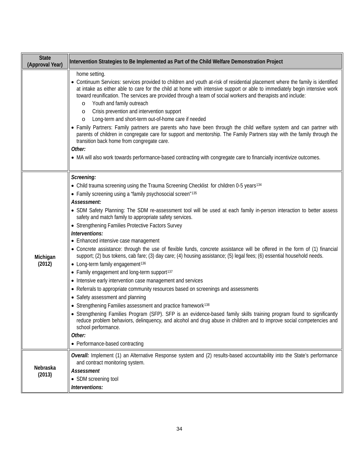| <b>State</b><br>(Approval Year) | Intervention Strategies to Be Implemented as Part of the Child Welfare Demonstration Project                                                                                                                                                                                                                                                                                                                                                                                                                                                                                                                                                                                                                                                                                                                                                                                                                                                                                                                                                                                                                                                                                                                                                                                                                                                                                                                                                                       |
|---------------------------------|--------------------------------------------------------------------------------------------------------------------------------------------------------------------------------------------------------------------------------------------------------------------------------------------------------------------------------------------------------------------------------------------------------------------------------------------------------------------------------------------------------------------------------------------------------------------------------------------------------------------------------------------------------------------------------------------------------------------------------------------------------------------------------------------------------------------------------------------------------------------------------------------------------------------------------------------------------------------------------------------------------------------------------------------------------------------------------------------------------------------------------------------------------------------------------------------------------------------------------------------------------------------------------------------------------------------------------------------------------------------------------------------------------------------------------------------------------------------|
|                                 | home setting.<br>• Continuum Services: services provided to children and youth at-risk of residential placement where the family is identified<br>at intake as either able to care for the child at home with intensive support or able to immediately begin intensive work<br>toward reunification. The services are provided through a team of social workers and therapists and include:<br>Youth and family outreach<br>$\circ$<br>Crisis prevention and intervention support<br>$\circ$<br>Long-term and short-term out-of-home care if needed<br>O<br>• Family Partners: Family partners are parents who have been through the child welfare system and can partner with<br>parents of children in congregate care for support and mentorship. The Family Partners stay with the family through the<br>transition back home from congregate care.<br>Other:<br>• MA will also work towards performance-based contracting with congregate care to financially incentivize outcomes.                                                                                                                                                                                                                                                                                                                                                                                                                                                                           |
| Michigan<br>(2012)              | Screening:<br>• Child trauma screening using the Trauma Screening Checklist for children 0-5 years <sup>134</sup><br>• Family screening using a "family psychosocial screen"135<br>Assessment:<br>• SDM Safety Planning: The SDM re-assessment tool will be used at each family in-person interaction to better assess<br>safety and match family to appropriate safety services.<br>• Strengthening Families Protective Factors Survey<br>Interventions:<br>• Enhanced intensive case management<br>• Concrete assistance: through the use of flexible funds, concrete assistance will be offered in the form of (1) financial<br>support; (2) bus tokens, cab fare; (3) day care; (4) housing assistance; (5) legal fees; (6) essential household needs.<br>• Long-term family engagement <sup>136</sup><br>• Family engagement and long-term support <sup>137</sup><br>• Intensive early intervention case management and services<br>• Referrals to appropriate community resources based on screenings and assessments<br>• Safety assessment and planning<br>• Strengthening Families assessment and practice framework <sup>138</sup><br>• Strengthening Families Program (SFP). SFP is an evidence-based family skills training program found to significantly<br>reduce problem behaviors, delinquency, and alcohol and drug abuse in children and to improve social competencies and<br>school performance.<br>Other:<br>• Performance-based contracting |
| Nebraska<br>(2013)              | Overall: Implement (1) an Alternative Response system and (2) results-based accountability into the State's performance<br>and contract monitoring system.<br>Assessment<br>• SDM screening tool<br>Interventions:                                                                                                                                                                                                                                                                                                                                                                                                                                                                                                                                                                                                                                                                                                                                                                                                                                                                                                                                                                                                                                                                                                                                                                                                                                                 |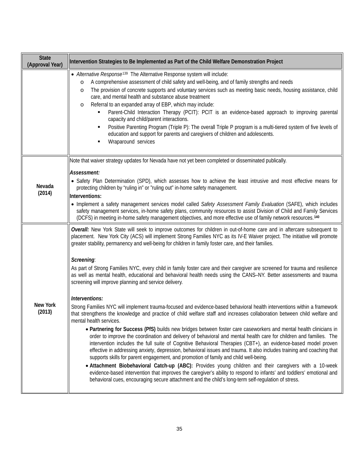| <b>State</b><br>(Approval Year) | Intervention Strategies to Be Implemented as Part of the Child Welfare Demonstration Project                                                                                                                                                                                                                                                                                                                                                                                                                                                                                                                                                                                                                                                                                                                                                                                                                                                                                                                                                                                                                                                                                                                                                                                                                                                                                                                                                                                                                                                                                                                                                                                                                                                                                                                                                                                                                       |
|---------------------------------|--------------------------------------------------------------------------------------------------------------------------------------------------------------------------------------------------------------------------------------------------------------------------------------------------------------------------------------------------------------------------------------------------------------------------------------------------------------------------------------------------------------------------------------------------------------------------------------------------------------------------------------------------------------------------------------------------------------------------------------------------------------------------------------------------------------------------------------------------------------------------------------------------------------------------------------------------------------------------------------------------------------------------------------------------------------------------------------------------------------------------------------------------------------------------------------------------------------------------------------------------------------------------------------------------------------------------------------------------------------------------------------------------------------------------------------------------------------------------------------------------------------------------------------------------------------------------------------------------------------------------------------------------------------------------------------------------------------------------------------------------------------------------------------------------------------------------------------------------------------------------------------------------------------------|
|                                 | • Alternative Response <sup>139</sup> The Alternative Response system will include:<br>A comprehensive assessment of child safety and well-being, and of family strengths and needs<br>$\circ$<br>The provision of concrete supports and voluntary services such as meeting basic needs, housing assistance, child<br>$\circ$<br>care, and mental health and substance abuse treatment<br>Referral to an expanded array of EBP, which may include:<br>$\circ$<br>Parent-Child Interaction Therapy (PCIT): PCIT is an evidence-based approach to improving parental<br>capacity and child/parent interactions.<br>Positive Parenting Program (Triple P): The overall Triple P program is a multi-tiered system of five levels of<br>education and support for parents and caregivers of children and adolescents.<br>Wraparound services                                                                                                                                                                                                                                                                                                                                                                                                                                                                                                                                                                                                                                                                                                                                                                                                                                                                                                                                                                                                                                                                            |
| Nevada<br>(2014)                | Note that waiver strategy updates for Nevada have not yet been completed or disseminated publically.<br>Assessment:<br>• Safety Plan Determination (SPD), which assesses how to achieve the least intrusive and most effective means for<br>protecting children by "ruling in" or "ruling out" in-home safety management.<br>Interventions:<br>• Implement a safety management services model called Safety Assessment Family Evaluation (SAFE), which includes<br>safety management services, in-home safety plans, community resources to assist Division of Child and Family Services<br>(DCFS) in meeting in-home safety management objectives, and more effective use of family network resources. <sup>140</sup>                                                                                                                                                                                                                                                                                                                                                                                                                                                                                                                                                                                                                                                                                                                                                                                                                                                                                                                                                                                                                                                                                                                                                                                             |
| <b>New York</b><br>(2013)       | Overall: New York State will seek to improve outcomes for children in out-of-home care and in aftercare subsequent to<br>placement. New York City (ACS) will implement Strong Families NYC as its IV-E Waiver project. The initiative will promote<br>greater stability, permanency and well-being for children in family foster care, and their families.<br>Screening:<br>As part of Strong Families NYC, every child in family foster care and their caregiver are screened for trauma and resilience<br>as well as mental health, educational and behavioral health needs using the CANS-NY. Better assessments and trauma<br>screening will improve planning and service delivery.<br>Interventions:<br>Strong Families NYC will implement trauma-focused and evidence-based behavioral health interventions within a framework<br>that strengthens the knowledge and practice of child welfare staff and increases collaboration between child welfare and<br>mental health services.<br>• Partnering for Success (PfS) builds new bridges between foster care caseworkers and mental health clinicians in<br>order to improve the coordination and delivery of behavioral and mental health care for children and families. The<br>intervention includes the full suite of Cognitive Behavioral Therapies (CBT+), an evidence-based model proven<br>effective in addressing anxiety, depression, behavioral issues and trauma. It also includes training and coaching that<br>supports skills for parent engagement, and promotion of family and child well-being.<br>. Attachment Biobehavioral Catch-up (ABC): Provides young children and their caregivers with a 10-week<br>evidence-based intervention that improves the caregiver's ability to respond to infants' and toddlers' emotional and<br>behavioral cues, encouraging secure attachment and the child's long-term self-regulation of stress. |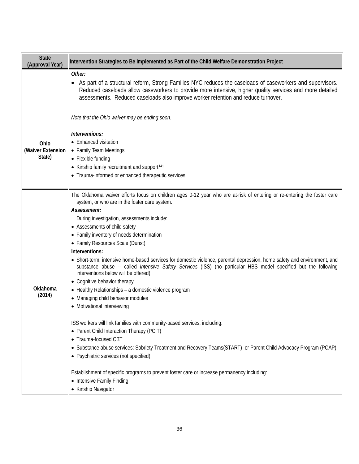| <b>State</b><br>(Approval Year)     | Intervention Strategies to Be Implemented as Part of the Child Welfare Demonstration Project                                                                                                                                                                                                                                                                                                                                                                                                                                                                                                                                                                                                                                                                                                                                                                                                                                                                                                                                                                                                                                                                                                                                                                                                     |
|-------------------------------------|--------------------------------------------------------------------------------------------------------------------------------------------------------------------------------------------------------------------------------------------------------------------------------------------------------------------------------------------------------------------------------------------------------------------------------------------------------------------------------------------------------------------------------------------------------------------------------------------------------------------------------------------------------------------------------------------------------------------------------------------------------------------------------------------------------------------------------------------------------------------------------------------------------------------------------------------------------------------------------------------------------------------------------------------------------------------------------------------------------------------------------------------------------------------------------------------------------------------------------------------------------------------------------------------------|
|                                     | Other:<br>• As part of a structural reform, Strong Families NYC reduces the caseloads of caseworkers and supervisors.<br>Reduced caseloads allow caseworkers to provide more intensive, higher quality services and more detailed<br>assessments. Reduced caseloads also improve worker retention and reduce turnover.                                                                                                                                                                                                                                                                                                                                                                                                                                                                                                                                                                                                                                                                                                                                                                                                                                                                                                                                                                           |
| Ohio<br>(Waiver Extension<br>State) | Note that the Ohio waiver may be ending soon.<br>Interventions:<br>• Enhanced visitation<br>• Family Team Meetings<br>• Flexible funding<br>• Kinship family recruitment and support <sup>141</sup><br>• Trauma-informed or enhanced therapeutic services                                                                                                                                                                                                                                                                                                                                                                                                                                                                                                                                                                                                                                                                                                                                                                                                                                                                                                                                                                                                                                        |
| Oklahoma<br>(2014)                  | The Oklahoma waiver efforts focus on children ages 0-12 year who are at-risk of entering or re-entering the foster care<br>system, or who are in the foster care system.<br>Assessment:<br>During investigation, assessments include:<br>• Assessments of child safety<br>• Family inventory of needs determination<br>• Family Resources Scale (Dunst)<br>Interventions:<br>• Short-term, intensive home-based services for domestic violence, parental depression, home safety and environment, and<br>substance abuse -- called Intensive Safety Services (ISS) (no particular HBS model specified but the following<br>interventions below will be offered).<br>• Cognitive behavior therapy<br>• Healthy Relationships - a domestic violence program<br>• Managing child behavior modules<br>• Motivational interviewing<br>ISS workers will link families with community-based services, including:<br>• Parent Child Interaction Therapy (PCIT)<br>• Trauma-focused CBT<br>• Substance abuse services: Sobriety Treatment and Recovery Teams(START) or Parent Child Advocacy Program (PCAP)<br>• Psychiatric services (not specified)<br>Establishment of specific programs to prevent foster care or increase permanency including:<br>• Intensive Family Finding<br>• Kinship Navigator |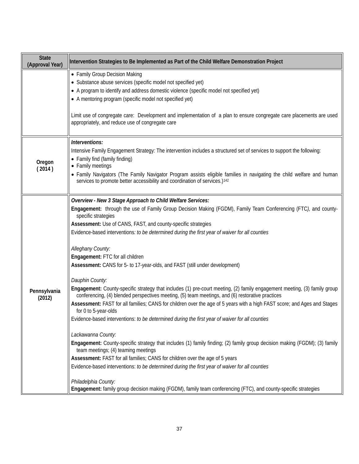| <b>State</b><br>(Approval Year) | Intervention Strategies to Be Implemented as Part of the Child Welfare Demonstration Project                                                                             |
|---------------------------------|--------------------------------------------------------------------------------------------------------------------------------------------------------------------------|
|                                 | • Family Group Decision Making                                                                                                                                           |
|                                 | • Substance abuse services (specific model not specified yet)                                                                                                            |
|                                 | • A program to identify and address domestic violence (specific model not specified yet)                                                                                 |
|                                 | • A mentoring program (specific model not specified yet)                                                                                                                 |
|                                 | Limit use of congregate care: Development and implementation of a plan to ensure congregate care placements are used<br>appropriately, and reduce use of congregate care |
|                                 |                                                                                                                                                                          |
|                                 | Interventions:                                                                                                                                                           |
|                                 | Intensive Family Engagement Strategy: The intervention includes a structured set of services to support the following:                                                   |
| Oregon                          | • Family find (family finding)                                                                                                                                           |
| (2014)                          | • Family meetings<br>• Family Navigators (The Family Navigator Program assists eligible families in navigating the child welfare and human                               |
|                                 | services to promote better accessibility and coordination of services.) <sup>142</sup>                                                                                   |
|                                 |                                                                                                                                                                          |
|                                 | Overview - New 3 Stage Approach to Child Welfare Services:                                                                                                               |
|                                 | Engagement: through the use of Family Group Decision Making (FGDM), Family Team Conferencing (FTC), and county-                                                          |
|                                 | specific strategies<br>Assessment: Use of CANS, FAST, and county-specific strategies                                                                                     |
|                                 | Evidence-based interventions: to be determined during the first year of waiver for all counties                                                                          |
|                                 |                                                                                                                                                                          |
|                                 | Alleghany County:                                                                                                                                                        |
|                                 | Engagement: FTC for all children                                                                                                                                         |
|                                 | Assessment: CANS for 5- to 17-year-olds, and FAST (still under development)                                                                                              |
|                                 | Dauphin County:                                                                                                                                                          |
|                                 | Engagement: County-specific strategy that includes (1) pre-court meeting, (2) family engagement meeting, (3) family group                                                |
| Pennsylvania<br>(2012)          | conferencing, (4) blended perspectives meeting, (5) team meetings, and (6) restorative practices                                                                         |
|                                 | Assessment: FAST for all families; CANS for children over the age of 5 years with a high FAST score; and Ages and Stages<br>for 0 to 5-year-olds                         |
|                                 | Evidence-based interventions: to be determined during the first year of waiver for all counties                                                                          |
|                                 |                                                                                                                                                                          |
|                                 | Lackawanna County:                                                                                                                                                       |
|                                 | Engagement: County-specific strategy that includes (1) family finding; (2) family group decision making (FGDM); (3) family<br>team meetings; (4) teaming meetings        |
|                                 | Assessment: FAST for all families; CANS for children over the age of 5 years                                                                                             |
|                                 | Evidence-based interventions: to be determined during the first year of waiver for all counties                                                                          |
|                                 |                                                                                                                                                                          |
|                                 | Philadelphia County:<br>Engagement: family group decision making (FGDM), family team conferencing (FTC), and county-specific strategies                                  |
|                                 |                                                                                                                                                                          |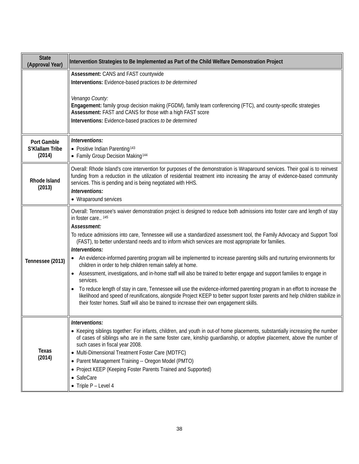| <b>State</b><br>(Approval Year)          | Intervention Strategies to Be Implemented as Part of the Child Welfare Demonstration Project                                                                                                                                                                                                                                                                                                                                                                                                                                                                                                                                                                                                                                                                                                                                                                                                                                                                                                                                                                                                               |
|------------------------------------------|------------------------------------------------------------------------------------------------------------------------------------------------------------------------------------------------------------------------------------------------------------------------------------------------------------------------------------------------------------------------------------------------------------------------------------------------------------------------------------------------------------------------------------------------------------------------------------------------------------------------------------------------------------------------------------------------------------------------------------------------------------------------------------------------------------------------------------------------------------------------------------------------------------------------------------------------------------------------------------------------------------------------------------------------------------------------------------------------------------|
|                                          | Assessment: CANS and FAST countywide<br>Interventions: Evidence-based practices to be determined<br>Venango County:<br>Engagement: family group decision making (FGDM), family team conferencing (FTC), and county-specific strategies<br>Assessment: FAST and CANS for those with a high FAST score<br>Interventions: Evidence-based practices to be determined                                                                                                                                                                                                                                                                                                                                                                                                                                                                                                                                                                                                                                                                                                                                           |
| Port Gamble<br>S'Klallam Tribe<br>(2014) | Interventions:<br>• Positive Indian Parenting <sup>143</sup><br>• Family Group Decision Making <sup>144</sup>                                                                                                                                                                                                                                                                                                                                                                                                                                                                                                                                                                                                                                                                                                                                                                                                                                                                                                                                                                                              |
| Rhode Island<br>(2013)                   | Overall: Rhode Island's core intervention for purposes of the demonstration is Wraparound services. Their goal is to reinvest<br>funding from a reduction in the utilization of residential treatment into increasing the array of evidence-based community<br>services. This is pending and is being negotiated with HHS.<br>Interventions:<br>• Wraparound services                                                                                                                                                                                                                                                                                                                                                                                                                                                                                                                                                                                                                                                                                                                                      |
| Tennessee (2013)                         | Overall: Tennessee's waiver demonstration project is designed to reduce both admissions into foster care and length of stay<br>in foster care 145<br>Assessment:<br>To reduce admissions into care, Tennessee will use a standardized assessment tool, the Family Advocacy and Support Tool<br>(FAST), to better understand needs and to inform which services are most appropriate for families.<br>Interventions:<br>An evidence-informed parenting program will be implemented to increase parenting skills and nurturing environments for<br>children in order to help children remain safely at home.<br>Assessment, investigations, and in-home staff will also be trained to better engage and support families to engage in<br>services.<br>To reduce length of stay in care, Tennessee will use the evidence-informed parenting program in an effort to increase the<br>likelihood and speed of reunifications, alongside Project KEEP to better support foster parents and help children stabilize in<br>their foster homes. Staff will also be trained to increase their own engagement skills. |
| Texas<br>(2014)                          | Interventions:<br>• Keeping siblings together: For infants, children, and youth in out-of home placements, substantially increasing the number<br>of cases of siblings who are in the same foster care, kinship guardianship, or adoptive placement, above the number of<br>such cases in fiscal year 2008.<br>• Multi-Dimensional Treatment Foster Care (MDTFC)<br>• Parent Management Training -- Oregon Model (PMTO)<br>• Project KEEP (Keeping Foster Parents Trained and Supported)<br>• SafeCare<br>$\bullet$ Triple P - Level 4                                                                                                                                                                                                                                                                                                                                                                                                                                                                                                                                                                     |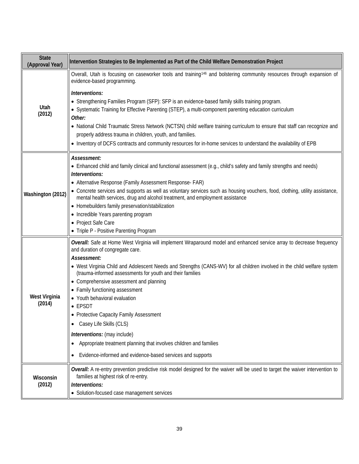| <b>State</b><br>(Approval Year) | Intervention Strategies to Be Implemented as Part of the Child Welfare Demonstration Project                                                                                                                                                                                                                                                                                                                                    |
|---------------------------------|---------------------------------------------------------------------------------------------------------------------------------------------------------------------------------------------------------------------------------------------------------------------------------------------------------------------------------------------------------------------------------------------------------------------------------|
| Utah<br>(2012)                  | Overall, Utah is focusing on caseworker tools and training <sup>146</sup> and bolstering community resources through expansion of<br>evidence-based programming.<br>Interventions:<br>• Strengthening Families Program (SFP): SFP is an evidence-based family skills training program.                                                                                                                                          |
|                                 | • Systematic Training for Effective Parenting (STEP), a multi-component parenting education curriculum<br>Other:<br>• National Child Traumatic Stress Network (NCTSN) child welfare training curriculum to ensure that staff can recognize and<br>properly address trauma in children, youth, and families.<br>. Inventory of DCFS contracts and community resources for in-home services to understand the availability of EPB |
|                                 | Assessment:                                                                                                                                                                                                                                                                                                                                                                                                                     |
| Washington (2012)               | • Enhanced child and family clinical and functional assessment (e.g., child's safety and family strengths and needs)<br>Interventions:                                                                                                                                                                                                                                                                                          |
|                                 | • Alternative Response (Family Assessment Response- FAR)                                                                                                                                                                                                                                                                                                                                                                        |
|                                 | • Concrete services and supports as well as voluntary services such as housing vouchers, food, clothing, utility assistance,<br>mental health services, drug and alcohol treatment, and employment assistance                                                                                                                                                                                                                   |
|                                 | • Homebuilders family preservation/stabilization                                                                                                                                                                                                                                                                                                                                                                                |
|                                 | • Incredible Years parenting program<br>• Project Safe Care                                                                                                                                                                                                                                                                                                                                                                     |
|                                 | • Triple P - Positive Parenting Program                                                                                                                                                                                                                                                                                                                                                                                         |
| West Virginia<br>(2014)         | Overall: Safe at Home West Virginia will implement Wraparound model and enhanced service array to decrease frequency<br>and duration of congregate care.<br>Assessment:                                                                                                                                                                                                                                                         |
|                                 | • West Virginia Child and Adolescent Needs and Strengths (CANS-WV) for all children involved in the child welfare system<br>(trauma-informed assessments for youth and their families                                                                                                                                                                                                                                           |
|                                 | • Comprehensive assessment and planning                                                                                                                                                                                                                                                                                                                                                                                         |
|                                 | • Family functioning assessment<br>• Youth behavioral evaluation                                                                                                                                                                                                                                                                                                                                                                |
|                                 | • EPSDT                                                                                                                                                                                                                                                                                                                                                                                                                         |
|                                 | • Protective Capacity Family Assessment<br>Casey Life Skills (CLS)<br>$\bullet$                                                                                                                                                                                                                                                                                                                                                 |
|                                 | Interventions: (may include)                                                                                                                                                                                                                                                                                                                                                                                                    |
|                                 | Appropriate treatment planning that involves children and families<br>$\bullet$                                                                                                                                                                                                                                                                                                                                                 |
|                                 | Evidence-informed and evidence-based services and supports                                                                                                                                                                                                                                                                                                                                                                      |
| Wisconsin<br>(2012)             | Overall: A re-entry prevention predictive risk model designed for the waiver will be used to target the waiver intervention to<br>families at highest risk of re-entry.                                                                                                                                                                                                                                                         |
|                                 | Interventions:                                                                                                                                                                                                                                                                                                                                                                                                                  |
|                                 | • Solution-focused case management services                                                                                                                                                                                                                                                                                                                                                                                     |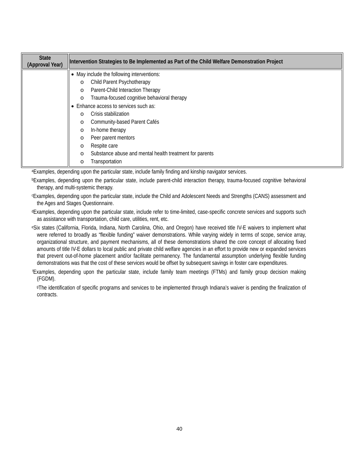| <b>State</b><br>(Approval Year) | Intervention Strategies to Be Implemented as Part of the Child Welfare Demonstration Project |
|---------------------------------|----------------------------------------------------------------------------------------------|
|                                 | • May include the following interventions:                                                   |
|                                 | Child Parent Psychotherapy<br>$\circ$                                                        |
|                                 | Parent-Child Interaction Therapy<br>$\circ$                                                  |
|                                 | Trauma-focused cognitive behavioral therapy<br>$\circ$                                       |
|                                 | Enhance access to services such as:                                                          |
|                                 | Crisis stabilization<br>$\circ$                                                              |
|                                 | Community-based Parent Cafés<br>$\circ$                                                      |
|                                 | In-home therapy<br>$\circ$                                                                   |
|                                 | Peer parent mentors<br>$\circ$                                                               |
|                                 | Respite care<br>$\circ$                                                                      |
|                                 | Substance abuse and mental health treatment for parents<br>$\circ$                           |
|                                 | Transportation<br>$\circ$                                                                    |

aExamples, depending upon the particular state, include family finding and kinship navigator services.

bExamples, depending upon the particular state, include parent-child interaction therapy, trauma-focused cognitive behavioral therapy, and multi-systemic therapy.

cExamples, depending upon the particular state, include the Child and Adolescent Needs and Strengths (CANS) assessment and the Ages and Stages Questionnaire.

dExamples, depending upon the particular state, include refer to time-limited, case-specific concrete services and supports such as assistance with transportation, child care, utilities, rent, etc.

eSix states (California, Florida, Indiana, North Carolina, Ohio, and Oregon) have received title IV-E waivers to implement what were referred to broadly as "flexible funding" waiver demonstrations. While varying widely in terms of scope, service array, organizational structure, and payment mechanisms, all of these demonstrations shared the core concept of allocating fixed amounts of title IV-E dollars to local public and private child welfare agencies in an effort to provide new or expanded services that prevent out-of-home placement and/or facilitate permanency. The fundamental assumption underlying flexible funding demonstrations was that the cost of these services would be offset by subsequent savings in foster care expenditures.

f Examples, depending upon the particular state, include family team meetings (FTMs) and family group decision making (FGDM).

 gThe identification of specific programs and services to be implemented through Indiana's waiver is pending the finalization of contracts.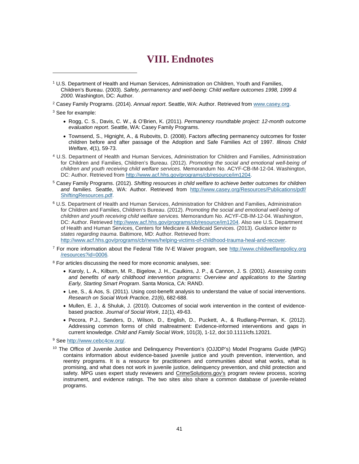# **VIII. Endnotes**

<sup>1</sup> U.S. Department of Health and Human Services, Administration on Children, Youth and Families, Children's Bureau. (2003). *Safety, permanency and well-being: Child welfare outcomes 1998, 1999 & 2000.* Washington, DC: Author.

<sup>2</sup> Casey Family Programs. (2014). *Annual report*. Seattle, WA: Author. Retrieved fro[m www.casey.org.](http://www.casey.org/)

<sup>3</sup> See for example:

<span id="page-40-0"></span>j

- Rogg, C. S., Davis, C. W., & O'Brien, K. (2011). *Permanency roundtable project: 12-month outcome evaluation report*. Seattle, WA: Casey Family Programs.
- Townsend, S., Hignight, A., & Rubovits, D. (2008). Factors affecting permanency outcomes for foster children before and after passage of the Adoption and Safe Families Act of 1997. *Illinois Child Welfare, 4*(1), 59-73.
- <sup>4</sup> U.S. Department of Health and Human Services, Administration for Children and Families, Administration for Children and Families, Children's Bureau. (2012). *Promoting the social and emotional well-being of children and youth receiving child welfare services.* Memorandum No. ACYF-CB-IM-12-04. Washington, DC: Author. Retrieved fro[m http://www.acf.hhs.gov/programs/cb/resource/im1204.](http://www.acf.hhs.gov/programs/cb/resource/im1204)
- <sup>5</sup> Casey Family Programs. (2012). *Shifting resources in child welfare to achieve better outcomes for children and families.* Seattle, WA: Author. Retrieved from [http://www.casey.org/Resources/Publications/pdf/](http://www.casey.org/Resources/Publications/pdf/%20ShiftingResources.pdf)  [ShiftingResources.pdf.](http://www.casey.org/Resources/Publications/pdf/%20ShiftingResources.pdf)
- <sup>6</sup> U.S. Department of Health and Human Services, Administration for Children and Families, Administration for Children and Families, Children's Bureau. (2012). *Promoting the social and emotional well-being of children and youth receiving child welfare services.* Memorandum No. ACYF-CB-IM-12-04. Washington, DC: Author. Retrieved [http://www.acf.hhs.gov/programs/cb/resource/im1204.](http://www.acf.hhs.gov/programs/cb/resource/im1204) Also see U.S. Department of Health and Human Services, Centers for Medicare & Medicaid Services. (2013). *Guidance letter to states regarding trauma*. Baltimore, MD: Author. Retrieved from: [http://www.acf.hhs.gov/programs/cb/news/helping-victims-of-childhood-trauma-heal-and-recover.](http://www.acf.hhs.gov/programs/cb/news/helping-victims-of-childhood-trauma-heal-and-recover)
- <sup>7</sup> For more information about the Federal Title IV-E Waiver program, see http://www.childwelfarepolicy.org /resources?id=0006*.*

<sup>8</sup> For articles discussing the need for more economic analyses, see:

- Karoly, L. A., Kilburn, M. R., Bigelow, J. H., Caulkins, J. P., & Cannon, J. S. (2001). *Assessing costs and benefits of early childhood intervention programs: Overview and applications to the Starting Early, Starting Smart Program*. Santa Monica, CA: RAND.
- Lee, S., & Aos, S. (2011). Using cost-benefit analysis to understand the value of social interventions. *Research on Social Work Practice, 21*(6), 682-688.
- Mullen, E. J., & Shuluk, J. (2010). Outcomes of social work intervention in the context of evidencebased practice. *Journal of Social Work*, *11*(1), 49-63.
- Pecora, P.J., Sanders, D., Wilson, D., English, D., Puckett, A., & Rudlang-Perman, K. (2012). Addressing common forms of child maltreatment: Evidence-informed interventions and gaps in current knowledge. *Child and Family Social Work*, 101(3), 1-12, doi:10.1111/cfs.12021.

<sup>9</sup> See [http://www.cebc4cw.org/.](http://www.cebc4cw.org/)

<sup>10</sup> The Office of Juvenile Justice and Delinquency Prevention's (OJJDP's) Model Programs Guide (MPG) contains information about evidence-based juvenile justice and youth prevention, intervention, and reentry programs. It is a resource for practitioners and communities about what works, what is promising, and what does not work in juvenile justice, delinquency prevention, and child protection and safety. MPG uses expert study reviewers and [CrimeSolutions.gov's](http://www.crimesolutions.gov/) program review process, scoring instrument, and evidence ratings. The two sites also share a common database of juvenile-related programs.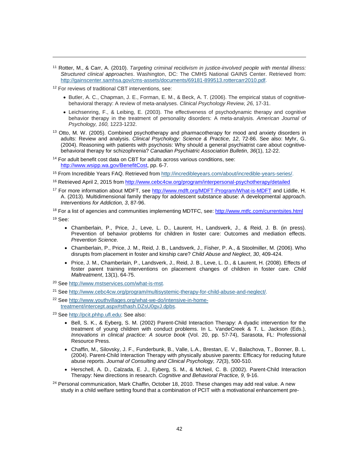<sup>11</sup> Rotter, M., & Carr, A. (2010). *Targeting criminal recidivism in justice-involved people with mental illness: Structured clinical approaches*. Washington, DC: The CMHS National GAINS Center. Retrieved from: [http://gainscenter.samhsa.gov/cms-assets/documents/69181-899513.rottercarr2010.pdf.](http://gainscenter.samhsa.gov/cms-assets/documents/69181-899513.rottercarr2010.pdf)

<span id="page-41-1"></span><span id="page-41-0"></span><sup>12</sup> For reviews of traditional CBT interventions, see:

j

- Butler, A. C., Chapman, J. E., Forman, E. M., & Beck, A. T. (2006). The empirical status of cognitivebehavioral therapy: A review of meta-analyses. *Clinical Psychology Review, 26,* 17-31.
- Leichsenring, F., & Leibing, E. (2003). The effectiveness of psychodynamic therapy and cognitive behavior therapy in the treatment of personality disorders: A meta-analysis. *American Journal of Psychology, 160,* 1223-1232.
- <span id="page-41-2"></span><sup>13</sup> Otto, M. W. (2005). Combined psychotherapy and pharmacotherapy for mood and anxiety disorders in adults: Review and analysis. *Clinical Psychology: Science & Practice, 12*, 72-86. See also: Myhr, G. (2004). Reasoning with patients with psychosis: Why should a general psychiatrist care about cognitivebehavioral therapy for schizophrenia? *Canadian Psychiatric Association Bulletin*, *36*(1), 12-22.
- <span id="page-41-3"></span><sup>14</sup> For adult benefit cost data on CBT for adults across various conditions, see: [http://www.wsipp.wa.gov/BenefitCost,](http://www.wsipp.wa.gov/BenefitCost) pp. 6-7.

<sup>15</sup> From Incredible Years FAQ. Retrieved from [http://incredibleyears.com/about/incredible-years-series/.](http://incredibleyears.com/about/incredible-years-series/)

- <span id="page-41-4"></span><sup>16</sup> Retrieved April 2, 2015 fro[m http://www.cebc4cw.org/program/interpersonal-psychotherapy/detailed](http://www.cebc4cw.org/program/interpersonal-psychotherapy/detailed)
- <sup>17</sup> For more information about MDFT, see<http://www.mdft.org/MDFT-Program/What-is-MDFT> and Liddle, H. A. (2013). Multidimensional family therapy for adolescent substance abuse: A developmental approach. *Interventions for Addiction, 3*, 87-96.

<span id="page-41-5"></span><sup>18</sup> For a list of agencies and communities implementing MDTFC, see:<http://www.mtfc.com/currentsites.html> <sup>19</sup> See:

- Chamberlain, P., Price, J., Leve, L. D., Laurent, H., Landsverk, J., & Reid, J. B. (in press). Prevention of behavior problems for children in foster care: Outcomes and mediation effects. *Prevention Science.*
- Chamberlain, P., Price, J. M., Reid, J. B., Landsverk, J., Fisher, P. A., & Stoolmiller, M. (2006). Who disrupts from placement in foster and kinship care? *Child Abuse and Neglect*, *30*, 409-424.
- Price, J. M., Chamberlain, P., Landsverk, J., Reid, J. B., Leve, L. D., & Laurent, H. (2008). Effects of foster parent training interventions on placement changes of children in foster care. *Child Maltreatment*, 13(1), 64-75.
- <span id="page-41-7"></span><span id="page-41-6"></span><sup>20</sup> Se[e http://www.mstservices.com/what-is-mst.](http://www.mstservices.com/what-is-mst)
- <sup>21</sup> Se[e http://www.cebc4cw.org/program/multisystemic-therapy-for-child-abuse-and-neglect/.](http://www.cebc4cw.org/program/multisystemic-therapy-for-child-abuse-and-neglect/)
- <sup>22</sup> Se[e http://www.youthvillages.org/what-we-do/intensive-in-home](http://www.youthvillages.org/what-we-do/intensive-in-home-treatment/intercept.aspx#sthash.DZsU0gvJ.dpbs)[treatment/intercept.aspx#sthash.DZsU0gvJ.dpbs.](http://www.youthvillages.org/what-we-do/intensive-in-home-treatment/intercept.aspx#sthash.DZsU0gvJ.dpbs)

<span id="page-41-8"></span><sup>23</sup> Se[e http://pcit.phhp.ufl.edu;](http://pcit.phhp.ufl.edu/) See also:

- Bell, S. K., & Eyberg, S. M. (2002) Parent-Child Interaction Therapy: A dyadic intervention for the treatment of young children with conduct problems. In L. VandeCreek & T. L. Jackson (Eds.), *Innovations in clinical practice: A source book* (Vol. 20, pp. 57-74), Sarasota, FL: Professional Resource Press.
- Chaffin, M., Silovsky, J. F., Funderbunk, B., Valle, L.A., Brestan, E. V., Balachova, T., Bonner, B. L. (2004). Parent-Child Interaction Therapy with physically abusive parents: Efficacy for reducing future abuse reports. *Journal of Consulting and Clinical Psychology, 72*(3), 500-510.
- Herschell, A. D., Calzada, E. J., Eyberg, S. M., & McNeil, C. B. (2002). Parent-Child Interaction Therapy: New directions in research. *Cognitive and Behavioral Practice, 9*, 9-16.

<span id="page-41-9"></span><sup>24</sup> Personal communication, Mark Chaffin, October 18, 2010. These changes may add real value. A new study in a child welfare setting found that a combination of PCIT with a motivational enhancement pre-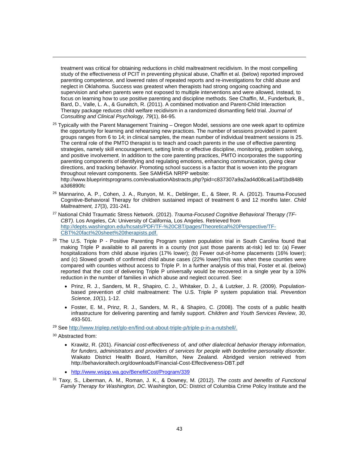<span id="page-42-1"></span><span id="page-42-0"></span>treatment was critical for obtaining reductions in child maltreatment recidivism. In the most compelling study of the effectiveness of PCIT in preventing physical abuse, Chaffin et al. (below) reported improved parenting competence, and lowered rates of repeated reports and re-investigations for child abuse and neglect in Oklahoma. Success was greatest when therapists had strong ongoing coaching and supervision and when parents were not exposed to multiple interventions and were allowed, instead, to focus on learning how to use positive parenting and discipline methods. See Chaffin, M., Funderburk, B., Bard, D., Valle, L. A., & Gurwitch, R. (2011). A combined motivation and Parent-Child Interaction Therapy package reduces child welfare recidivism in a randomized dismantling field trial. *Journal of Consulting and Clinical Psychology, 79*(1), 84-95*.*

<span id="page-42-2"></span> $25$  Typically with the Parent Management Training – Oregon Model, sessions are one week apart to optimize the opportunity for learning and rehearsing new practices. The number of sessions provided in parent groups ranges from 6 to 14; in clinical samples, the mean number of individual treatment sessions is 25. The central role of the PMTO therapist is to teach and coach parents in the use of effective parenting strategies, namely skill encouragement, setting limits or effective discipline, monitoring, problem solving, and positive involvement. In addition to the core parenting practices, PMTO incorporates the supporting parenting components of identifying and regulating emotions, enhancing communication, giving clear directions, and tracking behavior. Promoting school success is a factor that is woven into the program throughout relevant components. See SAMHSA NRPP website: http://www.blueprintsprograms.com/evaluationAbstracts.php?pid=c837307a9a2ad4d08ca61a4f1bd848b

<span id="page-42-3"></span>a3d6890fc

- <span id="page-42-6"></span><span id="page-42-5"></span><span id="page-42-4"></span><sup>26</sup> Mannarino, A. P., Cohen, J. A., Runyon, M. K., Deblinger, E., & Steer, R. A. (2012). Trauma-Focused Cognitive-Behavioral Therapy for children sustained impact of treatment 6 and 12 months later. *Child Maltreatment, 17*(3), 231-241.
- <span id="page-42-8"></span><span id="page-42-7"></span><sup>27</sup> National Child Traumatic Stress Network. (2012). *Trauma-Focused Cognitive Behavioral Therapy (TF-CBT).* Los Angeles, CA: University of California, Los Angeles. Retrieved from [http://depts.washington.edu/hcsats/PDF/TF-%20CBT/pages/Theoretical%20Perspective/TF-](http://depts.washington.edu/hcsats/PDF/TF-%20CBT/pages/Theoretical%20Perspective/TF-CBT%20fact%20sheet%20therapists.pdf)[CBT%20fact%20sheet%20therapists.pdf.](http://depts.washington.edu/hcsats/PDF/TF-%20CBT/pages/Theoretical%20Perspective/TF-CBT%20fact%20sheet%20therapists.pdf)
- <span id="page-42-9"></span> $28$  The U.S. Triple P - Positive Parenting Program system population trial in South Carolina found that making Triple P available to all parents in a county (not just those parents at-risk) led to: (a) Fewer hospitalizations from child abuse injuries (17% lower); (b) Fewer out-of-home placements (16% lower); and (c) Slowed growth of confirmed child abuse cases (22% lower)This was when these counties were compared with counties without access to Triple P. In a further analysis of this trial, Foster et al. (below) reported that the cost of delivering Triple P universally would be recovered in a single year by a 10% reduction in the number of families in which abuse and neglect occurred. See:
	- Prinz, R. J., Sanders, M. R., Shapiro, C. J., Whitaker, D. J., & Lutzker, J. R. (2009). Populationbased prevention of child maltreatment: The U.S. Triple P system population trial. *Prevention Science*, *10*(1), 1-12.
	- Foster, E. M., Prinz, R. J., Sanders, M. R., & Shapiro, C. (2008). The costs of a public health infrastructure for delivering parenting and family support. *Children and Youth Services Review*, *30*, 493-501.

<span id="page-42-12"></span><span id="page-42-11"></span><span id="page-42-10"></span><sup>29</sup> Se[e http://www.triplep.net/glo-en/find-out-about-triple-p/triple-p-in-a-nutshell/.](http://www.triplep.net/glo-en/find-out-about-triple-p/triple-p-in-a-nutshell/)

<sup>30</sup> Abstracted from:

- Krawitz, R. (201). *Financial cost-effectiveness of, and other dialectical behavior therapy information,*  for funders, administrators and providers of services for people with borderline personality disorder. Waikato District Health Board, Hamilton, New Zealand. Abridged version retrieved from http://behavioraltech.org/downloads/Financial-Cost-Effectiveness-DBT.pdf
- <http://www.wsipp.wa.gov/BenefitCost/Program/339>
- <span id="page-42-13"></span><sup>31</sup> Taxy, S., Liberman, A. M., Roman, J. K., & Downey, M. (2012). *The costs and benefits of Functional Family Therapy for Washington, DC*. Washington, DC: District of Columbia Crime Policy Institute and the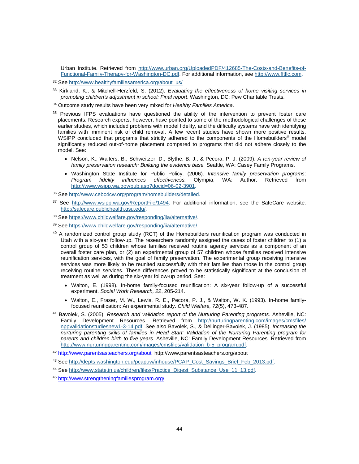Urban Institute. Retrieved from [http://www.urban.org/UploadedPDF/412685-The-Costs-and-Benefits-of-](http://www.urban.org/UploadedPDF/412685-The-Costs-and-Benefits-of-Functional-Family-Therapy-for-Washington-DC.pdf)[Functional-Family-Therapy-for-Washington-DC.pdf.](http://www.urban.org/UploadedPDF/412685-The-Costs-and-Benefits-of-Functional-Family-Therapy-for-Washington-DC.pdf) For additional information, see [http://www.fftllc.com.](http://www.fftllc.com/)

<sup>32</sup> Se[e http://www.healthyfamiliesamerica.org/about\\_us/](http://www.healthyfamiliesamerica.org/about_us/)

j

- <sup>33</sup> Kirkland, K., & Mitchell-Herzfeld, S. (2012). *Evaluating the effectiveness of home visiting services in promoting children's adjustment in school: Final report*. Washington, DC: Pew Charitable Trusts.
- <sup>34</sup> Outcome study results have been very mixed for *Healthy Families America*.
- <span id="page-43-0"></span> $35$  Previous IFPS evaluations have questioned the ability of the intervention to prevent foster care placements. Research experts, however, have pointed to some of the methodological challenges of these earlier studies, which included problems with model fidelity, and the difficulty systems have with identifying families with imminent risk of child removal. A few recent studies have shown more positive results. WSIPP concluded that programs that strictly adhered to the components of the Homebuilders<sup>®</sup> model significantly reduced out-of-home placement compared to programs that did not adhere closely to the model. See:
	- Nelson, K., Walters, B., Schweitzer, D., Blythe, B. J., & Pecora, P. J. (2009). *A ten-year review of family preservation research: Building the evidence base.* Seattle, WA: Casey Family Programs.
	- Washington State Institute for Public Policy. (2006). *Intensive family preservation programs*: Program fidelity influences effectiveness. [http://www.wsipp.wa.gov/pub.asp?docid=06-02-3901.](http://www.wsipp.wa.gov/pub.asp?docid=06-02-3901)

<span id="page-43-1"></span><sup>36</sup> Se[e http://www.cebc4cw.org/program/homebuilders/detailed.](http://www.cebc4cw.org/program/homebuilders/detailed)

- 37 See [http://www.wsipp.wa.gov/ReportFile/1494.](http://www.wsipp.wa.gov/ReportFile/1494) For additional information, see the SafeCare website: [http://safecare.publichealth.gsu.edu/.](http://safecare.publichealth.gsu.edu/)
- <span id="page-43-2"></span><sup>38</sup> Se[e https://www.childwelfare.gov/responding/iia/alternative/.](https://www.childwelfare.gov/responding/iia/alternative/)
- <sup>39</sup> Se[e https://www.childwelfare.gov/responding/iia/alternative/.](https://www.childwelfare.gov/responding/iia/alternative/)
- <span id="page-43-3"></span><sup>40</sup> A randomized control group study (RCT) of the Homebuilders reunification program was conducted in Utah with a six-year follow-up. The researchers randomly assigned the cases of foster children to (1) a control group of 53 children whose families received routine agency services as a component of an overall foster care plan, or (2) an experimental group of 57 children whose families received intensive reunification services, with the goal of family preservation. The experimental group receiving intensive services was more likely to be reunited successfully with their families than those in the control group receiving routine services. These differences proved to be statistically significant at the conclusion of treatment as well as during the six-year follow-up period. See:
	- Walton, E. (1998). In-home family-focused reunification: A six-year follow-up of a successful experiment. *Social Work Research, 22*, 205-214.
	- Walton, E., Fraser, M. W., Lewis, R. E., Pecora, P. J., & Walton, W. K. (1993). In-home familyfocused reunification: An experimental study. *Child Welfare, 72*(5), 473-487.
- <span id="page-43-4"></span><sup>41</sup> Bavolek, S. (2005). *Research and validation report of the Nurturing Parenting programs.* Asheville, NC: Family Development Resources. Retrieved from [http://nurturingparenting.com/images/cmsfiles/](http://nurturingparenting.com/images/cmsfiles/%20nppvalidationstudiesnew1-3-14.pdf)  [nppvalidationstudiesnew1-3-14.pdf.](http://nurturingparenting.com/images/cmsfiles/%20nppvalidationstudiesnew1-3-14.pdf) See also Bavolek, S., & Dellinger-Bavolek, J. (1985). *Increasing the nurturing parenting skills of families in Head Start: Validation of the Nurturing Parenting program for parents and children birth to five years*. Asheville, NC: Family Development Resources. Retrieved from [http://www.nurturingparenting.com/images/cmsfiles/validation\\_b-5\\_program.pdf.](http://www.nurturingparenting.com/images/cmsfiles/validation_b-5_program.pdf)
- <span id="page-43-5"></span><sup>42</sup> <http://www.parentsasteachers.org/about>http://www.parentsasteachers.org/about
- 43 Se[e http://depts.washington.edu/pcapuw/inhouse/PCAP\\_Cost\\_Savings\\_Brief\\_Feb\\_2013.pdf.](http://depts.washington.edu/pcapuw/inhouse/PCAP_Cost_Savings_Brief_Feb_2013.pdf)
- 44 Se[e http://www.state.in.us/children/files/Practice\\_Digest\\_Substance\\_Use\\_11\\_13.pdf.](http://www.state.in.us/children/files/Practice_Digest_Substance_Use_11_13.pdf)
- <span id="page-43-6"></span><sup>45</sup> <http://www.strengtheningfamiliesprogram.org/>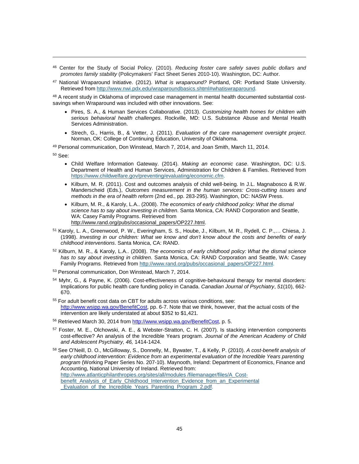- <sup>46</sup> Center for the Study of Social Policy. (2010). *Reducing foster care safely saves public dollars and promotes family stability* (Policymakers' Fact Sheet Series 2010-10). Washington, DC: Author.
- <span id="page-44-0"></span><sup>47</sup> National Wraparound Initiative. (2012). *What is wraparound?* Portland, OR: Portland State University. Retrieved from<http://www.nwi.pdx.edu/wraparoundbasics.shtml#whatiswraparound>*.*

<span id="page-44-3"></span><span id="page-44-2"></span><span id="page-44-1"></span><sup>48</sup> A recent study in Oklahoma of improved case management in mental health documented substantial costsavings when Wraparound was included with other innovations. See:

- Pires, S. A., & Human Services Collaborative. (2013). *Customizing health homes for children with serious behavioral health challenges*. Rockville, MD: U.S. Substance Abuse and Mental Health Services Administration.
- Strech, G., Harris, B., & Vetter, J. (2011). *Evaluation of the care management oversight project*. Norman, OK: College of Continuing Education, University of Oklahoma.

<sup>49</sup> Personal communication, Don Winstead, March 7, 2014, and Joan Smith, March 11, 2014.

<sup>50</sup> See:

j

- Child Welfare Information Gateway. (2014). *Making an economic case*. Washington, DC: U.S. Department of Health and Human Services, Administration for Children & Families. Retrieved from [https://www.childwelfare.gov/preventing/evaluating/economic.cfm.](https://www.childwelfare.gov/preventing/evaluating/economic.cfm)
- Kilburn, M. R. (2011). Cost and outcomes analysis of child well-being. In J.L. Magnabosco & R.W. Manderscheid (Eds.), *Outcomes measurement in the human services: Cross-cutting issues and methods in the era of health reform* (2nd ed., pp. 283-295). Washington, DC: NASW Press.
- Kilburn, M. R., & Karoly, L.A.. (2008). *The economics of early childhood policy: What the dismal science has to say about investing in children*. Santa Monica, CA: RAND Corporation and Seattle, WA: Casey Family Programs. Retrieved from [http://www.rand.org/pubs/occasional\\_papers/OP227.html.](http://www.rand.org/pubs/occasional_papers/OP227.html)
- <span id="page-44-8"></span><span id="page-44-7"></span><span id="page-44-6"></span><span id="page-44-5"></span><span id="page-44-4"></span>51 Karoly, L. A., Greenwood, P. W., Everingham, S. S., Hoube, J., Kilburn, M. R., Rydell, C. P.,... Chiesa, J. (1998). *Investing in our children: What we know and don't know about the costs and benefits of early childhood interventions*. Santa Monica, CA: RAND.
- <sup>52</sup> Kilburn, M. R., & Karoly, L.A.. (2008). *The economics of early childhood policy: What the dismal science has to say about investing in children*. Santa Monica, CA: RAND Corporation and Seattle, WA: Casey Family Programs. Retrieved from [http://www.rand.org/pubs/occasional\\_papers/OP227.html.](http://www.rand.org/pubs/occasional_papers/OP227.html)
- <sup>53</sup> Personal communication, Don Winstead, March 7, 2014.
- <sup>54</sup> Myhr, G., & Payne, K. (2006). Cost-effectiveness of cognitive-behavioural therapy for mental disorders: Implications for public health care funding policy in Canada. *Canadian Journal of Psychiatry*, *51*(10), 662- 670.
- <sup>55</sup> For adult benefit cost data on CBT for adults across various conditions, see: [http://www.wsipp.wa.gov/BenefitCost,](http://www.wsipp.wa.gov/BenefitCost) pp. 6-7. Note that we think, however, that the actual costs of the intervention are likely understated at about \$352 to \$1,421.
- <span id="page-44-9"></span><sup>56</sup> Retrieved March 30, 2014 fro[m http://www.wsipp.wa.gov/BenefitCost,](http://www.wsipp.wa.gov/BenefitCost) p. 5.
- <sup>57</sup> Foster, M. E., Olchowski, A. E., & Webster-Stratton, C. H. (2007). Is stacking intervention components cost-effective? An analysis of the Incredible Years program. *Journal of the American Academy of Child and Adolescent Psychiatry, 46,* 1414-1424.
- <span id="page-44-13"></span><span id="page-44-12"></span><span id="page-44-11"></span><span id="page-44-10"></span><sup>58</sup> See O'Neill, D. O., McGilloway, S., Donnelly, M., Bywater, T., & Kelly, P. (2010). *A cost-benefit analysis of*  early childhood intervention: Evidence from an experimental evaluation of the Incredible Years parenting *program* (Working Paper Series No. 207-10). Maynooth, Ireland: Department of Economics, Finance and Accounting, National University of Ireland. Retrieved from:

[http://www.atlanticphilanthropies.org/sites/all/modules /filemanager/files/A\\_Cost](http://www.atlanticphilanthropies.org/sites/all/modules%20/filemanager/files/A_Cost-benefit_Analysis_of_Early_Childhood_Intervention_Evidence_from_an_Experimental%20_Evaluation_of_the_Incredible_Years_Parenting_Program_2.pdf)benefit\_Analysis\_of\_Early\_Childhood\_Intervention\_Evidence\_from\_an\_Experimental [\\_Evaluation\\_of\\_the\\_Incredible\\_Years\\_Parenting\\_Program\\_2.pdf.](http://www.atlanticphilanthropies.org/sites/all/modules%20/filemanager/files/A_Cost-benefit_Analysis_of_Early_Childhood_Intervention_Evidence_from_an_Experimental%20_Evaluation_of_the_Incredible_Years_Parenting_Program_2.pdf)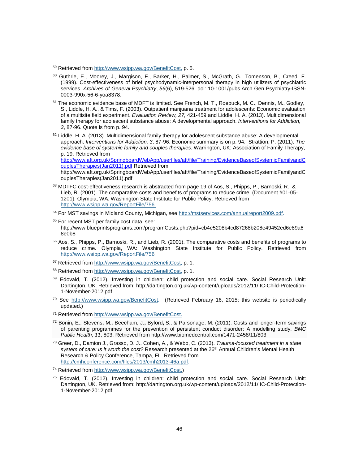<span id="page-45-0"></span><sup>59</sup> Retrieved fro[m http://www.wsipp.wa.gov/BenefitCost,](http://www.wsipp.wa.gov/BenefitCost) p. 5.

j

- <span id="page-45-1"></span><sup>60</sup> Guthrie, E., Moorey, J., Margison, F., Barker, H., Palmer, S., McGrath, G., Tomenson, B., Creed, F. (1999). Cost-effectiveness of brief psychodynamic-interpersonal therapy in high utilizers of psychiatric services. *Archives of General Psychiatry*, *56*(6), 519-526. doi: 10-1001/pubs.Arch Gen Psychiatry-ISSN-0003-990x-56-6-yoa8378.
- <span id="page-45-2"></span> $61$  The economic evidence base of MDFT is limited. See French, M. T., Roebuck, M. C., Dennis, M., Godley, S., Liddle, H. A., & Tims, F. (2003). Outpatient marijuana treatment for adolescents: Economic evaluation of a multisite field experiment. *Evaluation Review, 27,* 421-459 and Liddle, H. A. (2013). Multidimensional family therapy for adolescent substance abuse: A developmental approach. *Interventions for Addiction, 3*, 87-96. Quote is from p. 94.
- <span id="page-45-4"></span><span id="page-45-3"></span> $62$  Liddle, H. A. (2013). Multidimensional family therapy for adolescent substance abuse: A developmental approach. *Interventions for Addiction, 3*, 87-96. Economic summary is on p. 94. Strattion, P. (2011). *The evidence base of systemic family and couples therapies.* Warrington, UK: Association of Family Therapy, p. 19. Retrieved from

[http://www.aft.org.uk/SpringboardWebApp/userfiles/aft/file/Training/EvidenceBaseofSystemicFamilyandC](http://www.aft.org.uk/SpringboardWebApp/userfiles/aft/file/Training/EvidenceBaseofSystemicFamilyandCouplesTherapies(Jan2011).pdf) [ouplesTherapies\(Jan2011\).pdf](http://www.aft.org.uk/SpringboardWebApp/userfiles/aft/file/Training/EvidenceBaseofSystemicFamilyandCouplesTherapies(Jan2011).pdf) Retrieved from

http://www.aft.org.uk/SpringboardWebApp/userfiles/aft/file/Training/EvidenceBaseofSystemicFamilyandC ouplesTherapies(Jan2011).pdf

63 MDTFC cost-effectiveness research is abstracted from page 19 of Aos, S., Phipps, P., Barnoski, R., & Lieb, R. (2001). The comparative costs and benefits of programs to reduce crime. (Document #01-05- 1201). Olympia, WA: Washington State Institute for Public Policy. Retrieved from <http://www.wsipp.wa.gov/ReportFile/756> .

<sup>64</sup> For MST savings in Midland County, Michigan, see [http://mstservices.com/annualreport2009.pdf.](http://mstservices.com/annualreport2009.pdf)

- <span id="page-45-5"></span><sup>65</sup> For recent MST per family cost data, see: http://www.blueprintsprograms.com/programCosts.php?pid=cb4e5208b4cd87268b208e49452ed6e89a6 8e0b8
- <span id="page-45-6"></span><sup>66</sup> Aos, S., Phipps, P., Barnoski, R., and Lieb, R. (2001). The comparative costs and benefits of programs to reduce crime. Olympia, WA: Washington State Institute for Public Policy. Retrieved from <http://www.wsipp.wa.gov/ReportFile/756>

<sup>67</sup> Retrieved fro[m http://www.wsipp.wa.gov/BenefitCost,](http://www.wsipp.wa.gov/BenefitCost) p. 1.

- <span id="page-45-7"></span>68 Retrieved fro[m http://www.wsipp.wa.gov/BenefitCost,](http://www.wsipp.wa.gov/BenefitCost) p. 1.
- <span id="page-45-8"></span>69 Edovald, T. (2012). Investing in children: child protection and social care. Social Research Unit: Dartington, UK. Retrieved from: http://dartington.org.uk/wp-content/uploads/2012/11/IIC-Child-Protection-1-November-2012.pdf
- <span id="page-45-9"></span><sup>70</sup> See [http://www.wsipp.wa.gov/BenefitCost.](http://www.wsipp.wa.gov/BenefitCost) (Retrieved February 16, 2015; this website is periodically updated.)
- <sup>71</sup> Retrieved fro[m http://www.wsipp.wa.gov/BenefitCost.](http://www.wsipp.wa.gov/BenefitCost)
- <span id="page-45-11"></span><span id="page-45-10"></span><sup>72</sup> Bonin**,** E., Stevens**,** M.**,** Beecham, J.**,** Byford**,** S., & Parsonage, M. (2011). Costs and longer-term savings of parenting programmes for the prevention of persistent conduct disorder: A modelling study. *BMC Public Health*, *11*, 803. Retrieved from http://www.biomedcentral.com/1471-2458/11/803
- <span id="page-45-12"></span><sup>73</sup> Greer, D., Damion J., Grasso, D. J., Cohen, A., & Webb, C. (2013). *Trauma-focused treatment in a state*  system of care: Is it worth the cost? Research presented at the 26<sup>th</sup> Annual Children's Mental Health Research & Policy Conference, Tampa, FL. Retrieved from [http://cmhconference.com/files/2013/cmh2013-46a.pdf.](http://cmhconference.com/files/2013/cmh2013-46a.pdf)
- <sup>74</sup> Retrieved fro[m http://www.wsipp.wa.gov/BenefitCost.\)](http://www.wsipp.wa.gov/BenefitCost)
- <sup>75</sup> Edovald, T. (2012). Investing in children: child protection and social care. Social Research Unit: Dartington, UK. Retrieved from: http://dartington.org.uk/wp-content/uploads/2012/11/IIC-Child-Protection-1-November-2012.pdf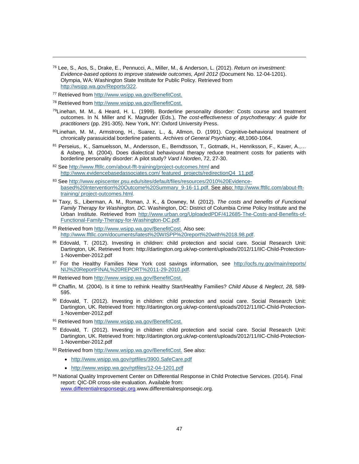- <span id="page-46-1"></span><span id="page-46-0"></span><sup>76</sup> Lee, S., Aos, S., Drake, E., Pennucci, A., Miller, M., & Anderson, L. (2012). *Return on investment: Evidence-based options to improve statewide outcomes, April 2012* (Document No. 12-04-1201). Olympia, WA: Washington State Institute for Public Policy. Retrieved from [http://wsipp.wa.gov/Reports/322.](http://wsipp.wa.gov/Reports/322)
- <sup>77</sup> Retrieved fro[m http://www.wsipp.wa.gov/BenefitCost.](http://www.wsipp.wa.gov/BenefitCost)

- <span id="page-46-2"></span><sup>78</sup> Retrieved fro[m http://www.wsipp.wa.gov/BenefitCost.](http://www.wsipp.wa.gov/BenefitCost)
- <sup>79</sup>Linehan, M. M., & Heard, H. L. (1999). Borderline personality disorder: Costs course and treatment outcomes. In N. Miller and K. Magruder (Eds.), *The cost-effectiveness of psychotherapy: A guide for practitioners* (pp. 291-305). New York, NY: Oxford University Press.
- <span id="page-46-3"></span>80Linehan, M. M., Armstrong, H., Suarez, L., &, Allmon, D. (1991). Cognitive-behavioral treatment of chronically parasuicidal borderline patients. *Archives of General Psychiatry, 48*,1060-1064.
- 81 Perseius,. K., Samuelsson, M., Andersson, E., Berndtsson, T., Gotmatk, H., Henriksson, F., Kaver, A.,... & Asberg, M. (2004). Does dialectical behavioural therapy reduce treatment costs for patients with borderline personality disorder: A pilot study? *Vard I Norden*, 72, 27-30.
- 82 Se[e http://www.fftllc.com/about-fft-training/project-outcomes.html](http://www.fftllc.com/about-fft-training/project-outcomes.html) and [http://www.evidencebasedassociates.com/ featured\\_projects/redirectionQ4\\_11.pdf.](http://www.evidencebasedassociates.com/%20featured_projects/redirectionQ4_11.pdf)
- <span id="page-46-4"></span>83 Se[e http://www.episcenter.psu.edu/sites/default/files/resources/2010%20Evidence](http://www.episcenter.psu.edu/sites/default/files/resources/2010%20Evidence-based%20Intervention%20Outcome%20Summary_9-16-11.pdf)[based%20Intervention%20Outcome%20Summary\\_9-16-11.pdf.](http://www.episcenter.psu.edu/sites/default/files/resources/2010%20Evidence-based%20Intervention%20Outcome%20Summary_9-16-11.pdf) See also: [http://www.fftllc.com/about-fft](http://www.fftllc.com/about-fft-training/%20project-outcomes.html)[training/ project-outcomes.html.](http://www.fftllc.com/about-fft-training/%20project-outcomes.html)
- <span id="page-46-5"></span><sup>84</sup> Taxy, S., Liberman, A. M., Roman, J. K., & Downey, M. (2012). *The costs and benefits of Functional Family Therapy for Washington, DC*. Washington, DC: District of Columbia Crime Policy Institute and the Urban Institute. Retrieved from [http://www.urban.org/UploadedPDF/412685-The-Costs-and-Benefits-of-](http://www.urban.org/UploadedPDF/412685-The-Costs-and-Benefits-of-Functional-Family-Therapy-for-Washington-DC.pdf)[Functional-Family-Therapy-for-Washington-DC.pdf.](http://www.urban.org/UploadedPDF/412685-The-Costs-and-Benefits-of-Functional-Family-Therapy-for-Washington-DC.pdf)
- <span id="page-46-6"></span>85 Retrieved fro[m http://www.wsipp.wa.gov/BenefitCost.](http://www.wsipp.wa.gov/BenefitCost) Also see: [http://www.fftllc.com/documents/latest%20WISPP%20report%20with%2018.98.pdf.](http://www.fftllc.com/documents/latest%20WISPP%20report%20with%2018.98.pdf)
- <span id="page-46-7"></span>86 Edovald, T. (2012). Investing in children: child protection and social care. Social Research Unit: Dartington, UK. Retrieved from: http://dartington.org.uk/wp-content/uploads/2012/11/IIC-Child-Protection-1-November-2012.pdf
- <span id="page-46-8"></span>87 For the Healthy Families New York cost savings information, see http://ocfs.ny.gov/main/reports/ [NIJ%20ReportFINAL%20REPORT%2011-29-2010.pdf.](http://ocfs.ny.gov/main/reports/%20NIJ%20ReportFINAL%20REPORT%2011-29-2010.pdf)
- <span id="page-46-10"></span><span id="page-46-9"></span>88 Retrieved fro[m http://www.wsipp.wa.gov/BenefitCost.](http://www.wsipp.wa.gov/BenefitCost)
- <sup>89</sup> Chaffin, M. (2004). Is it time to rethink Healthy Start/Healthy Families? *Child Abuse & Neglect*, *28,* 589- 595.
- <span id="page-46-11"></span>90 Edovald, T. (2012). Investing in children: child protection and social care. Social Research Unit: Dartington, UK. Retrieved from: http://dartington.org.uk/wp-content/uploads/2012/11/IIC-Child-Protection-1-November-2012.pdf
- <span id="page-46-13"></span><span id="page-46-12"></span>91 Retrieved fro[m http://www.wsipp.wa.gov/BenefitCost.](http://www.wsipp.wa.gov/BenefitCost)
- $92$  Edovald, T. (2012). Investing in children: child protection and social care. Social Research Unit: Dartington, UK. Retrieved from: http://dartington.org.uk/wp-content/uploads/2012/11/IIC-Child-Protection-1-November-2012.pdf
- <span id="page-46-14"></span>93 Retrieved fro[m http://www.wsipp.wa.gov/BenefitCost.](http://www.wsipp.wa.gov/BenefitCost) See also:
	- <http://www.wsipp.wa.gov/rptfiles/3900.SafeCare.pdf>
	- <http://www.wsipp.wa.gov/rptfiles/12-04-1201.pdf>
- <span id="page-46-16"></span><span id="page-46-15"></span>94 National Quality Improvement Center on Differential Response in Child Protective Services. (2014). Final report: QIC-DR cross-site evaluation. Available from: [www.differentialresponseqic.org.](http://www.differentialresponseqic.org/)www.differentialresponseqic.org.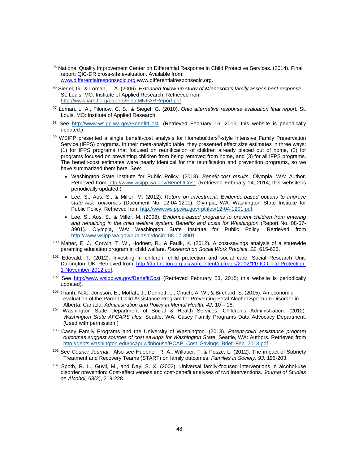<span id="page-47-0"></span>95 National Quality Improvement Center on Differential Response in Child Protective Services. (2014). Final report: QIC-DR cross-site evaluation. Available from: [www.differentialresponseqic.org.](http://www.differentialresponseqic.org/)www.differentialresponseqic.org.

- <span id="page-47-1"></span><sup>96</sup> Siegel, G., & Loman, L. A. (2006). *Extended follow-up study of Minnesota's family assessment response.*  St. Louis, MO: Institute of Applied Research. Retrieved from [http://www.iarstl.org/papers/FinalMNFARReport.pdf.](http://www.iarstl.org/papers/FinalMNFARReport.pdf)
- <span id="page-47-3"></span><span id="page-47-2"></span><sup>97</sup> Loman, L. A., Filonow, C. S., & Siegel, G. (2010). *Ohio alternative response evaluation final report.* St. Louis, MO: Institute of Applied Research.
- 98 See [http://www.wsipp.wa.gov/BenefitCost.](http://www.wsipp.wa.gov/BenefitCost) (Retrieved February 16, 2015; this website is periodically updated.)
- <span id="page-47-7"></span><span id="page-47-6"></span><span id="page-47-5"></span><span id="page-47-4"></span>99 WSIPP presented a single benefit-cost analysis for Homebuilders®-style Intensive Family Preservation Service (IFPS) programs. In their meta-analytic table, they presented effect size estimates in three ways: (1) for IFPS programs that focused on reunification of children already placed out of home, (2) for programs focused on preventing children from being removed from home, and (3) for all IFPS programs. The benefit-cost estimates were nearly identical for the reunification and prevention programs, so we have summarized them here. See:
	- Washington State Institute for Public Policy. (2013). *Benefit-cost results*. Olympia, WA: Author. Retrieved from [http://www.wsipp.wa.gov/BenefitCost.](http://www.wsipp.wa.gov/BenefitCost) (Retrieved February 14, 2014; this website is periodically updated.)
	- Lee, S., Aos, S., & Miller, M. (2012). *Return on investment: [Evidence-based options to improve](http://www.wsipp.wa.gov/pub.asp?docid=08-07-3901)  [state-wide outcomes](http://www.wsipp.wa.gov/pub.asp?docid=08-07-3901)* (Document No. 12-04-1201). Olympia, WA: Washington State Institute for Public Policy. Retrieved from [http://www.wsipp.wa.gov/rptfiles/12-04-1201.pdf.](http://www.wsipp.wa.gov/rptfiles/12-04-1201.pdf)
	- Lee, S., Aos, S., & Miller, M. (2008). *[Evidence-based programs to prevent children from entering](http://www.wsipp.wa.gov/pub.asp?docid=08-07-3901)  [and remaining in the child welfare system: Benefits and costs for Washington](http://www.wsipp.wa.gov/pub.asp?docid=08-07-3901)* (Report No. 08-07- 3901). Olympia, WA: Washington State Institute for Public Policy. Retrieved from [http://www.wsipp.wa.gov/pub.asp?docid=08-07-3901.](http://www.wsipp.wa.gov/pub.asp?docid=08-07-3901)
- <span id="page-47-10"></span><span id="page-47-9"></span><span id="page-47-8"></span><sup>100</sup> Maher, E. J., Corwin, T. W., Hodnett, R., & Faulk, K. (2012). A cost-savings analysis of a statewide parenting education program in child welfare. *Research on Social Work Practice, 22*, 615-625.
- <span id="page-47-11"></span>101 Edovald, T. (2012). Investing in children: child protection and social care. Social Research Unit: Dartington, UK. Retrieved from: [http://dartington.org.uk/wp-content/uploads/2012/11/IIC-Child-Protection-](http://dartington.org.uk/wp-content/uploads/2012/11/IIC-Child-Protection-1-November-2012.pdf)[1-November-2012.pdf.](http://dartington.org.uk/wp-content/uploads/2012/11/IIC-Child-Protection-1-November-2012.pdf)
- <span id="page-47-12"></span><sup>102</sup> See <http://www.wsipp.wa.gov/BenefitCost> (Retrieved February 23, 2015; this website is periodically updated).
- <span id="page-47-13"></span><sup>103</sup> Thanh, N.X., Jonsson, E., Moffatt, J., Dennett, L., Chuch, A. W., & Birchard, S. (2015). An economic evaluation of the Parent-Child Assistance Program for Preventing Fetal Alcohol Spectrum Disorder in Alberta, Canada. *Administration and Policy in Mental Health, 42,* 10 – 18.
- <span id="page-47-15"></span><span id="page-47-14"></span><sup>104</sup> Washington State Department of Social & Health Services, Children's Administration. (2012). *Washington State AFCARS files.* Seattle, WA: Casey Family Programs Data Advocacy Department. (Used with permission.)
- <span id="page-47-16"></span><sup>105</sup> Casey Family Programs and the University of Washington. (2013). *Parent-child assistance program outcomes suggest sources of cost savings for Washington State*. Seattle, WA: Authors. Retrieved from [http://depts.washington.edu/pcapuw/inhouse/PCAP\\_Cost\\_Savings\\_Brief\\_Feb\\_2013.pdf.](http://depts.washington.edu/pcapuw/inhouse/PCAP_Cost_Savings_Brief_Feb_2013.pdf)
- <span id="page-47-17"></span><sup>106</sup> See *Courier Journal*. Also see Huebner, R. A., Willauer, T. & Posze, L. (2012). The impact of Sobriety Treatment and Recovery Teams (START) on family outcomes. *Families in Society, 93,* 196-203.
- <span id="page-47-18"></span><sup>107</sup> Spoth, R. L., Guyll, M., and Day, S. X. (2002). Universal family-focused interventions in alcohol-use disorder prevention: Cost-effectiveness and cost-benefit analyses of two interventions. *Journal of Studies on Alcohol,* 63(2), 219-228.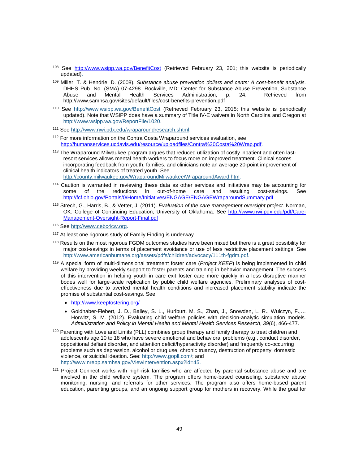- <span id="page-48-0"></span><sup>108</sup> See <http://www.wsipp.wa.gov/BenefitCost> (Retrieved February 23, 201; this website is periodically updated).
- <span id="page-48-1"></span><sup>109</sup> Miller, T. & Hendrie, D. (2008). *Substance abuse prevention dollars and cents: A cost-benefit analysis.*  DHHS Pub. No. (SMA) 07-4298. Rockville, MD: Center for Substance Abuse Prevention, Substance Abuse and Mental Health Services Administration, p. 24. Retrieved from http://www.samhsa.gov/sites/default/files/cost-benefits-prevention.pdf
- <span id="page-48-2"></span><sup>110</sup> See <http://www.wsipp.wa.gov/BenefitCost> (Retrieved February 23, 2015; this website is periodically updated). Note that WSIPP does have a summary of Title IV-E waivers in North Carolina and Oregon at [http://www.wsipp.wa.gov/ReportFile/1020.](http://www.wsipp.wa.gov/ReportFile/1020)
- <span id="page-48-3"></span><sup>111</sup> See [http://www.nwi.pdx.edu/wraparoundresearch.shtml.](http://www.nwi.pdx.edu/wraparoundresearch.shtml)
- <span id="page-48-4"></span><sup>112</sup> For more information on the Contra Costa Wraparound services evaluation, see [http://humanservices.ucdavis.edu/resource/uploadfiles/Contra%20Costa%20Wrap.pdf.](http://humanservices.ucdavis.edu/resource/uploadfiles/Contra%20Costa%20Wrap.pdf)
- <sup>113</sup> The Wraparound Milwaukee program argues that reduced utilization of costly inpatient and often lastresort services allows mental health workers to focus more on improved treatment. Clinical scores incorporating feedback from youth, families, and clinicians note an average 20-point improvement of clinical health indicators of treated youth. See [http://county.milwaukee.gov/WraparoundMilwaukee/WraparoundAward.htm.](http://county.milwaukee.gov/WraparoundMilwaukee/WraparoundAward.htm)
- <sup>114</sup> Caution is warranted in reviewing these data as other services and initiatives may be accounting for some of the reductions in out-of-home care and resulting cost-savings. See <http://fcf.ohio.gov/Portals/0/Home/Initiatives/ENGAGE/ENGAGEWraparoundSummary.pdf>
- <sup>115</sup> Strech, G., Harris, B., & Vetter, J. (2011). *Evaluation of the care management oversight project*. Norman, OK: College of Continuing Education, University of Oklahoma. See [http://www.nwi.pdx.edu/pdf/Care-](http://www.nwi.pdx.edu/pdf/Care-Management-Oversight-Report-Final.pdf)[Management-Oversight-Report-Final.pdf](http://www.nwi.pdx.edu/pdf/Care-Management-Oversight-Report-Final.pdf)
- <sup>116</sup> See [http://www.cebc4cw.org.](http://www.cebc4cw.org/)

- <sup>117</sup> At least one rigorous study of Family Finding is underway.
- <span id="page-48-5"></span><sup>118</sup> Results on the most rigorous FGDM outcomes studies have been mixed but there is a great possibility for major cost-savings in terms of placement avoidance or use of less restrictive placement settings. See [http://www.americanhumane.org/assets/pdfs/children/advocacy/111th-fgdm.pdf.](http://www.americanhumane.org/assets/pdfs/children/advocacy/111th-fgdm.pdf)
- <span id="page-48-8"></span><span id="page-48-7"></span><span id="page-48-6"></span><sup>119</sup> A special form of multi-dimensional treatment foster care (*Project KEEP*) is being implemented in child welfare by providing weekly support to foster parents and training in behavior management. The success of this intervention in helping youth in care exit foster care more quickly in a less disruptive manner bodes well for large-scale replication by public child welfare agencies. Preliminary analyses of costeffectiveness due to averted mental health conditions and increased placement stability indicate the promise of substantial cost-savings. See:
	- <http://www.keepfostering.org/>
	- Goldhaber-Fiebert, J. D., Bailey, S. L., Hurlburt, M. S., Zhan, J., Snowden, L. R., Wulczyn, F.,… Horwitz, S. M. (2012). Evaluating child welfare policies with decision-analytic simulation models. *Administration and Policy in Mental Health and Mental Health Services Research*, *39*(6), 466-477.
- <span id="page-48-10"></span><span id="page-48-9"></span>120 Parenting with Love and Limits (PLL) combines group therapy and family therapy to treat children and adolescents age 10 to 18 who have severe emotional and behavioral problems (e.g., conduct disorder, oppositional defiant disorder, and attention deficit/hyperactivity disorder) and frequently co-occurring problems such as depression, alcohol or drug use, chronic truancy, destruction of property, domestic violence, or suicidal ideation. See: [http://www.gopll.com/;](http://www.gopll.com/) and [http://www.nrepp.samhsa.gov/ViewIntervention.aspx?id=45.](http://www.nrepp.samhsa.gov/ViewIntervention.aspx?id=45)
- <span id="page-48-12"></span><span id="page-48-11"></span><sup>121</sup> Project Connect works with high-risk families who are affected by parental substance abuse and are involved in the child welfare system. The program offers home-based counseling, substance abuse monitoring, nursing, and referrals for other services. The program also offers home-based parent education, parenting groups, and an ongoing support group for mothers in recovery. While the goal for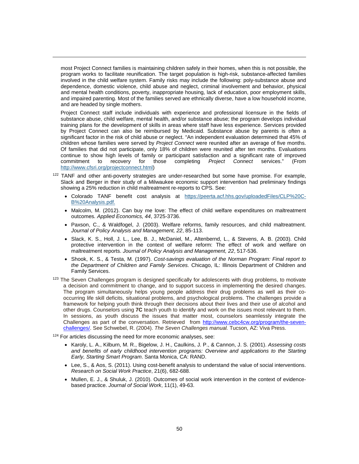most Project Connect families is maintaining children safely in their homes, when this is not possible, the program works to facilitate reunification. The target population is high-risk, substance-affected families involved in the child welfare system. Family risks may include the following: poly-substance abuse and dependence, domestic violence, child abuse and neglect, criminal involvement and behavior, physical and mental health conditions, poverty, inappropriate housing, lack of education, poor employment skills, and impaired parenting. Most of the families served are ethnically diverse, have a low household income, and are headed by single mothers.

<span id="page-49-1"></span><span id="page-49-0"></span>j

<span id="page-49-3"></span><span id="page-49-2"></span>Project Connect staff include individuals with experience and professional licensure in the fields of substance abuse, child welfare, mental health, and/or substance abuse; the program develops individual training plans for the development of skills in areas where staff have less experience. Services provided by Project Connect can also be reimbursed by Medicaid. Substance abuse by parents is often a significant factor in the risk of child abuse or neglect. "An independent evaluation determined that 45% of children whose families were served by *Project Connect* were reunited after an average of five months. Of families that did not participate, only 18% of children were reunited after ten months. Evaluations continue to show high levels of family or participant satisfaction and a significant rate of improved commitment to recovery for those completing *Project Connect* services." (From for those completing *Project Connect* services." [http://www.cfsri.org/projectconnect.html\)](http://www.cfsri.org/projectconnect.html)

- <span id="page-49-8"></span><span id="page-49-7"></span><span id="page-49-6"></span><span id="page-49-5"></span><span id="page-49-4"></span><sup>122</sup> TANF and other anti-poverty strategies are under-researched but some have promise. For example, Slack and Berger in their study of a Milwaukee economic support intervention had preliminary findings showing a 25% reduction in child maltreatment re-reports to CPS. See:
	- Colorado TANF benefit cost analysis at [https://peerta.acf.hhs.gov/uploadedFiles/CLP%20C-](https://peerta.acf.hhs.gov/uploadedFiles/CLP%20C-B%20Analysis.pdf)[B%20Analysis.pdf.](https://peerta.acf.hhs.gov/uploadedFiles/CLP%20C-B%20Analysis.pdf)
	- Malcolm, M. (2012). Can buy me love: The effect of child welfare expenditures on maltreatment outcomes*. Applied Economics, 44*, 3725-3736.
	- Paxson, C., & Waldfogel, J. (2003). Welfare reforms, family resources, and child maltreatment. *Journal of Policy Analysis and Management, 22*, 85-113.
	- Slack, K. S., Holl, J. L., Lee, B. J., McDaniel, M., Altenbernd, L., & Stevens, A. B. (2003). Child protective intervention in the context of welfare reform: The effect of work and welfare on maltreatment reports. *Journal of Policy Analysis and Management, 22*, 517-536.
	- Shook, K. S., & Testa, M. (1997). *Cost-savings evaluation of the Norman Program: Final report to the Department of Children and Family Services.* Chicago, IL: Illinois Department of Children and Family Services.
- <span id="page-49-11"></span><span id="page-49-10"></span><span id="page-49-9"></span><sup>123</sup> The Seven Challenges program is designed specifically for adolescents with drug problems, to motivate a decision and commitment to change, and to support success in implementing the desired changes. The program simultaneously helps young people address their drug problems as well as their cooccurring life skill deficits, situational problems, and psychological problems. The challenges provide a framework for helping youth think through their decisions about their lives and their use of alcohol and other drugs. Counselors using **7C** teach youth to identify and work on the issues most relevant to them. In sessions, as youth discuss the issues that matter most, counselors seamlessly integrate the Challenges as part of the conversation. Retrieved from [http://www.cebc4cw.org/program/the-seven](http://www.cebc4cw.org/program/the-seven-challenges/)[challenges/.](http://www.cebc4cw.org/program/the-seven-challenges/) See Schwebel, R. (2004). *The Seven Challenges manual.* Tucson, AZ: Viva Press.

<span id="page-49-13"></span><span id="page-49-12"></span> $124$  For articles discussing the need for more economic analyses, see:

- Karoly, L. A., Kilburn, M. R., Bigelow, J. H., Caulkins, J. P., & Cannon, J. S. (2001). *Assessing costs and benefits of early childhood intervention programs: Overview and applications to the Starting Early, Starting Smart Program*. Santa Monica, CA: RAND.
- Lee, S., & Aos, S. (2011). Using cost-benefit analysis to understand the value of social interventions. *Research on Social Work Practice*, 21(6), 682-688.
- Mullen, E. J., & Shuluk, J. (2010). Outcomes of social work intervention in the context of evidencebased practice. *Journal of Social Work*, 11(1), 49-63.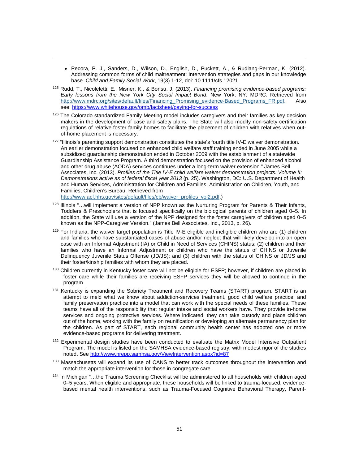- Pecora, P. J., Sanders, D., Wilson, D., English, D., Puckett, A., & Rudlang-Perman, K. (2012). Addressing common forms of child maltreatment: Intervention strategies and gaps in our knowledge base. *Child and Family Social Work*, 19(3) 1-12, doi: 10.1111/cfs.12021.
- <sup>125</sup> Rudd, T., Nicoleletti, E., Misner, K., & Bonsu, J. (2013). *Financing promising evidence-based programs: Early lessons from the New York City Social Impact Bond*. New York, NY: MDRC. Retrieved from [http://www.mdrc.org/sites/default/files/Financing\\_Promising\\_evidence-Based\\_Programs\\_FR.pdf.](http://www.mdrc.org/sites/default/files/Financing_Promising_evidence-Based_Programs_FR.pdf) see:<https://www.whitehouse.gov/omb/factsheet/paying-for-success>
- <sup>126</sup> The Colorado standardized Family Meeting model includes caregivers and their families as key decision makers in the development of case and safety plans. The State will also modify non-safety certification regulations of relative foster family homes to facilitate the placement of children with relatives when outof-home placement is necessary.
- <sup>127</sup> "Illinois's parenting support demonstration constitutes the state's fourth title IV-E waiver demonstration. An earlier demonstration focused on enhanced child welfare staff training ended in June 2005 while a subsidized guardianship demonstration ended in October 2009 with the establishment of a statewide Guardianship Assistance Program. A third demonstration focused on the provision of enhanced alcohol and other drug abuse (AODA) services continues under a long-term waiver extension." James Bell Associates, Inc. (2013). *Profiles of the Title IV-E child welfare waiver demonstration projects: Volume II: Demonstrations active as of federal fiscal year 2013* (p. 25). Washington, DC: U.S. Department of Health and Human Services, Administration for Children and Families, Administration on Children, Youth, and Families, Children's Bureau. Retrieved from

[http://www.acf.hhs.gov/sites/default/files/cb/waiver\\_profiles\\_vol2.pdf.](http://www.acf.hhs.gov/sites/default/files/cb/waiver_profiles_vol2.pdf))

- <span id="page-50-0"></span>128 Illinois "... will implement a version of NPP known as the Nurturing Program for Parents & Their Infants, Toddlers & Preschoolers that is focused specifically on the biological parents of children aged 0–5. In addition, the State will use a version of the NPP designed for the foster caregivers of children aged 0–5 known as the NPP-Caregiver Version." (James Bell Associates, Inc., 2013, p. 26).
- 129 For Indiana, the waiver target population is Title IV-E eligible and ineligible children who are (1) children and families who have substantiated cases of abuse and/or neglect that will likely develop into an open case with an Informal Adjustment (IA) or Child in Need of Services (CHINS) status; (2) children and their families who have an Informal Adjustment or children who have the status of CHINS or Juvenile Delinquency Juvenile Status Offense (JD/JS); and (3) children with the status of CHINS or JD/JS and their foster/kinship families with whom they are placed.
- <span id="page-50-1"></span>130 Children currently in Kentucky foster care will not be eligible for ESFP; however, if children are placed in foster care while their families are receiving ESFP services they will be allowed to continue in the program.
- 131 Kentucky is expanding the Sobriety Treatment and Recovery Teams (START) program. START is an attempt to meld what we know about addiction-services treatment, good child welfare practice, and family preservation practice into a model that can work with the special needs of these families. These teams have all of the responsibility that regular intake and social workers have. They provide in-home services and ongoing protective services. Where indicated, they can take custody and place children out of the home, working with the family on reunification or developing an alternate permanency plan for the children. As part of START, each regional community health center has adopted one or more evidence-based programs for delivering treatment.
- <span id="page-50-2"></span>132 Experimental design studies have been conducted to evaluate the Matrix Model Intensive Outpatient Program. The model is listed on the SAMHSA evidence-based registry, with modest rigor of the studies noted. See<http://www.nrepp.samhsa.gov/ViewIntervention.aspx?id=87>
- 133 Massachusetts will expand its use of CANS to better track outcomes throughout the intervention and match the appropriate intervention for those in congregate care.
- 134 In Michigan "...the Trauma Screening Checklist will be administered to all households with children aged 0–5 years. When eligible and appropriate, these households will be linked to trauma-focused, evidencebased mental health interventions, such as Trauma-Focused Cognitive Behavioral Therapy, Parent-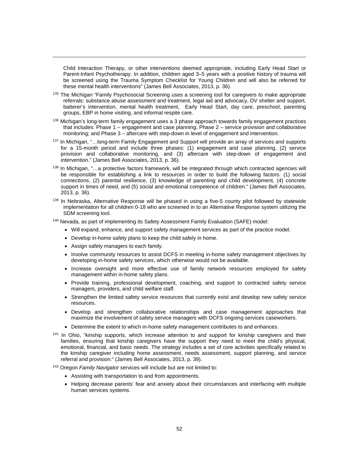Child Interaction Therapy, or other interventions deemed appropriate, including Early Head Start or Parent-Infant Psychotherapy. In addition, children aged 3–5 years with a positive history of trauma will be screened using the Trauma Symptom Checklist for Young Children and will also be referred for these mental health interventions" (James Bell Associates, 2013, p. 36).

- <span id="page-51-0"></span><sup>135</sup> The Michigan "Family Psychosocial Screening uses a screening tool for caregivers to make appropriate referrals: substance abuse assessment and treatment, legal aid and advocacy, DV shelter and support, batterer's intervention, mental health treatment, Early Head Start, day care, preschool, parenting groups, EBP in home visiting, and informal respite care.
- <span id="page-51-1"></span><sup>136</sup> Michigan's long-term family engagement uses a 3 phase approach towards family engagement practices that includes: Phase 1 – engagement and case planning; Phase 2 – service provision and collaborative monitoring; and Phase 3 – aftercare with step-down in level of engagement and intervention.
- <span id="page-51-2"></span>137 In Michigan, "...long-term Family Engagement and Support will provide an array of services and supports for a 15-month period and include three phases: (1) engagement and case planning, (2) service provision and collaborative monitoring, and (3) aftercare with step-down of engagement and intervention." (James Bell Associates, 2013, p. 36).
- <sup>138</sup> In Michigan, "…a protective factors framework, will be integrated through which contracted agencies will be responsible for establishing a link to resources in order to build the following factors: (1) social connections, (2) parental resilience, (3) knowledge of parenting and child development, (4) concrete support in times of need, and (5) social and emotional competence of children." (James Bell Associates, 2013, p. 36).
- <span id="page-51-3"></span><sup>139</sup> In Nebraska, Alternative Response will be phased in using a five-5 county pilot followed by statewide implementation for all children 0-18 who are screened in to an Alternative Response system utilizing the SDM screening tool.
- <span id="page-51-4"></span><sup>140</sup> Nevada, as part of implementing its Safety Assessment Family Evaluation (SAFE) model:
	- Will expand, enhance, and support safety management services as part of the practice model.
	- Develop in-home safety plans to keep the child safely in home.
	- Assign safety managers to each family.

j

- Involve community resources to assist DCFS in meeting in-home safety management objectives by developing in-home safety services, which otherwise would not be available.
- <span id="page-51-5"></span>• Increase oversight and more effective use of family network resources employed for safety management within in-home safety plans.
- Provide training, professional development, coaching, and support to contracted safety service managers, providers, and child welfare staff.
- <span id="page-51-6"></span>• Strengthen the limited safety service resources that currently exist and develop new safety service resources.
- Develop and strengthen collaborative relationships and case management approaches that maximize the involvement of safety service managers with DCFS ongoing services caseworkers.
- Determine the extent to which in-home safety management contributes to and enhances.
- <span id="page-51-7"></span><sup>141</sup> In Ohio, "kinship supports, which increase attention to and support for kinship caregivers and their families, ensuring that kinship caregivers have the support they need to meet the child's physical, emotional, financial, and basic needs. The strategy includes a set of core activities specifically related to the kinship caregiver including home assessment, needs assessment, support planning, and service referral and provision." (James Bell Associates, 2013, p. 39).

<span id="page-51-9"></span><span id="page-51-8"></span><sup>142</sup> Oregon *Family Navigator s*ervices will include but are not limited to:

- Assisting with transportation to and from appointments.
- Helping decrease parents' fear and anxiety about their circumstances and interfacing with multiple human services systems.